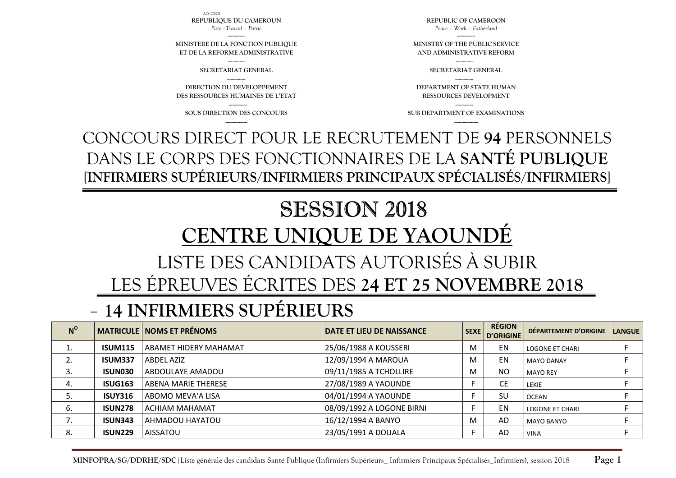AO/CBGI

**REPUBLIQUE DU CAMEROUN** *Paix –Travail – Patrie* 

**MINISTERE DE LA FONCTION PUBLIQUE ET DE LA REFORME ADMINISTRATIVE**

> --------------- **SECRETARIAT GENERAL** ---------------

**DIRECTION DU DEVELOPPEMENT DES RESSOURCES HUMAINES DE L'ETAT** 

---------------

**SOUS DIRECTION DES CONCOURS ------------------**

**SUB DEPARTMENT OF EXAMINATIONS** 

**--------------------**

CONCOURS DIRECT POUR LE RECRUTEMENT DE **94** PERSONNELS DANS LE CORPS DES FONCTIONNAIRES DE LA **SANTÉ PUBLIQUE** [**INFIRMIERS SUPÉRIEURS/INFIRMIERS PRINCIPAUX SPÉCIALISÉS/INFIRMIERS**]

# SESSION 2018 **CENTRE UNIQUE DE YAOUNDÉ** LISTE DES CANDIDATS AUTORISÉS À SUBIR LES ÉPREUVES ÉCRITES DES **24 ET 25 NOVEMBRE 2018**

#### -**14 INFIRMIERS SUPÉRIEURS**

| $N^{\rm o}$ |                | <b>MATRICULE NOMS ET PRÉNOMS</b> | DATE ET LIEU DE NAISSANCE | <b>SEXE</b> | <b>RÉGION</b><br><b>D'ORIGINE</b> | DÉPARTEMENT D'ORIGINE  | <b>LANGUE</b> |
|-------------|----------------|----------------------------------|---------------------------|-------------|-----------------------------------|------------------------|---------------|
| ⊥.          | <b>ISUM115</b> | ABAMET HIDERY MAHAMAT            | 25/06/1988 A KOUSSERI     | м           | EN                                | <b>LOGONE ET CHARI</b> |               |
|             | <b>ISUM337</b> | <b>ABDEL AZIZ</b>                | 12/09/1994 A MAROUA       | M           | EN                                | <b>MAYO DANAY</b>      |               |
|             | <b>ISUN030</b> | ABDOULAYE AMADOU                 | 09/11/1985 A TCHOLLIRE    | M           | N <sub>O</sub>                    | <b>MAYO REY</b>        |               |
| 4.          | <b>ISUG163</b> | ABENA MARIE THERESE              | 27/08/1989 A YAOUNDE      |             | СE                                | LEKIE                  |               |
|             | <b>ISUY316</b> | ABOMO MEVA'A LISA                | 04/01/1994 A YAOUNDE      |             | SU                                | <b>OCEAN</b>           |               |
| 6.          | <b>ISUN278</b> | ACHIAM MAHAMAT                   | 08/09/1992 A LOGONE BIRNI |             | EN                                | <b>LOGONE ET CHARI</b> |               |
| 7.          | <b>ISUN343</b> | AHMADOU HAYATOU                  | 16/12/1994 A BANYO        | м           | AD                                | <b>MAYO BANYO</b>      |               |
| 8.          | <b>ISUN229</b> | <b>AISSATOU</b>                  | 23/05/1991 A DOUALA       |             | AD                                | <b>VINA</b>            |               |

**REPUBLIC OF CAMEROON** *Peace – Work – Fatherland* 

**MINISTRY OF THE PUBLIC SERVICE AND ADMINISTRATIVE REFORM** 

--------------- **SECRETARIAT GENERAL** --------------- **DEPARTMENT OF STATE HUMAN RESSOURCES DEVELOPMENT** ---------------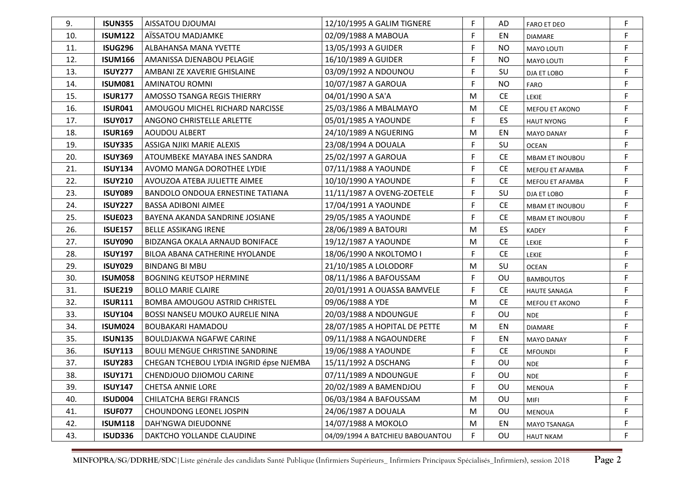| 9.  | <b>ISUN355</b> | AISSATOU DJOUMAI                        | 12/10/1995 A GALIM TIGNERE       | F           | AD        | <b>FARO ET DEO</b>     | F           |
|-----|----------------|-----------------------------------------|----------------------------------|-------------|-----------|------------------------|-------------|
| 10. | <b>ISUM122</b> | AÏSSATOU MADJAMKE                       | 02/09/1988 A MABOUA              | F           | EN        | <b>DIAMARE</b>         | F           |
| 11. | <b>ISUG296</b> | ALBAHANSA MANA YVETTE                   | 13/05/1993 A GUIDER              | $\mathsf F$ | <b>NO</b> | MAYO LOUTI             | $\mathsf F$ |
| 12. | <b>ISUM166</b> | AMANISSA DJENABOU PELAGIE               | 16/10/1989 A GUIDER              | F           | <b>NO</b> | <b>MAYO LOUTI</b>      | F           |
| 13. | <b>ISUY277</b> | AMBANI ZE XAVERIE GHISLAINE             | 03/09/1992 A NDOUNOU             | F           | SU        | DJA ET LOBO            | F           |
| 14. | <b>ISUM081</b> | <b>AMINATOU ROMNI</b>                   | 10/07/1987 A GAROUA              | F           | <b>NO</b> | <b>FARO</b>            | F           |
| 15. | <b>ISUR177</b> | AMOSSO TSANGA REGIS THIERRY             | 04/01/1990 A SA'A                | M           | <b>CE</b> | <b>LEKIE</b>           | F           |
| 16. | <b>ISUR041</b> | AMOUGOU MICHEL RICHARD NARCISSE         | 25/03/1986 A MBALMAYO            | M           | <b>CE</b> | MEFOU ET AKONO         | F           |
| 17. | <b>ISUY017</b> | ANGONO CHRISTELLE ARLETTE               | 05/01/1985 A YAOUNDE             | F           | ES.       | <b>HAUT NYONG</b>      | F           |
| 18. | <b>ISUR169</b> | AOUDOU ALBERT                           | 24/10/1989 A NGUERING            | M           | EN        | <b>MAYO DANAY</b>      | F           |
| 19. | <b>ISUY335</b> | ASSIGA NJIKI MARIE ALEXIS               | 23/08/1994 A DOUALA              | F           | SU        | <b>OCEAN</b>           | F           |
| 20. | <b>ISUY369</b> | ATOUMBEKE MAYABA INES SANDRA            | 25/02/1997 A GAROUA              | F           | <b>CE</b> | <b>MBAM ET INOUBOU</b> | F           |
| 21. | <b>ISUY134</b> | AVOMO MANGA DOROTHEE LYDIE              | 07/11/1988 A YAOUNDE             | F           | <b>CE</b> | MEFOU ET AFAMBA        | F           |
| 22. | <b>ISUY210</b> | AVOUZOA ATEBA JULIETTE AIMEE            | 10/10/1990 A YAOUNDE             | F           | <b>CE</b> | MEFOU ET AFAMBA        | F           |
| 23. | <b>ISUY089</b> | BANDOLO ONDOUA ERNESTINE TATIANA        | 11/11/1987 A OVENG-ZOETELE       | F           | SU        | DJA ET LOBO            | F           |
| 24. | <b>ISUY227</b> | <b>BASSA ADIBONI AIMEE</b>              | 17/04/1991 A YAOUNDE             | F           | <b>CE</b> | MBAM ET INOUBOU        | F           |
| 25. | ISUE023        | BAYENA AKANDA SANDRINE JOSIANE          | 29/05/1985 A YAOUNDE             | F           | <b>CE</b> | MBAM ET INOUBOU        | F           |
| 26. | <b>ISUE157</b> | <b>BELLE ASSIKANG IRENE</b>             | 28/06/1989 A BATOURI             | M           | ES        | <b>KADEY</b>           | F           |
| 27. | <b>ISUY090</b> | BIDZANGA OKALA ARNAUD BONIFACE          | 19/12/1987 A YAOUNDE             | M           | <b>CE</b> | <b>LEKIE</b>           | F           |
| 28. | <b>ISUY197</b> | BILOA ABANA CATHERINE HYOLANDE          | 18/06/1990 A NKOLTOMO I          | F           | <b>CE</b> | LEKIE                  | F           |
| 29. | <b>ISUY029</b> | <b>BINDANG BI MBU</b>                   | 21/10/1985 A LOLODORF            | M           | SU        | <b>OCEAN</b>           | F           |
| 30. | <b>ISUM058</b> | <b>BOGNING KEUTSOP HERMINE</b>          | 08/11/1986 A BAFOUSSAM           | F           | OU        | <b>BAMBOUTOS</b>       | F           |
| 31. | <b>ISUE219</b> | <b>BOLLO MARIE CLAIRE</b>               | 20/01/1991 A OUASSA BAMVELE      | F           | <b>CE</b> | <b>HAUTE SANAGA</b>    | F           |
| 32. | <b>ISUR111</b> | <b>BOMBA AMOUGOU ASTRID CHRISTEL</b>    | 09/06/1988 A YDE                 | M           | <b>CE</b> | MEFOU ET AKONO         | F           |
| 33. | <b>ISUY104</b> | <b>BOSSI NANSEU MOUKO AURELIE NINA</b>  | 20/03/1988 A NDOUNGUE            | F.          | OU        | <b>NDE</b>             | F           |
| 34. | ISUM024        | <b>BOUBAKARI HAMADOU</b>                | 28/07/1985 A HOPITAL DE PETTE    | M           | EN        | <b>DIAMARE</b>         | F           |
| 35. | <b>ISUN135</b> | <b>BOULDJAKWA NGAFWE CARINE</b>         | 09/11/1988 A NGAOUNDERE          | F           | EN        | <b>MAYO DANAY</b>      | F           |
| 36. | <b>ISUY113</b> | <b>BOULI MENGUE CHRISTINE SANDRINE</b>  | 19/06/1988 A YAOUNDE             | F           | <b>CE</b> | <b>MFOUNDI</b>         | F           |
| 37. | <b>ISUY283</b> | CHEGAN TCHEBOU LYDIA INGRID épse NJEMBA | 15/11/1992 A DSCHANG             | F           | OU        | <b>NDE</b>             | F           |
| 38. | <b>ISUY171</b> | CHENDJOUO DJIOMOU CARINE                | 07/11/1989 A NDOUNGUE            | E           | OU        | <b>NDE</b>             | F           |
| 39. | <b>ISUY147</b> | <b>CHETSA ANNIE LORE</b>                | 20/02/1989 A BAMENDJOU           | $\mathsf F$ | OU        | MENOUA                 | F           |
| 40. | <b>ISUD004</b> | <b>CHILATCHA BERGI FRANCIS</b>          | 06/03/1984 A BAFOUSSAM           | M           | OU        | MIFI                   | F           |
| 41. | <b>ISUF077</b> | CHOUNDONG LEONEL JOSPIN                 | 24/06/1987 A DOUALA              | M           | OU        | <b>MENOUA</b>          | F           |
| 42. | <b>ISUM118</b> | DAH'NGWA DIEUDONNE                      | 14/07/1988 A MOKOLO              | M           | EN        | MAYO TSANAGA           | F           |
| 43. | <b>ISUD336</b> | DAKTCHO YOLLANDE CLAUDINE               | 04/09/1994 A BATCHIEU BABOUANTOU | F.          | OU        | <b>HAUT NKAM</b>       | F           |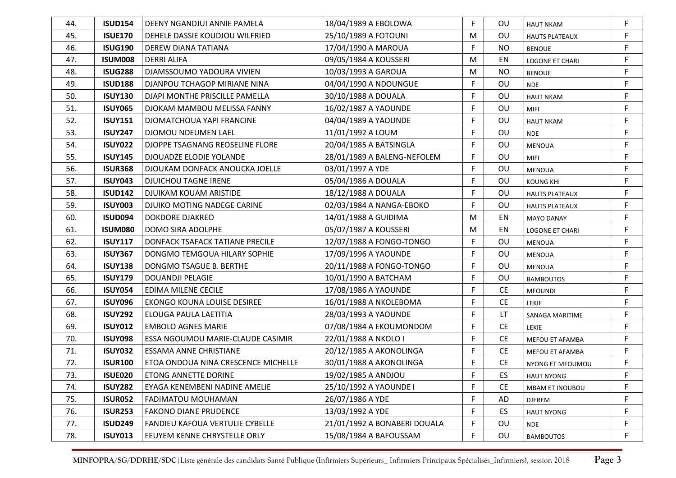| 44. | <b>ISUD154</b> | DEENY NGANDJUI ANNIE PAMELA            | 18/04/1989 A EBOLOWA         | F  | <b>OU</b> | <b>HAUT NKAM</b>       | F           |
|-----|----------------|----------------------------------------|------------------------------|----|-----------|------------------------|-------------|
| 45. | <b>ISUE170</b> | DEHELE DASSIE KOUDJOU WILFRIED         | 25/10/1989 A FOTOUNI         | M  | OU        | <b>HAUTS PLATEAUX</b>  | F           |
| 46. | <b>ISUG190</b> | DEREW DIANA TATIANA                    | 17/04/1990 A MAROUA          | F  | <b>NO</b> | <b>BENOUE</b>          | $\mathsf F$ |
| 47. | <b>ISUM008</b> | <b>DERRI ALIFA</b>                     | 09/05/1984 A KOUSSERI        | M  | EN        | <b>LOGONE ET CHARI</b> | F           |
| 48. | <b>ISUG288</b> | DJAMSSOUMO YADOURA VIVIEN              | 10/03/1993 A GAROUA          | M  | <b>NO</b> | <b>BENOUE</b>          | F           |
| 49. | <b>ISUD188</b> | DJANPOU TCHAGOP MIRIANE NINA           | 04/04/1990 A NDOUNGUE        | F  | OU        | <b>NDE</b>             | F           |
| 50. | <b>ISUY130</b> | DJAPI MONTHE PRISCILLE PAMELLA         | 30/10/1988 A DOUALA          | F  | OU        | <b>HAUT NKAM</b>       | $\mathsf F$ |
| 51. | <b>ISUY065</b> | DJOKAM MAMBOU MELISSA FANNY            | 16/02/1987 A YAOUNDE         | F  | OU        | <b>MIFI</b>            | $\mathsf F$ |
| 52. | <b>ISUY151</b> | DJOMATCHOUA YAPI FRANCINE              | 04/04/1989 A YAOUNDE         | F  | <b>OU</b> | <b>HAUT NKAM</b>       | F           |
| 53. | <b>ISUY247</b> | DJOMOU NDEUMEN LAEL                    | 11/01/1992 A LOUM            | F  | OU        | <b>NDE</b>             | F           |
| 54. | <b>ISUY022</b> | DJOPPE TSAGNANG REOSELINE FLORE        | 20/04/1985 A BATSINGLA       | F  | <b>OU</b> | <b>MENOUA</b>          | F           |
| 55. | <b>ISUY145</b> | DJOUADZE ELODIE YOLANDE                | 28/01/1989 A BALENG-NEFOLEM  | F  | OU        | <b>MIFI</b>            | F           |
| 56. | <b>ISUR368</b> | DJOUKAM DONFACK ANOUCKA JOELLE         | 03/01/1997 A YDE             | F  | OU        | <b>MENOUA</b>          | F           |
| 57. | <b>ISUY043</b> | <b>DJUICHOU TAGNE IRENE</b>            | 05/04/1986 A DOUALA          | F  | OU        | <b>KOUNG KHI</b>       | F           |
| 58. | <b>ISUD142</b> | <b>DJUIKAM KOUAM ARISTIDE</b>          | 18/12/1988 A DOUALA          | F  | OU        | <b>HAUTS PLATEAUX</b>  | F           |
| 59. | <b>ISUY003</b> | DJUIKO MOTING NADEGE CARINE            | 02/03/1984 A NANGA-EBOKO     | F  | OU        | <b>HAUTS PLATEAUX</b>  | F.          |
| 60. | <b>ISUD094</b> | <b>DOKDORE DJAKREO</b>                 | 14/01/1988 A GUIDIMA         | M  | EN        | <b>MAYO DANAY</b>      | F.          |
| 61. | <b>ISUM080</b> | DOMO SIRA ADOLPHE                      | 05/07/1987 A KOUSSERI        | M  | EN        | <b>LOGONE ET CHARI</b> | F           |
| 62. | <b>ISUY117</b> | DONFACK TSAFACK TATIANE PRECILE        | 12/07/1988 A FONGO-TONGO     | F  | OU        | MENOUA                 | F           |
| 63. | <b>ISUY367</b> | DONGMO TEMGOUA HILARY SOPHIE           | 17/09/1996 A YAOUNDE         | F  | OU        | <b>MENOUA</b>          | F           |
| 64. | <b>ISUY138</b> | DONGMO TSAGUE B. BERTHE                | 20/11/1988 A FONGO-TONGO     | F  | OU        | MENOUA                 | F           |
| 65. | <b>ISUY179</b> | <b>DOUANDJI PELAGIE</b>                | 10/01/1990 A BATCHAM         | F  | OU        | <b>BAMBOUTOS</b>       | F           |
| 66. | <b>ISUY054</b> | <b>EDIMA MILENE CECILE</b>             | 17/08/1986 A YAOUNDE         | F  | <b>CE</b> | <b>MFOUNDI</b>         | F           |
| 67. | <b>ISUY096</b> | EKONGO KOUNA LOUISE DESIREE            | 16/01/1988 A NKOLEBOMA       | F  | <b>CE</b> | LEKIE                  | F           |
| 68. | <b>ISUY292</b> | ELOUGA PAULA LAETITIA                  | 28/03/1993 A YAOUNDE         | F  | LT        | SANAGA MARITIME        | F           |
| 69. | <b>ISUY012</b> | <b>EMBOLO AGNES MARIE</b>              | 07/08/1984 A EKOUMONDOM      | F  | <b>CE</b> | <b>LEKIE</b>           | F           |
| 70. | <b>ISUY098</b> | ESSA NGOUMOU MARIE-CLAUDE CASIMIR      | 22/01/1988 A NKOLO I         | F  | <b>CE</b> | MEFOU ET AFAMBA        | F           |
| 71. | <b>ISUY032</b> | <b>ESSAMA ANNE CHRISTIANE</b>          | 20/12/1985 A AKONOLINGA      | F. | <b>CE</b> | MEFOU ET AFAMBA        | F           |
| 72. | <b>ISUR100</b> | ETOA ONDOUA NINA CRESCENCE MICHELLE    | 30/01/1988 A AKONOLINGA      | F  | <b>CE</b> | NYONG ET MFOUMOU       | F           |
| 73. | <b>ISUE020</b> | ETONG ANNETTE DORINE                   | 19/02/1985 A ANDJOU          | F  | <b>ES</b> | <b>HAUT NYONG</b>      | F           |
| 74. | <b>ISUY282</b> | EYAGA KENEMBENI NADINE AMELIE          | 25/10/1992 A YAOUNDE I       | F  | <b>CE</b> | MBAM ET INOUBOU        | F           |
| 75. | <b>ISUR052</b> | FADIMATOU MOUHAMAN                     | 26/07/1986 A YDE             | F  | AD        | DJEREM                 | F           |
| 76. | <b>ISUR253</b> | <b>FAKONO DIANE PRUDENCE</b>           | 13/03/1992 A YDE             | F  | ES.       | <b>HAUT NYONG</b>      | F           |
| 77. | <b>ISUD249</b> | <b>FANDIEU KAFOUA VERTULIE CYBELLE</b> | 21/01/1992 A BONABERI DOUALA | F  | OU        | <b>NDE</b>             | F           |
| 78. | <b>ISUY013</b> | FEUYEM KENNE CHRYSTELLE ORLY           | 15/08/1984 A BAFOUSSAM       | F  | OU        | <b>BAMBOUTOS</b>       | F           |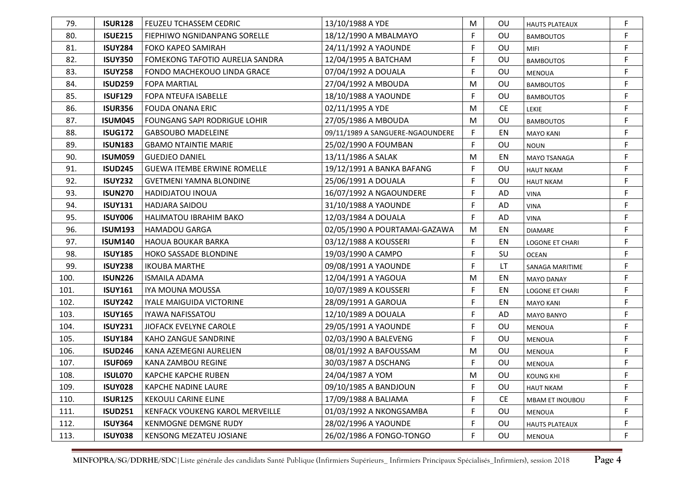| 79.  | <b>ISUR128</b> | <b>FEUZEU TCHASSEM CEDRIC</b>          | 13/10/1988 A YDE                 | M  | 0U        | <b>HAUTS PLATEAUX</b>  | F           |
|------|----------------|----------------------------------------|----------------------------------|----|-----------|------------------------|-------------|
| 80.  | <b>ISUE215</b> | FIEPHIWO NGNIDANPANG SORELLE           | 18/12/1990 A MBALMAYO            | F  | OU        | <b>BAMBOUTOS</b>       | F           |
| 81.  | <b>ISUY284</b> | FOKO KAPEO SAMIRAH                     | 24/11/1992 A YAOUNDE             | F  | OU        | MIFI                   | $\mathsf F$ |
| 82.  | <b>ISUY350</b> | <b>FOMEKONG TAFOTIO AURELIA SANDRA</b> | 12/04/1995 A BATCHAM             | F  | OU        | <b>BAMBOUTOS</b>       | F           |
| 83.  | <b>ISUY258</b> | FONDO MACHEKOUO LINDA GRACE            | 07/04/1992 A DOUALA              | F  | OU        | <b>MENOUA</b>          | F           |
| 84.  | <b>ISUD259</b> | <b>FOPA MARTIAL</b>                    | 27/04/1992 A MBOUDA              | M  | OU        | <b>BAMBOUTOS</b>       | F           |
| 85.  | <b>ISUF129</b> | <b>FOPA NTEUFA ISABELLE</b>            | 18/10/1988 A YAOUNDE             | F  | <b>OU</b> | <b>BAMBOUTOS</b>       | $\mathsf F$ |
| 86.  | <b>ISUR356</b> | <b>FOUDA ONANA ERIC</b>                | 02/11/1995 A YDE                 | M  | <b>CE</b> | LEKIE                  | $\mathsf F$ |
| 87.  | <b>ISUM045</b> | FOUNGANG SAPI RODRIGUE LOHIR           | 27/05/1986 A MBOUDA              | M  | <b>OU</b> | <b>BAMBOUTOS</b>       | F           |
| 88.  | <b>ISUG172</b> | <b>GABSOUBO MADELEINE</b>              | 09/11/1989 A SANGUERE-NGAOUNDERE | F  | EN        | <b>MAYO KANI</b>       | F           |
| 89.  | <b>ISUN183</b> | <b>GBAMO NTAINTIE MARIE</b>            | 25/02/1990 A FOUMBAN             | F  | OU        | <b>NOUN</b>            | F           |
| 90.  | <b>ISUM059</b> | <b>GUEDJEO DANIEL</b>                  | 13/11/1986 A SALAK               | M  | EN        | MAYO TSANAGA           | F           |
| 91.  | <b>ISUD245</b> | <b>GUEWA ITEMBE ERWINE ROMELLE</b>     | 19/12/1991 A BANKA BAFANG        | F  | OU        | <b>HAUT NKAM</b>       | F           |
| 92.  | <b>ISUY232</b> | <b>GVETMENI YAMNA BLONDINE</b>         | 25/06/1991 A DOUALA              | F  | OU        | <b>HAUT NKAM</b>       | F           |
| 93.  | <b>ISUN270</b> | <b>HADIDJATOU INOUA</b>                | 16/07/1992 A NGAOUNDERE          | F  | AD        | <b>VINA</b>            | $\mathsf F$ |
| 94.  | <b>ISUY131</b> | <b>HADJARA SAIDOU</b>                  | 31/10/1988 A YAOUNDE             | F  | AD        | <b>VINA</b>            | F           |
| 95.  | <b>ISUY006</b> | <b>HALIMATOU IBRAHIM BAKO</b>          | 12/03/1984 A DOUALA              | F  | AD        | <b>VINA</b>            | F           |
| 96.  | <b>ISUM193</b> | <b>HAMADOU GARGA</b>                   | 02/05/1990 A POURTAMAI-GAZAWA    | M  | EN        | <b>DIAMARE</b>         | F           |
| 97.  | <b>ISUM140</b> | <b>HAOUA BOUKAR BARKA</b>              | 03/12/1988 A KOUSSERI            | F. | EN        | LOGONE ET CHARI        | F           |
| 98.  | <b>ISUY185</b> | <b>HOKO SASSADE BLONDINE</b>           | 19/03/1990 A CAMPO               | F  | SU        | <b>OCEAN</b>           | F           |
| 99.  | <b>ISUY238</b> | <b>IKOUBA MARTHE</b>                   | 09/08/1991 A YAOUNDE             | F  | LT.       | SANAGA MARITIME        | F           |
| 100. | <b>ISUN226</b> | <b>ISMAILA ADAMA</b>                   | 12/04/1991 A YAGOUA              | M  | EN        | <b>MAYO DANAY</b>      | F           |
| 101. | <b>ISUY161</b> | IYA MOUNA MOUSSA                       | 10/07/1989 A KOUSSERI            | F  | EN        | <b>LOGONE ET CHARI</b> | F           |
| 102. | <b>ISUY242</b> | <b>IYALE MAIGUIDA VICTORINE</b>        | 28/09/1991 A GAROUA              | F  | EN        | <b>MAYO KANI</b>       | F           |
| 103. | <b>ISUY165</b> | <b>IYAWA NAFISSATOU</b>                | 12/10/1989 A DOUALA              | F  | AD        | <b>MAYO BANYO</b>      | F           |
| 104. | <b>ISUY231</b> | <b>JIOFACK EVELYNE CAROLE</b>          | 29/05/1991 A YAOUNDE             | F  | OU        | <b>MENOUA</b>          | F           |
| 105. | <b>ISUY184</b> | KAHO ZANGUE SANDRINE                   | 02/03/1990 A BALEVENG            | F  | OU        | <b>MENOUA</b>          | F           |
| 106. | <b>ISUD246</b> | KANA AZEMEGNI AURELIEN                 | 08/01/1992 A BAFOUSSAM           | M  | OU        | <b>MENOUA</b>          | $\mathsf F$ |
| 107. | <b>ISUF069</b> | KANA ZAMBOU REGINE                     | 30/03/1987 A DSCHANG             | F  | OU        | <b>MENOUA</b>          | F           |
| 108. | <b>ISUL070</b> | <b>KAPCHE KAPCHE RUBEN</b>             | 24/04/1987 A YOM                 | м  | OU        | <b>KOUNG KHI</b>       | F           |
| 109. | <b>ISUY028</b> | KAPCHE NADINE LAURE                    | 09/10/1985 A BANDJOUN            | F  | OU        | <b>HAUT NKAM</b>       | F           |
| 110. | <b>ISUR125</b> | <b>KEKOULI CARINE ELINE</b>            | 17/09/1988 A BALIAMA             | F  | CE        | MBAM ET INOUBOU        | F           |
| 111. | <b>ISUD251</b> | KENFACK VOUKENG KAROL MERVEILLE        | 01/03/1992 A NKONGSAMBA          | F  | OU        | MENOUA                 | F           |
| 112. | <b>ISUY364</b> | <b>KENMOGNE DEMGNE RUDY</b>            | 28/02/1996 A YAOUNDE             | F  | OU        | <b>HAUTS PLATEAUX</b>  | F           |
| 113. | <b>ISUY038</b> | KENSONG MEZATEU JOSIANE                | 26/02/1986 A FONGO-TONGO         | F  | OU        | MENOUA                 | F           |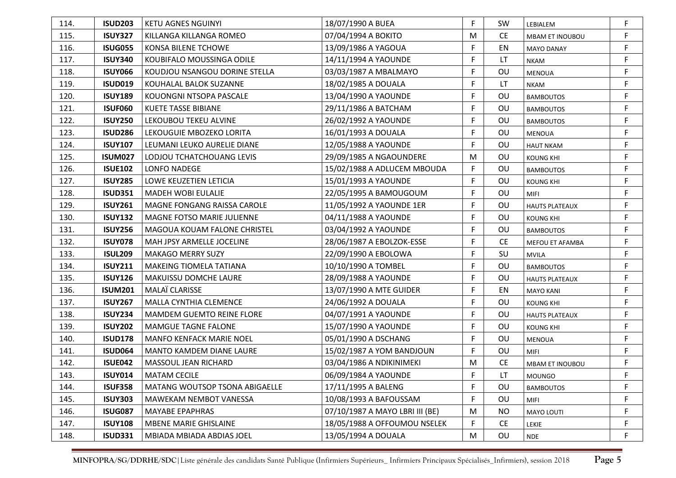| 114. | <b>ISUD203</b> | <b>KETU AGNES NGUINYI</b>          | 18/07/1990 A BUEA               | F | SW        | LEBIALEM               | F |
|------|----------------|------------------------------------|---------------------------------|---|-----------|------------------------|---|
| 115. | <b>ISUY327</b> | KILLANGA KILLANGA ROMEO            | 07/04/1994 A BOKITO             | M | <b>CE</b> | <b>MBAM ET INOUBOU</b> | F |
| 116. | <b>ISUG055</b> | KONSA BILENE TCHOWE                | 13/09/1986 A YAGOUA             | F | EN        | <b>MAYO DANAY</b>      | F |
| 117. | <b>ISUY340</b> | KOUBIFALO MOUSSINGA ODILE          | 14/11/1994 A YAOUNDE            | F | LT        | <b>NKAM</b>            | F |
| 118. | <b>ISUY066</b> | KOUDJOU NSANGOU DORINE STELLA      | 03/03/1987 A MBALMAYO           | F | OU        | <b>MENOUA</b>          | F |
| 119. | <b>ISUD019</b> | KOUHALAL BALOK SUZANNE             | 18/02/1985 A DOUALA             | F | LT        | <b>NKAM</b>            | F |
| 120. | <b>ISUY189</b> | KOUONGNI NTSOPA PASCALE            | 13/04/1990 A YAOUNDE            | F | OU        | <b>BAMBOUTOS</b>       | F |
| 121. | <b>ISUF060</b> | <b>KUETE TASSE BIBIANE</b>         | 29/11/1986 A BATCHAM            | F | OU        | <b>BAMBOUTOS</b>       | F |
| 122. | <b>ISUY250</b> | LEKOUBOU TEKEU ALVINE              | 26/02/1992 A YAOUNDE            | F | OU        | <b>BAMBOUTOS</b>       | F |
| 123. | <b>ISUD286</b> | LEKOUGUIE MBOZEKO LORITA           | 16/01/1993 A DOUALA             | F | OU        | <b>MENOUA</b>          | F |
| 124. | <b>ISUY107</b> | LEUMANI LEUKO AURELIE DIANE        | 12/05/1988 A YAOUNDE            | F | <b>OU</b> | <b>HAUT NKAM</b>       | F |
| 125. | <b>ISUM027</b> | LODJOU TCHATCHOUANG LEVIS          | 29/09/1985 A NGAOUNDERE         | M | OU        | <b>KOUNG KHI</b>       | F |
| 126. | <b>ISUE102</b> | LONFO NADEGE                       | 15/02/1988 A ADLUCEM MBOUDA     | F | OU        | <b>BAMBOUTOS</b>       | F |
| 127. | <b>ISUY285</b> | LOWE KEUZETIEN LETICIA             | 15/01/1993 A YAOUNDE            | F | OU        | <b>KOUNG KHI</b>       | F |
| 128. | <b>ISUD351</b> | <b>MADEH WOBI EULALIE</b>          | 22/05/1995 A BAMOUGOUM          | F | OU        | <b>MIFI</b>            | F |
| 129. | <b>ISUY261</b> | <b>MAGNE FONGANG RAISSA CAROLE</b> | 11/05/1992 A YAOUNDE 1ER        | F | OU        | <b>HAUTS PLATEAUX</b>  | F |
| 130. | <b>ISUY132</b> | MAGNE FOTSO MARIE JULIENNE         | 04/11/1988 A YAOUNDE            | F | OU        | <b>KOUNG KHI</b>       | F |
| 131. | <b>ISUY256</b> | MAGOUA KOUAM FALONE CHRISTEL       | 03/04/1992 A YAOUNDE            | F | OU        | <b>BAMBOUTOS</b>       | F |
| 132. | <b>ISUY078</b> | MAH JPSY ARMELLE JOCELINE          | 28/06/1987 A EBOLZOK-ESSE       | F | <b>CE</b> | MEFOU ET AFAMBA        | F |
| 133. | <b>ISUL209</b> | <b>MAKAGO MERRY SUZY</b>           | 22/09/1990 A EBOLOWA            | F | SU        | <b>MVILA</b>           | F |
| 134. | <b>ISUY211</b> | <b>MAKEING TIOMELA TATIANA</b>     | 10/10/1990 A TOMBEL             | F | <b>OU</b> | <b>BAMBOUTOS</b>       | F |
| 135. | <b>ISUY126</b> | <b>MAKUISSU DOMCHE LAURE</b>       | 28/09/1988 A YAOUNDE            | F | OU        | <b>HAUTS PLATEAUX</b>  | F |
| 136. | <b>ISUM201</b> | <b>MALAÏ CLARISSE</b>              | 13/07/1990 A MTE GUIDER         | F | EN        | <b>MAYO KANI</b>       | F |
| 137. | <b>ISUY267</b> | <b>MALLA CYNTHIA CLEMENCE</b>      | 24/06/1992 A DOUALA             | F | OU        | <b>KOUNG KHI</b>       | F |
| 138. | <b>ISUY234</b> | MAMDEM GUEMTO REINE FLORE          | 04/07/1991 A YAOUNDE            | F | OU        | <b>HAUTS PLATEAUX</b>  | F |
| 139. | <b>ISUY202</b> | <b>MAMGUE TAGNE FALONE</b>         | 15/07/1990 A YAOUNDE            | F | OU        | <b>KOUNG KHI</b>       | F |
| 140. | <b>ISUD178</b> | <b>MANFO KENFACK MARIE NOEL</b>    | 05/01/1990 A DSCHANG            | F | OU        | MENOUA                 | F |
| 141. | <b>ISUD064</b> | <b>MANTO KAMDEM DIANE LAURE</b>    | 15/02/1987 A YOM BANDJOUN       | F | OU        | MIFI                   | F |
| 142. | <b>ISUE042</b> | MASSOUL JEAN RICHARD               | 03/04/1986 A NDIKINIMEKI        | M | <b>CE</b> | <b>MBAM ET INOUBOU</b> | F |
| 143. | <b>ISUY014</b> | <b>MATAM CECILE</b>                | 06/09/1984 A YAOUNDE            | F | LT.       | MOUNGO                 | F |
| 144. | <b>ISUF358</b> | MATANG WOUTSOP TSONA ABIGAELLE     | 17/11/1995 A BALENG             | F | OU        | <b>BAMBOUTOS</b>       | F |
| 145. | <b>ISUY303</b> | MAWEKAM NEMBOT VANESSA             | 10/08/1993 A BAFOUSSAM          | F | OU        | MIFI                   | F |
| 146. | <b>ISUG087</b> | <b>MAYABE EPAPHRAS</b>             | 07/10/1987 A MAYO LBRI III (BE) | M | <b>NO</b> | MAYO LOUTI             | F |
| 147. | <b>ISUY108</b> | <b>MBENE MARIE GHISLAINE</b>       | 18/05/1988 A OFFOUMOU NSELEK    | F | <b>CE</b> | LEKIE                  | F |
| 148. | <b>ISUD331</b> | MBIADA MBIADA ABDIAS JOEL          | 13/05/1994 A DOUALA             | M | OU        | <b>NDE</b>             | F |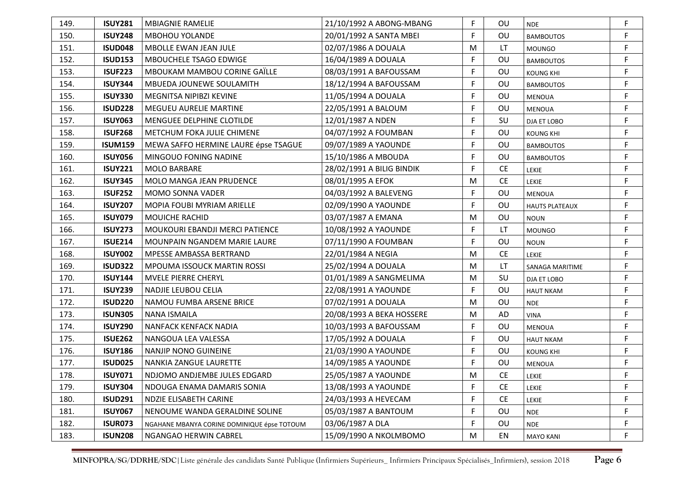| 149. | <b>ISUY281</b> | <b>MBIAGNIE RAMELIE</b>                     | 21/10/1992 A ABONG-MBANG  | F           | OU        | <b>NDE</b>            | F |
|------|----------------|---------------------------------------------|---------------------------|-------------|-----------|-----------------------|---|
| 150. | <b>ISUY248</b> | <b>MBOHOU YOLANDE</b>                       | 20/01/1992 A SANTA MBEI   | F           | OU        | <b>BAMBOUTOS</b>      | F |
| 151. | <b>ISUD048</b> | MBOLLE EWAN JEAN JULE                       | 02/07/1986 A DOUALA       | M           | LT        | <b>MOUNGO</b>         | F |
| 152. | <b>ISUD153</b> | MBOUCHELE TSAGO EDWIGE                      | 16/04/1989 A DOUALA       | F           | OU        | <b>BAMBOUTOS</b>      | F |
| 153. | <b>ISUF223</b> | MBOUKAM MAMBOU CORINE GAÏLLE                | 08/03/1991 A BAFOUSSAM    | F           | OU        | <b>KOUNG KHI</b>      | F |
| 154. | <b>ISUY344</b> | MBUEDA JOUNEWE SOULAMITH                    | 18/12/1994 A BAFOUSSAM    | F           | OU        | <b>BAMBOUTOS</b>      | F |
| 155. | <b>ISUY330</b> | MEGNITSA NIPIBZI KEVINE                     | 11/05/1994 A DOUALA       | F           | OU        | <b>MENOUA</b>         | F |
| 156. | <b>ISUD228</b> | <b>MEGUEU AURELIE MARTINE</b>               | 22/05/1991 A BALOUM       | F           | OU        | <b>MENOUA</b>         | F |
| 157. | <b>ISUY063</b> | MENGUEE DELPHINE CLOTILDE                   | 12/01/1987 A NDEN         | F           | SU        | DJA ET LOBO           | F |
| 158. | <b>ISUF268</b> | METCHUM FOKA JULIE CHIMENE                  | 04/07/1992 A FOUMBAN      | F           | OU        | <b>KOUNG KHI</b>      | F |
| 159. | <b>ISUM159</b> | MEWA SAFFO HERMINE LAURE épse TSAGUE        | 09/07/1989 A YAOUNDE      | F           | OU        | <b>BAMBOUTOS</b>      | F |
| 160. | <b>ISUY056</b> | MINGOUO FONING NADINE                       | 15/10/1986 A MBOUDA       | F           | OU        | <b>BAMBOUTOS</b>      | F |
| 161. | <b>ISUY221</b> | <b>MOLO BARBARE</b>                         | 28/02/1991 A BILIG BINDIK | F           | <b>CE</b> | LEKIE                 | F |
| 162. | <b>ISUY345</b> | <b>MOLO MANGA JEAN PRUDENCE</b>             | 08/01/1995 A EFOK         | M           | <b>CE</b> | <b>LEKIE</b>          | F |
| 163. | <b>ISUF252</b> | <b>MOMO SONNA VADER</b>                     | 04/03/1992 A BALEVENG     | F           | OU        | <b>MENOUA</b>         | F |
| 164. | <b>ISUY207</b> | MOPIA FOUBI MYRIAM ARIELLE                  | 02/09/1990 A YAOUNDE      | F           | OU        | <b>HAUTS PLATEAUX</b> | F |
| 165. | <b>ISUY079</b> | <b>MOUICHE RACHID</b>                       | 03/07/1987 A EMANA        | M           | OU        | <b>NOUN</b>           | F |
| 166. | <b>ISUY273</b> | <b>MOUKOURI EBANDJI MERCI PATIENCE</b>      | 10/08/1992 A YAOUNDE      | F           | LT        | <b>MOUNGO</b>         | F |
| 167. | <b>ISUE214</b> | MOUNPAIN NGANDEM MARIE LAURE                | 07/11/1990 A FOUMBAN      | F           | OU        | <b>NOUN</b>           | F |
| 168. | <b>ISUY002</b> | <b>MPESSE AMBASSA BERTRAND</b>              | 22/01/1984 A NEGIA        | M           | <b>CE</b> | <b>LEKIE</b>          | F |
| 169. | <b>ISUD322</b> | MPOUMA ISSOUCK MARTIN ROSSI                 | 25/02/1994 A DOUALA       | M           | LT.       | SANAGA MARITIME       | F |
| 170. | <b>ISUY144</b> | <b>MVELE PIERRE CHERYL</b>                  | 01/01/1989 A SANGMELIMA   | M           | SU        | DJA ET LOBO           | F |
| 171. | <b>ISUY239</b> | NADJIE LEUBOU CELIA                         | 22/08/1991 A YAOUNDE      | F           | OU        | <b>HAUT NKAM</b>      | F |
| 172. | <b>ISUD220</b> | NAMOU FUMBA ARSENE BRICE                    | 07/02/1991 A DOUALA       | M           | OU        | <b>NDE</b>            | F |
| 173. | <b>ISUN305</b> | NANA ISMAILA                                | 20/08/1993 A BEKA HOSSERE | M           | AD        | <b>VINA</b>           | F |
| 174. | <b>ISUY290</b> | <b>NANFACK KENFACK NADIA</b>                | 10/03/1993 A BAFOUSSAM    | $\mathsf F$ | OU        | <b>MENOUA</b>         | F |
| 175. | <b>ISUE262</b> | NANGOUA LEA VALESSA                         | 17/05/1992 A DOUALA       | F           | OU        | <b>HAUT NKAM</b>      | F |
| 176. | <b>ISUY186</b> | <b>NANJIP NONO GUINEINE</b>                 | 21/03/1990 A YAOUNDE      | F           | OU        | <b>KOUNG KHI</b>      | F |
| 177. | <b>ISUD025</b> | NANKIA ZANGUE LAURETTE                      | 14/09/1985 A YAOUNDE      | F.          | OU        | MENOUA                | F |
| 178. | <b>ISUY071</b> | NDJOMO ANDJEMBE JULES EDGARD                | 25/05/1987 A YAOUNDE      | M           | <b>CE</b> | LEKIE                 |   |
| 179. | <b>ISUY304</b> | NDOUGA ENAMA DAMARIS SONIA                  | 13/08/1993 A YAOUNDE      | $\mathsf F$ | <b>CE</b> | LEKIE                 | F |
| 180. | <b>ISUD291</b> | NDZIE ELISABETH CARINE                      | 24/03/1993 A HEVECAM      | F           | CE        | LEKIE                 | F |
| 181. | <b>ISUY067</b> | NENOUME WANDA GERALDINE SOLINE              | 05/03/1987 A BANTOUM      | F           | OU        | <b>NDE</b>            | F |
| 182. | <b>ISUR073</b> | NGAHANE MBANYA CORINE DOMINIQUE épse TOTOUM | 03/06/1987 A DLA          | F           | OU        | <b>NDE</b>            | F |
| 183. | <b>ISUN208</b> | NGANGAO HERWIN CABREL                       | 15/09/1990 A NKOLMBOMO    | M           | EN        | <b>MAYO KANI</b>      | F |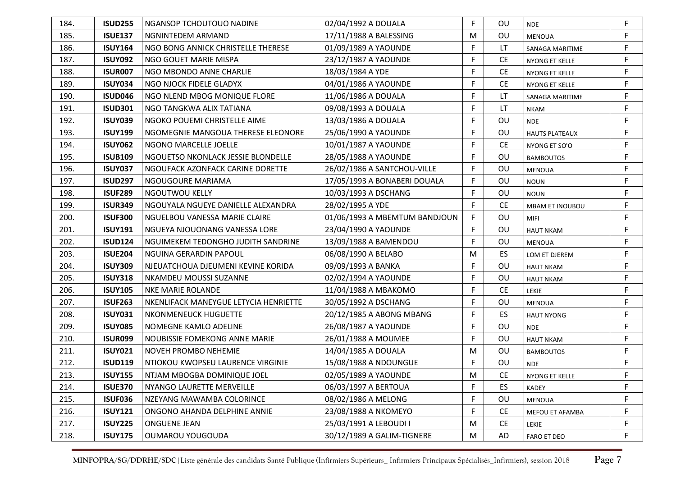| 184. | <b>ISUD255</b> | NGANSOP TCHOUTOUO NADINE              | 02/04/1992 A DOUALA           | F | <b>OU</b> | <b>NDE</b>            | F           |
|------|----------------|---------------------------------------|-------------------------------|---|-----------|-----------------------|-------------|
| 185. | <b>ISUE137</b> | NGNINTEDEM ARMAND                     | 17/11/1988 A BALESSING        | M | OU        | MENOUA                | F           |
| 186. | <b>ISUY164</b> | NGO BONG ANNICK CHRISTELLE THERESE    | 01/09/1989 A YAOUNDE          | F | LT        | SANAGA MARITIME       | F           |
| 187. | <b>ISUY092</b> | NGO GOUET MARIE MISPA                 | 23/12/1987 A YAOUNDE          | F | <b>CE</b> | NYONG ET KELLE        | F           |
| 188. | <b>ISUR007</b> | NGO MBONDO ANNE CHARLIE               | 18/03/1984 A YDE              | F | <b>CE</b> | NYONG ET KELLE        | F           |
| 189. | <b>ISUY034</b> | NGO NJOCK FIDELE GLADYX               | 04/01/1986 A YAOUNDE          | F | <b>CE</b> | NYONG ET KELLE        | F           |
| 190. | ISUD046        | NGO NLEND MBOG MONIQUE FLORE          | 11/06/1986 A DOUALA           | F | LT        | SANAGA MARITIME       | F           |
| 191. | <b>ISUD301</b> | NGO TANGKWA ALIX TATIANA              | 09/08/1993 A DOUALA           | F | <b>LT</b> | <b>NKAM</b>           | F           |
| 192. | <b>ISUY039</b> | NGOKO POUEMI CHRISTELLE AIME          | 13/03/1986 A DOUALA           | F | OU        | <b>NDE</b>            | F           |
| 193. | <b>ISUY199</b> | NGOMEGNIE MANGOUA THERESE ELEONORE    | 25/06/1990 A YAOUNDE          | F | OU        | <b>HAUTS PLATEAUX</b> | F           |
| 194. | <b>ISUY062</b> | NGONO MARCELLE JOELLE                 | 10/01/1987 A YAOUNDE          | F | <b>CE</b> | NYONG ET SO'O         | F           |
| 195. | <b>ISUB109</b> | NGOUETSO NKONLACK JESSIE BLONDELLE    | 28/05/1988 A YAOUNDE          | F | OU        | <b>BAMBOUTOS</b>      | F           |
| 196. | <b>ISUY037</b> | NGOUFACK AZONFACK CARINE DORETTE      | 26/02/1986 A SANTCHOU-VILLE   | F | <b>OU</b> | <b>MENOUA</b>         | F           |
| 197. | <b>ISUD297</b> | NGOUGOURE MARIAMA                     | 17/05/1993 A BONABERI DOUALA  | F | OU        | <b>NOUN</b>           | F           |
| 198. | <b>ISUF289</b> | <b>NGOUTWOU KELLY</b>                 | 10/03/1993 A DSCHANG          | F | OU        | <b>NOUN</b>           | F           |
| 199. | <b>ISUR349</b> | NGOUYALA NGUEYE DANIELLE ALEXANDRA    | 28/02/1995 A YDE              | F | <b>CE</b> | MBAM ET INOUBOU       | F           |
| 200. | <b>ISUF300</b> | NGUELBOU VANESSA MARIE CLAIRE         | 01/06/1993 A MBEMTUM BANDJOUN | F | OU        | MIFI                  | F           |
| 201. | <b>ISUY191</b> | NGUEYA NJOUONANG VANESSA LORE         | 23/04/1990 A YAOUNDE          | F | OU        | <b>HAUT NKAM</b>      | F           |
| 202. | <b>ISUD124</b> | NGUIMEKEM TEDONGHO JUDITH SANDRINE    | 13/09/1988 A BAMENDOU         | F | OU        | <b>MENOUA</b>         | F           |
| 203. | <b>ISUE204</b> | NGUINA GERARDIN PAPOUL                | 06/08/1990 A BELABO           | M | ES        | LOM ET DJEREM         | F           |
| 204. | <b>ISUY309</b> | NJEUATCHOUA DJEUMENI KEVINE KORIDA    | 09/09/1993 A BANKA            | F | OU        | <b>HAUT NKAM</b>      | F           |
| 205. | <b>ISUY318</b> | NKAMDEU MOUSSI SUZANNE                | 02/02/1994 A YAOUNDE          | F | OU        | <b>HAUT NKAM</b>      | F           |
| 206. | <b>ISUY105</b> | <b>NKE MARIE ROLANDE</b>              | 11/04/1988 A MBAKOMO          | F | <b>CE</b> | <b>LEKIE</b>          | F           |
| 207. | <b>ISUF263</b> | NKENLIFACK MANEYGUE LETYCIA HENRIETTE | 30/05/1992 A DSCHANG          | F | OU        | <b>MENOUA</b>         | F           |
| 208. | <b>ISUY031</b> | NKONMENEUCK HUGUETTE                  | 20/12/1985 A ABONG MBANG      | F | ES        | <b>HAUT NYONG</b>     | F           |
| 209. | <b>ISUY085</b> | NOMEGNE KAMLO ADELINE                 | 26/08/1987 A YAOUNDE          | F | OU        | <b>NDE</b>            | $\mathsf F$ |
| 210. | <b>ISUR099</b> | NOUBISSIE FOMEKONG ANNE MARIE         | 26/01/1988 A MOUMEE           | F | OU        | <b>HAUT NKAM</b>      | F           |
| 211. | <b>ISUY021</b> | <b>NOVEH PROMBO NEHEMIE</b>           | 14/04/1985 A DOUALA           | M | OU        | <b>BAMBOUTOS</b>      | $\mathsf F$ |
| 212. | <b>ISUD119</b> | NTIOKOU KWOPSEU LAURENCE VIRGINIE     | 15/08/1988 A NDOUNGUE         | F | OU        | <b>NDE</b>            | F           |
| 213. | <b>ISUY155</b> | NTJAM MBOGBA DOMINIQUE JOEL           | 02/05/1989 A YAOUNDE          | м | <b>CE</b> | NYONG ET KELLE        | F           |
| 214. | <b>ISUE370</b> | NYANGO LAURETTE MERVEILLE             | 06/03/1997 A BERTOUA          | F | ES        | KADEY                 | F           |
| 215. | <b>ISUF036</b> | NZEYANG MAWAMBA COLORINCE             | 08/02/1986 A MELONG           | F | OU        | MENOUA                | F           |
| 216. | <b>ISUY121</b> | ONGONO AHANDA DELPHINE ANNIE          | 23/08/1988 A NKOMEYO          | F | <b>CE</b> | MEFOU ET AFAMBA       | F           |
| 217. | <b>ISUY225</b> | <b>ONGUENE JEAN</b>                   | 25/03/1991 A LEBOUDI I        | M | <b>CE</b> | LEKIE                 | F           |
| 218. | <b>ISUY175</b> | <b>OUMAROU YOUGOUDA</b>               | 30/12/1989 A GALIM-TIGNERE    | M | AD        | <b>FARO ET DEO</b>    | F           |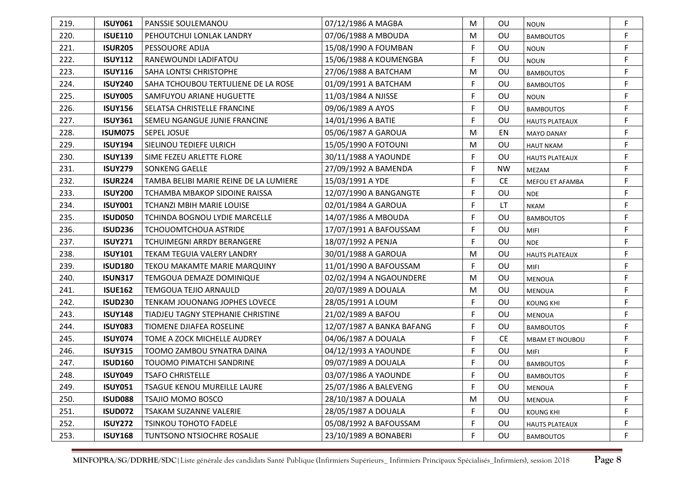| 219. | <b>ISUY061</b> | <b>PANSSIE SOULEMANOU</b>              | 07/12/1986 A MAGBA        | M  | OU        | <b>NOUN</b>           | F           |
|------|----------------|----------------------------------------|---------------------------|----|-----------|-----------------------|-------------|
| 220. | <b>ISUE110</b> | PEHOUTCHUI LONLAK LANDRY               | 07/06/1988 A MBOUDA       | M  | OU        | <b>BAMBOUTOS</b>      | F           |
| 221. | <b>ISUR205</b> | PESSOUORE ADIJA                        | 15/08/1990 A FOUMBAN      | F  | <b>OU</b> | <b>NOUN</b>           | F           |
| 222. | <b>ISUY112</b> | RANEWOUNDI LADIFATOU                   | 15/06/1988 A KOUMENGBA    | F  | OU        | <b>NOUN</b>           | F           |
| 223. | <b>ISUY116</b> | SAHA LONTSI CHRISTOPHE                 | 27/06/1988 A BATCHAM      | M  | <b>OU</b> | <b>BAMBOUTOS</b>      | F           |
| 224. | <b>ISUY240</b> | SAHA TCHOUBOU TERTULIENE DE LA ROSE    | 01/09/1991 A BATCHAM      | F  | OU        | <b>BAMBOUTOS</b>      | F           |
| 225. | <b>ISUY005</b> | SAMFUYOU ARIANE HUGUETTE               | 11/03/1984 A NJISSE       | F  | OU        | <b>NOUN</b>           | F           |
| 226. | <b>ISUY156</b> | <b>SELATSA CHRISTELLE FRANCINE</b>     | 09/06/1989 A AYOS         | F  | OU        | <b>BAMBOUTOS</b>      | F           |
| 227. | <b>ISUY361</b> | <b>SEMEU NGANGUE JUNIE FRANCINE</b>    | 14/01/1996 A BATIE        | F  | OU        | <b>HAUTS PLATEAUX</b> | F           |
| 228. | <b>ISUM075</b> | <b>SEPEL JOSUE</b>                     | 05/06/1987 A GAROUA       | M  | EN        | <b>MAYO DANAY</b>     | F           |
| 229. | <b>ISUY194</b> | SIELINOU TEDIEFE ULRICH                | 15/05/1990 A FOTOUNI      | M  | OU        | <b>HAUT NKAM</b>      | F           |
| 230. | <b>ISUY139</b> | SIME FEZEU ARLETTE FLORE               | 30/11/1988 A YAOUNDE      | F  | OU        | <b>HAUTS PLATEAUX</b> | F           |
| 231. | <b>ISUY279</b> | <b>SONKENG GAELLE</b>                  | 27/09/1992 A BAMENDA      | F. | <b>NW</b> | MEZAM                 | F.          |
| 232. | <b>ISUR224</b> | TAMBA BELIBI MARIE REINE DE LA LUMIERE | 15/03/1991 A YDE          | F  | <b>CE</b> | MEFOU ET AFAMBA       | F           |
| 233. | <b>ISUY200</b> | TCHAMBA MBAKOP SIDOINE RAISSA          | 12/07/1990 A BANGANGTE    | F  | OU        | <b>NDE</b>            | F           |
| 234. | <b>ISUY001</b> | <b>TCHANZI MBIH MARIE LOUISE</b>       | 02/01/1984 A GAROUA       | F  | LT        | <b>NKAM</b>           | F           |
| 235. | ISUD050        | <b>TCHINDA BOGNOU LYDIE MARCELLE</b>   | 14/07/1986 A MBOUDA       | F  | OU        | <b>BAMBOUTOS</b>      | F           |
| 236. | <b>ISUD236</b> | <b>TCHOUOMTCHOUA ASTRIDE</b>           | 17/07/1991 A BAFOUSSAM    | F  | OU        | <b>MIFI</b>           | F           |
| 237. | <b>ISUY271</b> | <b>TCHUIMEGNI ARRDY BERANGERE</b>      | 18/07/1992 A PENJA        | F  | OU        | <b>NDE</b>            | F           |
| 238. | <b>ISUY101</b> | TEKAM TEGUIA VALERY LANDRY             | 30/01/1988 A GAROUA       | M  | OU        | <b>HAUTS PLATEAUX</b> | F           |
| 239. | <b>ISUD180</b> | TEKOU MAKAMTE MARIE MARQUINY           | 11/01/1990 A BAFOUSSAM    | F. | OU        | <b>MIFI</b>           | F           |
| 240. | <b>ISUN317</b> | <b>TEMGOUA DEMAZE DOMINIQUE</b>        | 02/02/1994 A NGAOUNDERE   | M  | OU        | <b>MENOUA</b>         | F           |
| 241. | <b>ISUE162</b> | TEMGOUA TEJIO ARNAULD                  | 20/07/1989 A DOUALA       | M  | OU        | MENOUA                | F           |
| 242. | <b>ISUD230</b> | TENKAM JOUONANG JOPHES LOVECE          | 28/05/1991 A LOUM         | F  | OU        | <b>KOUNG KHI</b>      | F           |
| 243. | <b>ISUY148</b> | TIADJEU TAGNY STEPHANIE CHRISTINE      | 21/02/1989 A BAFOU        | F  | OU        | <b>MENOUA</b>         | F           |
| 244. | <b>ISUY083</b> | <b>TIOMENE DJIAFEA ROSELINE</b>        | 12/07/1987 A BANKA BAFANG | F  | OU        | <b>BAMBOUTOS</b>      | F           |
| 245. | <b>ISUY074</b> | TOME A ZOCK MICHELLE AUDREY            | 04/06/1987 A DOUALA       | F  | <b>CE</b> | MBAM ET INOUBOU       | F           |
| 246. | <b>ISUY315</b> | TOOMO ZAMBOU SYNATRA DAINA             | 04/12/1993 A YAOUNDE      | F  | OU        | MIFI                  | F           |
| 247. | <b>ISUD160</b> | TOUOMO PIMATCHI SANDRINE               | 09/07/1989 A DOUALA       | F  | OU        | <b>BAMBOUTOS</b>      | $\mathsf F$ |
| 248. | <b>ISUY049</b> | <b>TSAFO CHRISTELLE</b>                | 03/07/1986 A YAOUNDE      | F  | OU        | <b>BAMBOUTOS</b>      |             |
| 249. | <b>ISUY051</b> | TSAGUE KENOU MUREILLE LAURE            | 25/07/1986 A BALEVENG     | F  | OU        | <b>MENOUA</b>         | F           |
| 250. | <b>ISUD088</b> | <b>TSAJIO MOMO BOSCO</b>               | 28/10/1987 A DOUALA       | M  | OU        | MENOUA                | F           |
| 251. | <b>ISUD072</b> | TSAKAM SUZANNE VALERIE                 | 28/05/1987 A DOUALA       | F  | OU        | <b>KOUNG KHI</b>      | F           |
| 252. | <b>ISUY272</b> | <b>TSINKOU TOHOTO FADELE</b>           | 05/08/1992 A BAFOUSSAM    | F  | OU        | <b>HAUTS PLATEAUX</b> | F           |
| 253. | <b>ISUY168</b> | TUNTSONO NTSIOCHRE ROSALIE             | 23/10/1989 A BONABERI     | F  | OU        | <b>BAMBOUTOS</b>      | F           |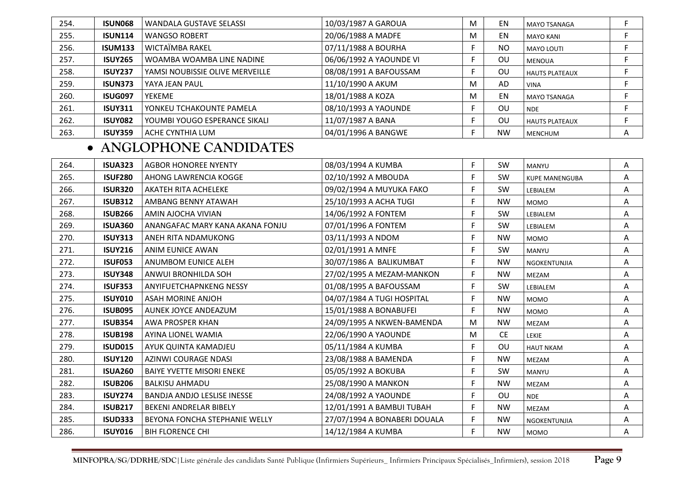| 254. | <b>ISUN068</b> | WANDALA GUSTAVE SELASSI         | 10/03/1987 A GAROUA     | M | EN        | MAYO TSANAGA          |   |
|------|----------------|---------------------------------|-------------------------|---|-----------|-----------------------|---|
| 255. | <b>ISUN114</b> | <b>WANGSO ROBERT</b>            | 20/06/1988 A MADFE      | M | EN        | <b>MAYO KANI</b>      |   |
| 256. | <b>ISUM133</b> | WICTAÏMBA RAKEL                 | 07/11/1988 A BOURHA     |   | <b>NO</b> | <b>MAYO LOUTI</b>     |   |
| 257. | <b>ISUY265</b> | WOAMBA WOAMBA LINE NADINE       | 06/06/1992 A YAOUNDE VI |   | ΟU        | <b>MENOUA</b>         |   |
| 258. | <b>ISUY237</b> | YAMSI NOUBISSIE OLIVE MERVEILLE | 08/08/1991 A BAFOUSSAM  |   | ΟU        | <b>HAUTS PLATEAUX</b> |   |
| 259. | <b>ISUN373</b> | YAYA JEAN PAUL                  | 11/10/1990 A AKUM       | M | AD        | <b>VINA</b>           |   |
| 260. | <b>ISUG097</b> | <b>YEKEME</b>                   | 18/01/1988 A KOZA       | M | EN        | <b>MAYO TSANAGA</b>   |   |
| 261. | <b>ISUY311</b> | YONKEU TCHAKOUNTE PAMELA        | 08/10/1993 A YAOUNDE    |   | ΟU        | <b>NDE</b>            |   |
| 262. | <b>ISUY082</b> | YOUMBI YOUGO ESPERANCE SIKALI   | 11/07/1987 A BANA       |   | ΟU        | <b>HAUTS PLATEAUX</b> |   |
| 263. | <b>ISUY359</b> | ACHE CYNTHIA LUM                | 04/01/1996 A BANGWE     |   | <b>NW</b> | <b>MENCHUM</b>        | A |

# • **ANGLOPHONE CANDIDATES**

| <b>ISUA323</b> | <b>AGBOR HONOREE NYENTY</b>        | 08/03/1994 A KUMBA           | F  | SW        | <b>MANYU</b>          | A |
|----------------|------------------------------------|------------------------------|----|-----------|-----------------------|---|
| <b>ISUF280</b> | AHONG LAWRENCIA KOGGE              | 02/10/1992 A MBOUDA          | F  | SW        | <b>KUPE MANENGUBA</b> | A |
| <b>ISUR320</b> | AKATEH RITA ACHELEKE               | 09/02/1994 A MUYUKA FAKO     | F. | SW        | LEBIALEM              | Α |
| <b>ISUB312</b> | AMBANG BENNY ATAWAH                | 25/10/1993 A ACHA TUGI       | F. | <b>NW</b> | <b>MOMO</b>           | Α |
| <b>ISUB266</b> | AMIN AJOCHA VIVIAN                 | 14/06/1992 A FONTEM          | F  | SW        | LEBIALEM              | A |
| <b>ISUA360</b> | ANANGAFAC MARY KANA AKANA FONJU    | 07/01/1996 A FONTEM          | F. | <b>SW</b> | LEBIALEM              | Α |
| <b>ISUY313</b> | ANEH RITA NDAMUKONG                | 03/11/1993 A NDOM            | F. | <b>NW</b> | <b>MOMO</b>           | A |
| <b>ISUY216</b> | ANIM EUNICE AWAN                   | 02/01/1991 A MNFE            | F. | <b>SW</b> | <b>MANYU</b>          | Α |
| <b>ISUF053</b> | ANUMBOM EUNICE ALEH                | 30/07/1986 A BALIKUMBAT      | F. | <b>NW</b> | NGOKENTUNJIA          | Α |
| <b>ISUY348</b> | ANWUI BRONHILDA SOH                | 27/02/1995 A MEZAM-MANKON    | F. | <b>NW</b> | MEZAM                 | Α |
| <b>ISUF353</b> | ANYIFUETCHAPNKENG NESSY            | 01/08/1995 A BAFOUSSAM       | F  | <b>SW</b> | LEBIALEM              | Α |
| <b>ISUY010</b> | <b>ASAH MORINE ANJOH</b>           | 04/07/1984 A TUGI HOSPITAL   | F. | <b>NW</b> | <b>MOMO</b>           | Α |
| <b>ISUB095</b> | AUNEK JOYCE ANDEAZUM               | 15/01/1988 A BONABUFEI       | F. | <b>NW</b> | <b>MOMO</b>           | A |
| <b>ISUB354</b> | AWA PROSPER KHAN                   | 24/09/1995 A NKWEN-BAMENDA   | M  | <b>NW</b> | MEZAM                 | A |
| <b>ISUB198</b> | AYINA LIONEL WAMIA                 | 22/06/1990 A YAOUNDE         | M  | <b>CE</b> | LEKIE                 | A |
| <b>ISUD015</b> | AYUK QUINTA KAMADJEU               | 05/11/1984 A KUMBA           | F. | OU        | <b>HAUT NKAM</b>      | Α |
| <b>ISUY120</b> | <b>AZINWI COURAGE NDASI</b>        | 23/08/1988 A BAMENDA         | F. | <b>NW</b> | <b>MEZAM</b>          | A |
| <b>ISUA260</b> | <b>BAIYE YVETTE MISORI ENEKE</b>   | 05/05/1992 A BOKUBA          | F. | SW        | MANYU                 | Α |
| <b>ISUB206</b> | <b>BALKISU AHMADU</b>              | 25/08/1990 A MANKON          | F  | <b>NW</b> | <b>MEZAM</b>          | Α |
| <b>ISUY274</b> | <b>BANDJA ANDJO LESLISE INESSE</b> | 24/08/1992 A YAOUNDE         | F. | OU        | <b>NDE</b>            | A |
| <b>ISUB217</b> | <b>BEKENI ANDRELAR BIBELY</b>      | 12/01/1991 A BAMBUI TUBAH    | F  | <b>NW</b> | MEZAM                 | Α |
| <b>ISUD333</b> | BEYONA FONCHA STEPHANIE WELLY      | 27/07/1994 A BONABERI DOUALA | F. | <b>NW</b> | NGOKENTUNJIA          | Α |
| <b>ISUY016</b> | <b>BIH FLORENCE CHI</b>            | 14/12/1984 A KUMBA           | F. | <b>NW</b> | <b>MOMO</b>           | Α |
|                |                                    |                              |    |           |                       |   |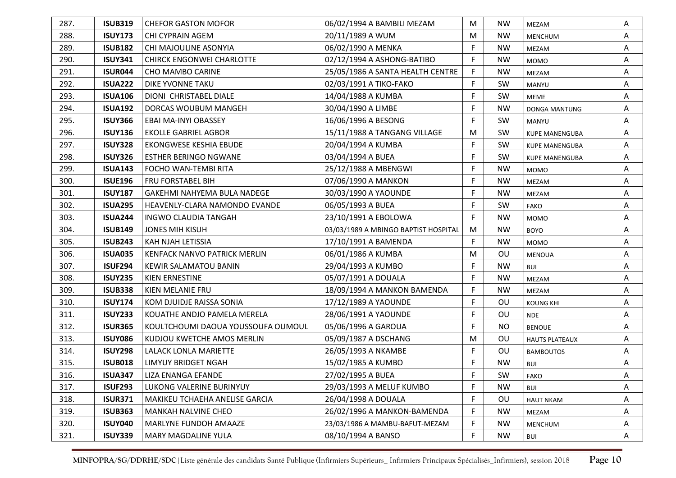| 287. | <b>ISUB319</b> | <b>CHEFOR GASTON MOFOR</b>         | 06/02/1994 A BAMBILI MEZAM           | M           | <b>NW</b> | MEZAM                 | A |
|------|----------------|------------------------------------|--------------------------------------|-------------|-----------|-----------------------|---|
| 288. | <b>ISUY173</b> | CHI CYPRAIN AGEM                   | 20/11/1989 A WUM                     | M           | <b>NW</b> | MENCHUM               | Α |
| 289. | <b>ISUB182</b> | CHI MAJOULINE ASONYIA              | 06/02/1990 A MENKA                   | $\mathsf F$ | <b>NW</b> | MEZAM                 | Α |
| 290. | <b>ISUY341</b> | <b>CHIRCK ENGONWEI CHARLOTTE</b>   | 02/12/1994 A ASHONG-BATIBO           | F.          | <b>NW</b> | <b>MOMO</b>           | Α |
| 291. | <b>ISUR044</b> | <b>CHO MAMBO CARINE</b>            | 25/05/1986 A SANTA HEALTH CENTRE     | F           | <b>NW</b> | MEZAM                 | A |
| 292. | <b>ISUA222</b> | DIKE YVONNE TAKU                   | 02/03/1991 A TIKO-FAKO               | F           | SW        | MANYU                 | Α |
| 293. | <b>ISUA106</b> | DIONI CHRISTABEL DIALE             | 14/04/1988 A KUMBA                   | F           | SW        | MEME                  | Α |
| 294. | <b>ISUA192</b> | DORCAS WOUBUM MANGEH               | 30/04/1990 A LIMBE                   | F           | <b>NW</b> | DONGA MANTUNG         | Α |
| 295. | <b>ISUY366</b> | EBAI MA-INYI OBASSEY               | 16/06/1996 A BESONG                  | F           | <b>SW</b> | MANYU                 | A |
| 296. | <b>ISUY136</b> | <b>EKOLLE GABRIEL AGBOR</b>        | 15/11/1988 A TANGANG VILLAGE         | M           | SW        | <b>KUPE MANENGUBA</b> | A |
| 297. | <b>ISUY328</b> | EKONGWESE KESHIA EBUDE             | 20/04/1994 A KUMBA                   | F           | <b>SW</b> | <b>KUPE MANENGUBA</b> | A |
| 298. | <b>ISUY326</b> | <b>ESTHER BERINGO NGWANE</b>       | 03/04/1994 A BUEA                    | F           | SW        | <b>KUPE MANENGUBA</b> | Α |
| 299. | <b>ISUA143</b> | FOCHO WAN-TEMBI RITA               | 25/12/1988 A MBENGWI                 | F           | <b>NW</b> | <b>MOMO</b>           | Α |
| 300. | <b>ISUE196</b> | FRU FORSTABEL BIH                  | 07/06/1990 A MANKON                  | F           | <b>NW</b> | MEZAM                 | Α |
| 301. | <b>ISUY187</b> | <b>GAKEHMI NAHYEMA BULA NADEGE</b> | 30/03/1990 A YAOUNDE                 | F           | <b>NW</b> | MEZAM                 | A |
| 302. | <b>ISUA295</b> | HEAVENLY-CLARA NAMONDO EVANDE      | 06/05/1993 A BUEA                    | F           | SW        | <b>FAKO</b>           | Α |
| 303. | <b>ISUA244</b> | <b>INGWO CLAUDIA TANGAH</b>        | 23/10/1991 A EBOLOWA                 | F           | <b>NW</b> | <b>MOMO</b>           | A |
| 304. | <b>ISUB149</b> | <b>JONES MIH KISUH</b>             | 03/03/1989 A MBINGO BAPTIST HOSPITAL | M           | <b>NW</b> | <b>BOYO</b>           | A |
| 305. | <b>ISUB243</b> | KAH NJAH LETISSIA                  | 17/10/1991 A BAMENDA                 | F           | <b>NW</b> | <b>MOMO</b>           | Α |
| 306. | <b>ISUA035</b> | KENFACK NANVO PATRICK MERLIN       | 06/01/1986 A KUMBA                   | M           | OU        | <b>MENOUA</b>         | Α |
| 307. | <b>ISUF294</b> | <b>KEWIR SALAMATOU BANIN</b>       | 29/04/1993 A KUMBO                   | F           | <b>NW</b> | <b>BUI</b>            | A |
| 308. | <b>ISUY235</b> | KIEN ERNESTINE                     | 05/07/1991 A DOUALA                  | F           | <b>NW</b> | MEZAM                 | Α |
| 309. | <b>ISUB338</b> | KIEN MELANIE FRU                   | 18/09/1994 A MANKON BAMENDA          | F           | <b>NW</b> | MEZAM                 | Α |
| 310. | <b>ISUY174</b> | KOM DJUIDJE RAISSA SONIA           | 17/12/1989 A YAOUNDE                 | F           | OU        | <b>KOUNG KHI</b>      | Α |
| 311. | <b>ISUY233</b> | KOUATHE ANDJO PAMELA MERELA        | 28/06/1991 A YAOUNDE                 | F           | OU        | <b>NDE</b>            | Α |
| 312. | <b>ISUR365</b> | KOULTCHOUMI DAOUA YOUSSOUFA OUMOUL | 05/06/1996 A GAROUA                  | F           | <b>NO</b> | <b>BENOUE</b>         | Α |
| 313. | <b>ISUY086</b> | KUDJOU KWETCHE AMOS MERLIN         | 05/09/1987 A DSCHANG                 | M           | OU        | <b>HAUTS PLATEAUX</b> | Α |
| 314. | <b>ISUY298</b> | <b>LALACK LONLA MARIETTE</b>       | 26/05/1993 A NKAMBE                  | F           | OU        | <b>BAMBOUTOS</b>      | Α |
| 315. | <b>ISUB018</b> | LIMYUY BRIDGET NGAH                | 15/02/1985 A KUMBO                   | F           | <b>NW</b> | BUI                   | Α |
| 316. | <b>ISUA347</b> | <b>LIZA ENANGA EFANDE</b>          | 27/02/1995 A BUEA                    | E           | SW        | FAKO                  | Α |
| 317. | <b>ISUF293</b> | LUKONG VALERINE BURINYUY           | 29/03/1993 A MELUF KUMBO             | F           | <b>NW</b> | <b>BUI</b>            | Α |
| 318. | <b>ISUR371</b> | MAKIKEU TCHAEHA ANELISE GARCIA     | 26/04/1998 A DOUALA                  | F           | OU        | <b>HAUT NKAM</b>      | Α |
| 319. | <b>ISUB363</b> | MANKAH NALVINE CHEO                | 26/02/1996 A MANKON-BAMENDA          | F           | <b>NW</b> | <b>MEZAM</b>          | Α |
| 320. | <b>ISUY040</b> | MARLYNE FUNDOH AMAAZE              | 23/03/1986 A MAMBU-BAFUT-MEZAM       | F           | <b>NW</b> | MENCHUM               | Α |
| 321. | <b>ISUY339</b> | MARY MAGDALINE YULA                | 08/10/1994 A BANSO                   | F.          | <b>NW</b> | BUI                   | A |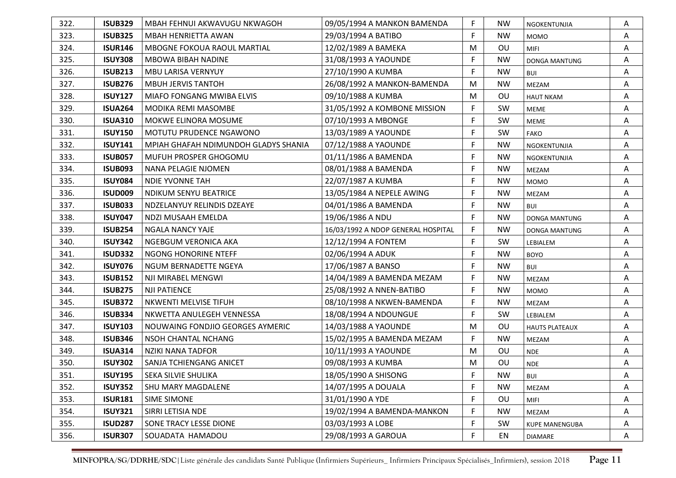| 322. | <b>ISUB329</b> | MBAH FEHNUI AKWAVUGU NKWAGOH         | 09/05/1994 A MANKON BAMENDA        | F. | NW        | NGOKENTUNJIA          | A |
|------|----------------|--------------------------------------|------------------------------------|----|-----------|-----------------------|---|
| 323. | <b>ISUB325</b> | MBAH HENRIETTA AWAN                  | 29/03/1994 A BATIBO                | F. | <b>NW</b> | <b>MOMO</b>           | Α |
| 324. | <b>ISUR146</b> | <b>MBOGNE FOKOUA RAOUL MARTIAL</b>   | 12/02/1989 A BAMEKA                | M  | OU        | <b>MIFI</b>           | Α |
| 325. | <b>ISUY308</b> | <b>MBOWA BIBAH NADINE</b>            | 31/08/1993 A YAOUNDE               | F  | <b>NW</b> | DONGA MANTUNG         | A |
| 326. | <b>ISUB213</b> | <b>MBU LARISA VERNYUY</b>            | 27/10/1990 A KUMBA                 | F  | <b>NW</b> | BUI                   | Α |
| 327. | <b>ISUB276</b> | <b>MBUH JERVIS TANTOH</b>            | 26/08/1992 A MANKON-BAMENDA        | м  | <b>NW</b> | MEZAM                 | Α |
| 328. | <b>ISUY127</b> | MIAFO FONGANG MWIBA ELVIS            | 09/10/1988 A KUMBA                 | M  | <b>OU</b> | <b>HAUT NKAM</b>      | Α |
| 329. | <b>ISUA264</b> | MODIKA REMI MASOMBE                  | 31/05/1992 A KOMBONE MISSION       | F  | SW        | <b>MEME</b>           | A |
| 330. | <b>ISUA310</b> | MOKWE ELINORA MOSUME                 | 07/10/1993 A MBONGE                | F  | <b>SW</b> | <b>MEME</b>           | Α |
| 331. | <b>ISUY150</b> | MOTUTU PRUDENCE NGAWONO              | 13/03/1989 A YAOUNDE               | F  | SW        | <b>FAKO</b>           | Α |
| 332. | <b>ISUY141</b> | MPIAH GHAFAH NDIMUNDOH GLADYS SHANIA | 07/12/1988 A YAOUNDE               | F  | <b>NW</b> | NGOKENTUNJIA          | A |
| 333. | <b>ISUB057</b> | MUFUH PROSPER GHOGOMU                | 01/11/1986 A BAMENDA               | F  | <b>NW</b> | NGOKENTUNJIA          | Α |
| 334. | <b>ISUB093</b> | NANA PELAGIE NJOMEN                  | 08/01/1988 A BAMENDA               | F  | <b>NW</b> | MEZAM                 | A |
| 335. | <b>ISUY084</b> | <b>NDIE YVONNE TAH</b>               | 22/07/1987 A KUMBA                 | F  | <b>NW</b> | <b>MOMO</b>           | Α |
| 336. | <b>ISUD009</b> | <b>NDIKUM SENYU BEATRICE</b>         | 13/05/1984 A NEPELE AWING          | F  | <b>NW</b> | MEZAM                 | Α |
| 337. | <b>ISUB033</b> | NDZELANYUY RELINDIS DZEAYE           | 04/01/1986 A BAMENDA               | F  | <b>NW</b> | <b>BUI</b>            | Α |
| 338. | <b>ISUY047</b> | NDZI MUSAAH EMELDA                   | 19/06/1986 A NDU                   | F  | <b>NW</b> | DONGA MANTUNG         | A |
| 339. | <b>ISUB254</b> | <b>NGALA NANCY YAJE</b>              | 16/03/1992 A NDOP GENERAL HOSPITAL | F  | <b>NW</b> | DONGA MANTUNG         | Α |
| 340. | <b>ISUY342</b> | NGEBGUM VERONICA AKA                 | 12/12/1994 A FONTEM                | F  | <b>SW</b> | LEBIALEM              | Α |
| 341. | <b>ISUD332</b> | NGONG HONORINE NTEFF                 | 02/06/1994 A ADUK                  | F  | <b>NW</b> | <b>BOYO</b>           | A |
| 342. | <b>ISUY076</b> | NGUM BERNADETTE NGEYA                | 17/06/1987 A BANSO                 | F  | <b>NW</b> | <b>BUI</b>            | Α |
| 343. | <b>ISUB152</b> | NJI MIRABEL MENGWI                   | 14/04/1989 A BAMENDA MEZAM         | F. | <b>NW</b> | <b>MEZAM</b>          | Α |
| 344. | <b>ISUB275</b> | <b>NJI PATIENCE</b>                  | 25/08/1992 A NNEN-BATIBO           | F  | <b>NW</b> | <b>MOMO</b>           | Α |
| 345. | <b>ISUB372</b> | NKWENTI MELVISE TIFUH                | 08/10/1998 A NKWEN-BAMENDA         | F  | <b>NW</b> | <b>MEZAM</b>          | Α |
| 346. | <b>ISUB334</b> | NKWETTA ANULEGEH VENNESSA            | 18/08/1994 A NDOUNGUE              | F  | SW        | LEBIALEM              | Α |
| 347. | <b>ISUY103</b> | NOUWAING FONDJIO GEORGES AYMERIC     | 14/03/1988 A YAOUNDE               | M  | OU        | <b>HAUTS PLATEAUX</b> | A |
| 348. | <b>ISUB346</b> | NSOH CHANTAL NCHANG                  | 15/02/1995 A BAMENDA MEZAM         | F  | <b>NW</b> | MEZAM                 | Α |
| 349. | <b>ISUA314</b> | NZIKI NANA TADFOR                    | 10/11/1993 A YAOUNDE               | M  | OU        | <b>NDE</b>            | Α |
| 350. | <b>ISUY302</b> | SANJA TCHIENGANG ANICET              | 09/08/1993 A KUMBA                 | M  | OU        | <b>NDE</b>            | Α |
| 351. | <b>ISUY195</b> | SEKA SILVIE SHULIKA                  | 18/05/1990 A SHISONG               | F  | <b>NW</b> | <b>BUI</b>            | A |
| 352. | <b>ISUY352</b> | SHU MARY MAGDALENE                   | 14/07/1995 A DOUALA                | F  | <b>NW</b> | MEZAM                 | Α |
| 353. | <b>ISUR181</b> | SIME SIMONE                          | 31/01/1990 A YDE                   | F  | <b>OU</b> | <b>MIFI</b>           | A |
| 354. | <b>ISUY321</b> | SIRRI LETISIA NDE                    | 19/02/1994 A BAMENDA-MANKON        | F  | <b>NW</b> | MEZAM                 | Α |
| 355. | <b>ISUD287</b> | SONE TRACY LESSE DIONE               | 03/03/1993 A LOBE                  | F  | SW        | <b>KUPE MANENGUBA</b> | Α |
| 356. | <b>ISUR307</b> | SOUADATA HAMADOU                     | 29/08/1993 A GAROUA                | F  | EN        | <b>DIAMARE</b>        | A |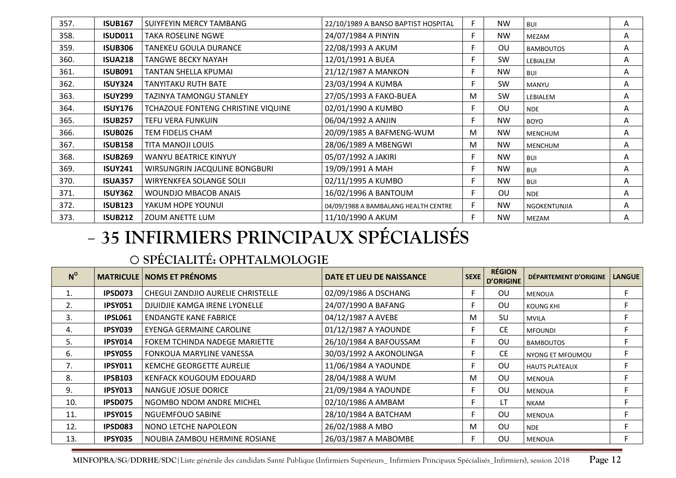| 357. | <b>ISUB167</b> | SUIYFEYIN MERCY TAMBANG            | 22/10/1989 A BANSO BAPTIST HOSPITAL  | F  | <b>NW</b> | <b>BUI</b>       | Α |
|------|----------------|------------------------------------|--------------------------------------|----|-----------|------------------|---|
| 358. | <b>ISUD011</b> | <b>TAKA ROSELINE NGWE</b>          | 24/07/1984 A PINYIN                  | F. | <b>NW</b> | MEZAM            | A |
| 359. | <b>ISUB306</b> | TANEKEU GOULA DURANCE              | 22/08/1993 A AKUM                    | E  | OU        | <b>BAMBOUTOS</b> | Α |
| 360. | <b>ISUA218</b> | TANGWE BECKY NAYAH                 | 12/01/1991 A BUEA                    | F. | <b>SW</b> | LEBIALEM         | Α |
| 361. | <b>ISUB091</b> | TANTAN SHELLA KPUMAI               | 21/12/1987 A MANKON                  | F. | <b>NW</b> | <b>BUI</b>       | Α |
| 362. | <b>ISUY324</b> | TANYITAKU RUTH BATE                | 23/03/1994 A KUMBA                   | F. | SW        | MANYU            | Α |
| 363. | <b>ISUY299</b> | <b>TAZINYA TAMONGU STANLEY</b>     | 27/05/1993 A FAKO-BUEA               | M  | <b>SW</b> | LEBIALEM         | Α |
| 364. | <b>ISUY176</b> | TCHAZOUE FONTENG CHRISTINE VIQUINE | 02/01/1990 A KUMBO                   | F. | OU        | <b>NDE</b>       | Α |
| 365. | <b>ISUB257</b> | TEFU VERA FUNKUIN                  | 06/04/1992 A ANJIN                   | F  | <b>NW</b> | <b>BOYO</b>      | Α |
| 366. | <b>ISUB026</b> | <b>TEM FIDELIS CHAM</b>            | 20/09/1985 A BAFMENG-WUM             | M  | <b>NW</b> | <b>MENCHUM</b>   | Α |
| 367. | <b>ISUB158</b> | TITA MANOJI LOUIS                  | 28/06/1989 A MBENGWI                 | M  | <b>NW</b> | <b>MENCHUM</b>   | Α |
| 368. | <b>ISUB269</b> | <b>WANYU BEATRICE KINYUY</b>       | 05/07/1992 A JAKIRI                  | F. | <b>NW</b> | <b>BUI</b>       | Α |
| 369. | <b>ISUY241</b> | WIRSUNGRIN JACQULINE BONGBURI      | 19/09/1991 A MAH                     | F. | <b>NW</b> | <b>BUI</b>       | Α |
| 370. | <b>ISUA357</b> | WIRYENKFEA SOLANGE SOLII           | 02/11/1995 A KUMBO                   | E  | <b>NW</b> | <b>BUI</b>       | A |
| 371. | <b>ISUY362</b> | <b>WOUNDJO MBACOB ANAIS</b>        | 16/02/1996 A BANTOUM                 | F. | <b>OU</b> | <b>NDE</b>       | Α |
| 372. | <b>ISUB123</b> | YAKUM HOPE YOUNUI                  | 04/09/1988 A BAMBALANG HEALTH CENTRE | F. | <b>NW</b> | NGOKENTUNJIA     | A |
| 373. | <b>ISUB212</b> | <b>ZOUM ANETTE LUM</b>             | 11/10/1990 A AKUM                    | F  | <b>NW</b> | MEZAM            | A |

# **35 INFIRMIERS PRINCIPAUX SPÉCIALISÉS**

### o**SPÉCIALITÉ: OPHTALMOLOGIE**

| $N^{\circ}$ |                | <b>MATRICULE NOMS ET PRÉNOMS</b>         | <b>DATE ET LIEU DE NAISSANCE</b> | <b>SEXE</b> | <b>RÉGION</b><br><b>D'ORIGINE</b> | DÉPARTEMENT D'ORIGINE | <b>LANGUE</b> |
|-------------|----------------|------------------------------------------|----------------------------------|-------------|-----------------------------------|-----------------------|---------------|
|             | IPSD073        | <b>CHEGUI ZANDJIO AURELIE CHRISTELLE</b> | 02/09/1986 A DSCHANG             |             | OU                                | <b>MENOUA</b>         | F.            |
| 2.          | <b>IPSY051</b> | DJUIDJIE KAMGA IRENE LYONELLE            | 24/07/1990 A BAFANG              |             | 0U                                | <b>KOUNG KHI</b>      |               |
| 3.          | <b>IPSL061</b> | <b>ENDANGTE KANE FABRICE</b>             | 04/12/1987 A AVEBE               | M           | <b>SU</b>                         | <b>MVILA</b>          |               |
| 4.          | IPSY039        | EYENGA GERMAINE CAROLINE                 | 01/12/1987 A YAOUNDE             | F.          | CE.                               | <b>MFOUNDI</b>        | F.            |
| 5.          | IPSY014        | FOKEM TCHINDA NADEGE MARIETTE            | 26/10/1984 A BAFOUSSAM           | E           | OU                                | <b>BAMBOUTOS</b>      | F.            |
| 6.          | <b>IPSY055</b> | FONKOUA MARYLINE VANESSA                 | 30/03/1992 A AKONOLINGA          | F.          | CE.                               | NYONG ET MFOUMOU      | F.            |
| 7.          | <b>IPSY011</b> | KEMCHE GEORGETTE AURELIE                 | 11/06/1984 A YAOUNDE             | F           | OU                                | <b>HAUTS PLATEAUX</b> | F.            |
| 8.          | <b>IPSB103</b> | KENFACK KOUGOUM EDOUARD                  | 28/04/1988 A WUM                 | M           | OU                                | <b>MENOUA</b>         | F.            |
| 9.          | IPSY013        | NANGUE JOSUE DORICE                      | 21/09/1984 A YAOUNDE             | F.          | OU                                | <b>MENOUA</b>         | F.            |
| 10.         | IPSD075        | NGOMBO NDOM ANDRE MICHEL                 | 02/10/1986 A AMBAM               | F.          | LT                                | <b>NKAM</b>           | F.            |
| 11.         | <b>IPSY015</b> | <b>NGUEMFOUO SABINE</b>                  | 28/10/1984 A BATCHAM             | F.          | OU                                | <b>MENOUA</b>         | F.            |
| 12.         | IPSD083        | NONO LETCHE NAPOLEON                     | 26/02/1988 A MBO                 | M           | OU                                | <b>NDE</b>            | F.            |
| 13.         | IPSY035        | NOUBIA ZAMBOU HERMINE ROSIANE            | 26/03/1987 A MABOMBE             | F           | ΟU                                | <b>MENOUA</b>         |               |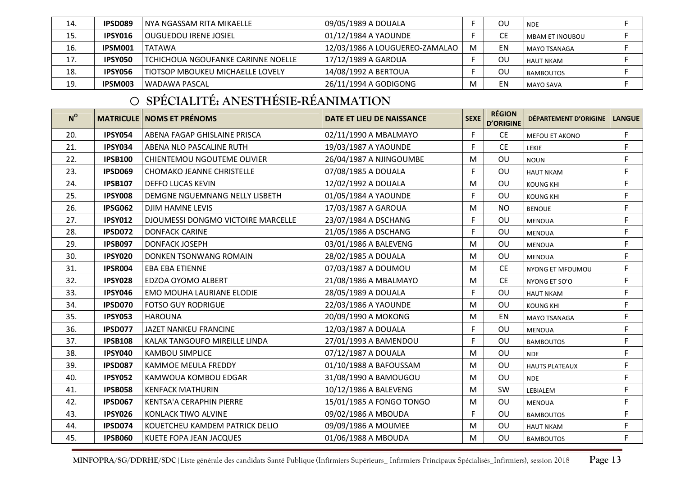| 14. | IPSD089 | l NYA NGASSAM RITA MIKAELLE        | 09/05/1989 A DOUALA            |   | ΟU | <b>NDE</b>             |  |
|-----|---------|------------------------------------|--------------------------------|---|----|------------------------|--|
| 15. | IPSY016 | l OUGUEDOU IRENE JOSIEL            | 01/12/1984 A YAOUNDE           |   |    | <b>MBAM ET INOUBOU</b> |  |
| 16. | IPSM001 | <b>TATAWA</b>                      | 12/03/1986 A LOUGUEREO-ZAMALAO | M | EN | MAYO TSANAGA           |  |
| 17. | IPSY050 | TCHICHOUA NGOUFANKE CARINNE NOELLE | 17/12/1989 A GAROUA            |   | OU | <b>HAUT NKAM</b>       |  |
| 18. | IPSY056 | TIOTSOP MBOUKEU MICHAELLE LOVELY   | 14/08/1992 A BERTOUA           |   | OU | <b>BAMBOUTOS</b>       |  |
| 19. | IPSM003 | l WADAWA PASCAL                    | 26/11/1994 A GODIGONG          |   | ΕN | MAYO SAVA              |  |

# o **SPÉCIALITÉ: ANESTHÉSIE-RÉANIMATION**

| $N^{\circ}$ |                | <b>MATRICULE   NOMS ET PRÉNOMS</b> | DATE ET LIEU DE NAISSANCE | <b>SEXE</b> | <b>RÉGION</b><br><b>D'ORIGINE</b> | DÉPARTEMENT D'ORIGINE | <b>LANGUE</b> |
|-------------|----------------|------------------------------------|---------------------------|-------------|-----------------------------------|-----------------------|---------------|
| 20.         | <b>IPSY054</b> | ABENA FAGAP GHISLAINE PRISCA       | 02/11/1990 A MBALMAYO     | F           | <b>CE</b>                         | MEFOU ET AKONO        | F             |
| 21.         | <b>IPSY034</b> | ABENA NLO PASCALINE RUTH           | 19/03/1987 A YAOUNDE      | F.          | <b>CE</b>                         | LEKIE                 | F             |
| 22.         | <b>IPSB100</b> | <b>CHIENTEMOU NGOUTEME OLIVIER</b> | 26/04/1987 A NJINGOUMBE   | M           | OU                                | <b>NOUN</b>           | F             |
| 23.         | <b>IPSD069</b> | CHOMAKO JEANNE CHRISTELLE          | 07/08/1985 A DOUALA       | F.          | OU                                | <b>HAUT NKAM</b>      | F             |
| 24.         | <b>IPSB107</b> | <b>DEFFO LUCAS KEVIN</b>           | 12/02/1992 A DOUALA       | м           | OU                                | <b>KOUNG KHI</b>      | F             |
| 25.         | <b>IPSY008</b> | DEMGNE NGUEMNANG NELLY LISBETH     | 01/05/1984 A YAOUNDE      | F           | OU                                | <b>KOUNG KHI</b>      | F             |
| 26.         | <b>IPSG062</b> | DJIM HAMNE LEVIS                   | 17/03/1987 A GAROUA       | M           | <b>NO</b>                         | <b>BENOUE</b>         | F             |
| 27.         | <b>IPSY012</b> | DJOUMESSI DONGMO VICTOIRE MARCELLE | 23/07/1984 A DSCHANG      | F.          | OU                                | <b>MENOUA</b>         | F             |
| 28.         | <b>IPSD072</b> | <b>DONFACK CARINE</b>              | 21/05/1986 A DSCHANG      | F           | OU                                | <b>MENOUA</b>         | F             |
| 29.         | <b>IPSB097</b> | <b>DONFACK JOSEPH</b>              | 03/01/1986 A BALEVENG     | M           | OU                                | <b>MENOUA</b>         | F             |
| 30.         | <b>IPSY020</b> | DONKEN TSONWANG ROMAIN             | 28/02/1985 A DOUALA       | M           | OU                                | <b>MENOUA</b>         | F             |
| 31.         | IPSR004        | EBA EBA ETIENNE                    | 07/03/1987 A DOUMOU       | M           | <b>CE</b>                         | NYONG ET MFOUMOU      | F             |
| 32.         | <b>IPSY028</b> | EDZOA OYOMO ALBERT                 | 21/08/1986 A MBALMAYO     | M           | <b>CE</b>                         | NYONG ET SO'O         | $\mathsf F$   |
| 33.         | <b>IPSY046</b> | <b>EMO MOUHA LAURIANE ELODIE</b>   | 28/05/1989 A DOUALA       | F.          | OU                                | <b>HAUT NKAM</b>      | F             |
| 34.         | <b>IPSD070</b> | <b>FOTSO GUY RODRIGUE</b>          | 22/03/1986 A YAOUNDE      | M           | OU                                | <b>KOUNG KHI</b>      | F             |
| 35.         | <b>IPSY053</b> | <b>HAROUNA</b>                     | 20/09/1990 A MOKONG       | M           | EN                                | <b>MAYO TSANAGA</b>   | $\mathsf F$   |
| 36.         | <b>IPSD077</b> | JAZET NANKEU FRANCINE              | 12/03/1987 A DOUALA       | F           | OU                                | <b>MENOUA</b>         | F             |
| 37.         | <b>IPSB108</b> | KALAK TANGOUFO MIREILLE LINDA      | 27/01/1993 A BAMENDOU     | F           | OU                                | <b>BAMBOUTOS</b>      | F             |
| 38.         | <b>IPSY040</b> | <b>KAMBOU SIMPLICE</b>             | 07/12/1987 A DOUALA       | M           | OU                                | <b>NDE</b>            | F             |
| 39.         | <b>IPSD087</b> | <b>KAMMOE MEULA FREDDY</b>         | 01/10/1988 A BAFOUSSAM    | M           | OU                                | <b>HAUTS PLATEAUX</b> | F             |
| 40.         | <b>IPSY052</b> | KAMWOUA KOMBOU EDGAR               | 31/08/1990 A BAMOUGOU     | M           | OU                                | <b>NDE</b>            | F             |
| 41.         | <b>IPSB058</b> | <b>KENFACK MATHURIN</b>            | 10/12/1986 A BALEVENG     | M           | SW                                | LEBIALEM              | F             |
| 42.         | <b>IPSD067</b> | <b>KENTSA'A CERAPHIN PIERRE</b>    | 15/01/1985 A FONGO TONGO  | M           | OU                                | <b>MENOUA</b>         | F             |
| 43.         | <b>IPSY026</b> | KONLACK TIWO ALVINE                | 09/02/1986 A MBOUDA       | F           | OU                                | <b>BAMBOUTOS</b>      | F             |
| 44.         | IPSD074        | KOUETCHEU KAMDEM PATRICK DELIO     | 09/09/1986 A MOUMEE       | M           | OU                                | <b>HAUT NKAM</b>      | F             |
| 45.         | <b>IPSB060</b> | <b>KUETE FOPA JEAN JACQUES</b>     | 01/06/1988 A MBOUDA       | M           | OU                                | <b>BAMBOUTOS</b>      | F             |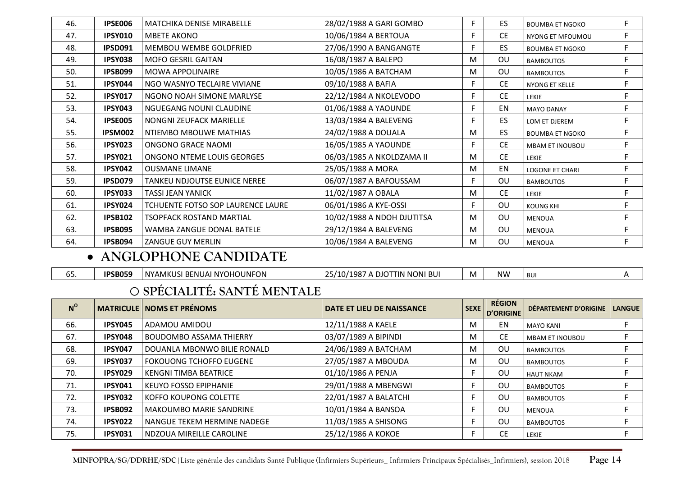| 46. | IPSE006                        | <b>MATCHIKA DENISE MIRABELLE</b>    | 28/02/1988 A GARI GOMBO    | F. | ES.       | <b>BOUMBA ET NGOKO</b> | F. |  |  |
|-----|--------------------------------|-------------------------------------|----------------------------|----|-----------|------------------------|----|--|--|
| 47. | <b>IPSY010</b>                 | <b>MBETE AKONO</b>                  | 10/06/1984 A BERTOUA       | F. | CE.       | NYONG ET MFOUMOU       | F. |  |  |
| 48. | <b>IPSD091</b>                 | MEMBOU WEMBE GOLDFRIED              | 27/06/1990 A BANGANGTE     | F  | ES        | <b>BOUMBA ET NGOKO</b> | F. |  |  |
| 49. | <b>IPSY038</b>                 | <b>MOFO GESRIL GAITAN</b>           | 16/08/1987 A BALEPO        | M  | OU        | <b>BAMBOUTOS</b>       | F  |  |  |
| 50. | IPSB099                        | <b>MOWA APPOLINAIRE</b>             | 10/05/1986 A BATCHAM       | M  | <b>OU</b> | <b>BAMBOUTOS</b>       | F  |  |  |
| 51. | IPSY044                        | NGO WASNYO TECLAIRE VIVIANE         | 09/10/1988 A BAFIA         | F. | CE.       | <b>NYONG ET KELLE</b>  | F  |  |  |
| 52. | <b>IPSY017</b>                 | NGONO NOAH SIMONE MARLYSE           | 22/12/1984 A NKOLEVODO     | F. | <b>CE</b> | <b>LEKIE</b>           | F  |  |  |
| 53. | IPSY043                        | NGUEGANG NOUNI CLAUDINE             | 01/06/1988 A YAOUNDE       | F. | EN        | <b>MAYO DANAY</b>      | F. |  |  |
| 54. | <b>IPSE005</b>                 | NONGNI ZEUFACK MARIELLE             | 13/03/1984 A BALEVENG      | F. | ES        | LOM ET DJEREM          | F  |  |  |
| 55. | IPSM002                        | NTIEMBO MBOUWE MATHIAS              | 24/02/1988 A DOUALA        | м  | ES        | <b>BOUMBA ET NGOKO</b> | F. |  |  |
| 56. | IPSY023                        | ONGONO GRACE NAOMI                  | 16/05/1985 A YAOUNDE       |    | CE.       | <b>MBAM ET INOUBOU</b> | F. |  |  |
| 57. | IPSY021                        | ONGONO NTEME LOUIS GEORGES          | 06/03/1985 A NKOLDZAMA II  | M  | <b>CE</b> | <b>LEKIE</b>           | F  |  |  |
| 58. | IPSY042                        | <b>OUSMANE LIMANE</b>               | 25/05/1988 A MORA          | M  | EN        | <b>LOGONE ET CHARI</b> | F  |  |  |
| 59. | IPSD079                        | <b>TANKEU NDJOUTSE EUNICE NEREE</b> | 06/07/1987 A BAFOUSSAM     | F. | <b>OU</b> | <b>BAMBOUTOS</b>       | F  |  |  |
| 60. | IPSY033                        | <b>TASSI JEAN YANICK</b>            | 11/02/1987 A OBALA         | M  | <b>CE</b> | LEKIE                  | F  |  |  |
| 61. | <b>IPSY024</b>                 | TCHUENTE FOTSO SOP LAURENCE LAURE   | 06/01/1986 A KYE-OSSI      | F. | <b>OU</b> | <b>KOUNG KHI</b>       | F. |  |  |
| 62. | <b>IPSB102</b>                 | <b>TSOPFACK ROSTAND MARTIAL</b>     | 10/02/1988 A NDOH DJUTITSA | M  | <b>OU</b> | <b>MENOUA</b>          | F  |  |  |
| 63. | IPSB095                        | WAMBA ZANGUE DONAL BATELE           | 29/12/1984 A BALEVENG      | M  | <b>OU</b> | <b>MENOUA</b>          | F. |  |  |
| 64. | IPSB094                        | ZANGUE GUY MERLIN                   | 10/06/1984 A BALEVENG      | M  | OU        | <b>MENOUA</b>          | F  |  |  |
|     | $\bullet$ ANGLOPHONE CANDIDATE |                                     |                            |    |           |                        |    |  |  |

### **ANGLOPHONE CANDIDATE**

 $\overline{\phantom{a}}$ 

| <b>NIM</b><br>JAI NYOHOUNFON<br><b>IDCRAEO</b><br>-<br>i NYAMKUS<br>TIN NONI BUI<br>USI BENUAI<br>l BU<br>ו נו<br>. ان<br>M<br>n'<br>7 I U.<br>וחנ<br>э.<br>ບບ |
|----------------------------------------------------------------------------------------------------------------------------------------------------------------|
|----------------------------------------------------------------------------------------------------------------------------------------------------------------|

### o**SPÉCIALITÉ: SANTÉ MENTALE**

| $N^{\circ}$ |                | <b>MATRICULE NOMS ET PRÉNOMS</b> | DATE ET LIEU DE NAISSANCE | <b>SEXE</b> | <b>RÉGION</b><br><b>D'ORIGINE</b> | DÉPARTEMENT D'ORIGINE  | <b>LANGUE</b> |
|-------------|----------------|----------------------------------|---------------------------|-------------|-----------------------------------|------------------------|---------------|
| 66.         | IPSY045        | ADAMOU AMIDOU                    | 12/11/1988 A KAELE        | M           | EN                                | <b>MAYO KANI</b>       |               |
| 67.         | IPSY048        | <b>BOUDOMBO ASSAMA THIERRY</b>   | 03/07/1989 A BIPINDI      | M           | <b>CE</b>                         | <b>MBAM ET INOUBOU</b> |               |
| 68.         | IPSY047        | DOUANLA MBONWO BILIE RONALD      | 24/06/1989 A BATCHAM      | м           | OU                                | <b>BAMBOUTOS</b>       |               |
| 69.         | <b>IPSY037</b> | <b>FOKOUONG TCHOFFO EUGENE</b>   | 27/05/1987 A MBOUDA       | M           | OU                                | <b>BAMBOUTOS</b>       |               |
| 70.         | IPSY029        | <b>KENGNI TIMBA BEATRICE</b>     | 01/10/1986 A PENJA        |             | OU                                | <b>HAUT NKAM</b>       |               |
| 71.         | IPSY041        | <b>KEUYO FOSSO EPIPHANIE</b>     | 29/01/1988 A MBENGWI      |             | OU                                | <b>BAMBOUTOS</b>       |               |
| 72.         | IPSY032        | <b>KOFFO KOUPONG COLETTE</b>     | 22/01/1987 A BALATCHI     |             | OU                                | <b>BAMBOUTOS</b>       | E.            |
| 73.         | IPSB092        | <b>MAKOUMBO MARIE SANDRINE</b>   | 10/01/1984 A BANSOA       |             | OU                                | <b>MENOUA</b>          |               |
| 74.         | IPSY022        | NANGUE TEKEM HERMINE NADEGE      | 11/03/1985 A SHISONG      |             | OU                                | <b>BAMBOUTOS</b>       | F.            |
| 75.         | IPSY031        | NDZOUA MIREILLE CAROLINE         | 25/12/1986 A KOKOE        |             | CЕ                                | LEKIE                  |               |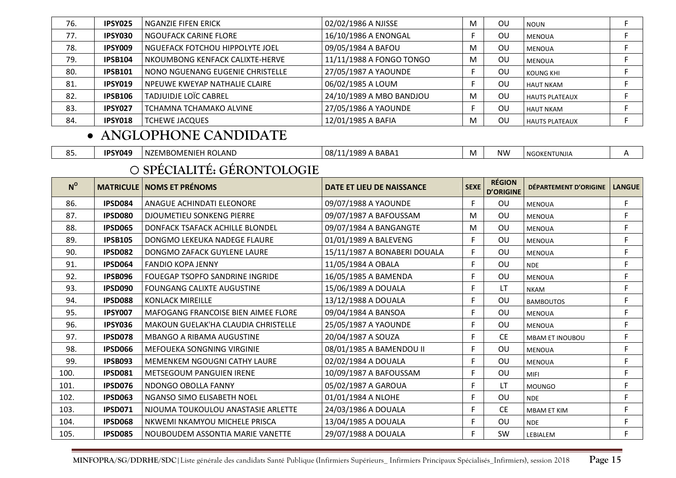| 76. | IPSY025        | l NGANZIE FIFEN ERICK            | 02/02/1986 A NJISSE      | M | OU        | <b>NOUN</b>           |  |
|-----|----------------|----------------------------------|--------------------------|---|-----------|-----------------------|--|
| 77. | IPSY030        | NGOUFACK CARINE FLORE            | 16/10/1986 A ENONGAL     |   | <b>OU</b> | <b>MENOUA</b>         |  |
| 78. | IPSY009        | NGUEFACK FOTCHOU HIPPOLYTE JOEL  | 09/05/1984 A BAFOU       | M | OU        | <b>MENOUA</b>         |  |
| 79. | <b>IPSB104</b> | NKOUMBONG KENFACK CALIXTE-HERVE  | 11/11/1988 A FONGO TONGO | M | ΟU        | <b>MENOUA</b>         |  |
| 80. | <b>IPSB101</b> | NONO NGUENANG EUGENIE CHRISTELLE | 27/05/1987 A YAOUNDE     |   | ΟU        | <b>KOUNG KHI</b>      |  |
| 81. | <b>IPSY019</b> | NPEUWE KWEYAP NATHALIE CLAIRE    | 06/02/1985 A LOUM        |   | OU        | <b>HAUT NKAM</b>      |  |
| 82. | <b>IPSB106</b> | <b>TADJUIDJE LOÏC CABREL</b>     | 24/10/1989 A MBO BANDJOU | M | OU        | <b>HAUTS PLATEAUX</b> |  |
| 83. | <b>IPSY027</b> | TCHAMNA TCHAMAKO ALVINE          | 27/05/1986 A YAOUNDE     |   | <b>OU</b> | <b>HAUT NKAM</b>      |  |
| 84. | IPSY018        | <b>TCHEWE JACQUES</b>            | 12/01/1985 A BAFIA       | м | OU        | <b>HAUTS PLATEAUX</b> |  |

## • **ANGLOPHONE CANDIDATE**

| , ب | IPSY049 | ! ROLAND<br>.<br><b>DMENIEF</b><br>NZEMBO | . RARA^<br>-08/<br>11000<br>10<br>∸ישר<br>- | <b>IVI</b> | NW.<br>v v | GOKENTUNJIA<br><b>AI</b> |  |
|-----|---------|-------------------------------------------|---------------------------------------------|------------|------------|--------------------------|--|
|-----|---------|-------------------------------------------|---------------------------------------------|------------|------------|--------------------------|--|

### o**SPÉCIALITÉ: GÉRONTOLOGIE**

| $N^{\rm o}$ |                | <b>MATRICULE   NOMS ET PRÉNOMS</b>     | DATE ET LIEU DE NAISSANCE    | <b>SEXE</b> | <b>RÉGION</b><br><b>D'ORIGINE</b> | DÉPARTEMENT D'ORIGINE  | <b>LANGUE</b> |
|-------------|----------------|----------------------------------------|------------------------------|-------------|-----------------------------------|------------------------|---------------|
| 86.         | IPSD084        | ANAGUE ACHINDATI ELEONORE              | 09/07/1988 A YAOUNDE         | F.          | <b>OU</b>                         | <b>MENOUA</b>          | F.            |
| 87.         | IPSD080        | <b>DJOUMETIEU SONKENG PIERRE</b>       | 09/07/1987 A BAFOUSSAM       | M           | OU                                | <b>MENOUA</b>          | F             |
| 88.         | <b>IPSD065</b> | DONFACK TSAFACK ACHILLE BLONDEL        | 09/07/1984 A BANGANGTE       | M           | OU                                | <b>MENOUA</b>          | F.            |
| 89.         | <b>IPSB105</b> | DONGMO LEKEUKA NADEGE FLAURE           | 01/01/1989 A BALEVENG        | F.          | OU                                | <b>MENOUA</b>          | F             |
| 90.         | <b>IPSD082</b> | DONGMO ZAFACK GUYLENE LAURE            | 15/11/1987 A BONABERI DOUALA | F           | OU                                | <b>MENOUA</b>          | F             |
| 91.         | IPSD064        | <b>FANDIO KOPA JENNY</b>               | 11/05/1984 A OBALA           | F           | OU                                | <b>NDE</b>             | F.            |
| 92.         | <b>IPSB096</b> | <b>FOUEGAP TSOPFO SANDRINE INGRIDE</b> | 16/05/1985 A BAMENDA         | F.          | OU                                | <b>MENOUA</b>          | F             |
| 93.         | IPSD090        | <b>FOUNGANG CALIXTE AUGUSTINE</b>      | 15/06/1989 A DOUALA          | F           | LT.                               | <b>NKAM</b>            | F             |
| 94.         | IPSD088        | <b>KONLACK MIREILLE</b>                | 13/12/1988 A DOUALA          | F.          | OU                                | <b>BAMBOUTOS</b>       | F             |
| 95.         | <b>IPSY007</b> | MAFOGANG FRANCOISE BIEN AIMEE FLORE    | 09/04/1984 A BANSOA          | F           | OU                                | <b>MENOUA</b>          | F             |
| 96.         | <b>IPSY036</b> | MAKOUN GUELAK'HA CLAUDIA CHRISTELLE    | 25/05/1987 A YAOUNDE         | F.          | OU                                | <b>MENOUA</b>          | F             |
| 97.         | <b>IPSD078</b> | <b>MBANGO A RIBAMA AUGUSTINE</b>       | 20/04/1987 A SOUZA           | F           | <b>CE</b>                         | <b>MBAM ET INOUBOU</b> | F             |
| 98.         | <b>IPSD066</b> | MEFOUEKA SONGNING VIRGINIE             | 08/01/1985 A BAMENDOU II     | F.          | OU                                | <b>MENOUA</b>          | F             |
| 99.         | <b>IPSB093</b> | MEMENKEM NGOUGNI CATHY LAURE           | 02/02/1984 A DOUALA          | F.          | OU                                | <b>MENOUA</b>          | F.            |
| 100.        | IPSD081        | <b>METSEGOUM PANGUIEN IRENE</b>        | 10/09/1987 A BAFOUSSAM       | F           | OU                                | <b>MIFI</b>            | F             |
| 101.        | IPSD076        | NDONGO OBOLLA FANNY                    | 05/02/1987 A GAROUA          | F           | LT.                               | <b>MOUNGO</b>          | F             |
| 102.        | <b>IPSD063</b> | NGANSO SIMO ELISABETH NOEL             | 01/01/1984 A NLOHE           | F           | OU                                | <b>NDE</b>             | F             |
| 103.        | <b>IPSD071</b> | NJOUMA TOUKOULOU ANASTASIE ARLETTE     | 24/03/1986 A DOUALA          | F           | <b>CE</b>                         | <b>MBAM ET KIM</b>     | F             |
| 104.        | <b>IPSD068</b> | NKWEMI NKAMYOU MICHELE PRISCA          | 13/04/1985 A DOUALA          | F           | OU                                | <b>NDE</b>             | F.            |
| 105.        | <b>IPSD085</b> | NOUBOUDEM ASSONTIA MARIE VANETTE       | 29/07/1988 A DOUALA          | F.          | SW                                | LEBIALEM               | F.            |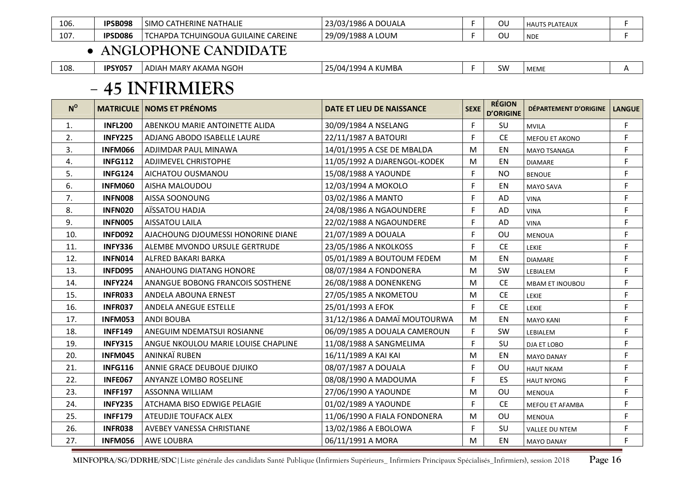| 106. | <b>IPSB098</b> | CATHERINE NATHALIE<br><b>SIMC</b>                         | 23/03/1986<br>$\land$ DOUALA | ົ<br>UU | <b>HAUTS PLATEAUX</b> |  |
|------|----------------|-----------------------------------------------------------|------------------------------|---------|-----------------------|--|
| 107. | <b>IPSD086</b> | <b>CAREINE</b><br>ICHUINGOUA GUILAINE<br>`HAPDA<br>- I Ui | . LOUM<br>29/09/1988 A       | UU      | <b>NDE</b>            |  |

#### • **ANGLOPHONE CANDIDATE**

| 108 | <b>IPSY05<sup>-</sup></b> | H MARY AKAMA NGOH<br>ADIAF | <b>. .</b><br>- A KUMBA<br>'1994.<br>25/04 | <b>SW</b> | <b>MEME</b> |  |
|-----|---------------------------|----------------------------|--------------------------------------------|-----------|-------------|--|
|     |                           |                            |                                            |           |             |  |

#### -**45 INFIRMIERS**

| $N^{\circ}$ |                | <b>MATRICULE   NOMS ET PRÉNOMS</b>  | DATE ET LIEU DE NAISSANCE    | <b>SEXE</b> | <b>RÉGION</b><br><b>D'ORIGINE</b> | DÉPARTEMENT D'ORIGINE  | <b>LANGUE</b> |
|-------------|----------------|-------------------------------------|------------------------------|-------------|-----------------------------------|------------------------|---------------|
| 1.          | <b>INFL200</b> | ABENKOU MARIE ANTOINETTE ALIDA      | 30/09/1984 A NSELANG         | F           | SU                                | <b>MVILA</b>           | F             |
| 2.          | <b>INFY225</b> | ADJANG ABODO ISABELLE LAURE         | 22/11/1987 A BATOURI         | F.          | <b>CE</b>                         | MEFOU ET AKONO         | F             |
| 3.          | <b>INFM066</b> | ADJIMDAR PAUL MINAWA                | 14/01/1995 A CSE DE MBALDA   | M           | EN                                | <b>MAYO TSANAGA</b>    | F             |
| 4.          | <b>INFG112</b> | <b>ADJIMEVEL CHRISTOPHE</b>         | 11/05/1992 A DJARENGOL-KODEK | M           | EN                                | <b>DIAMARE</b>         | F             |
| 5.          | <b>INFG124</b> | AICHATOU OUSMANOU                   | 15/08/1988 A YAOUNDE         | F           | <b>NO</b>                         | <b>BENOUE</b>          | F             |
| 6.          | <b>INFM060</b> | AISHA MALOUDOU                      | 12/03/1994 A MOKOLO          | F.          | EN                                | <b>MAYO SAVA</b>       | F             |
| 7.          | <b>INFN008</b> | AISSA SOONOUNG                      | 03/02/1986 A MANTO           | F           | AD                                | <b>VINA</b>            | F             |
| 8.          | <b>INFN020</b> | AÏSSATOU HADJA                      | 24/08/1986 A NGAOUNDERE      | F           | <b>AD</b>                         | <b>VINA</b>            | F             |
| 9.          | <b>INFN005</b> | <b>AISSATOU LAILA</b>               | 22/02/1988 A NGAOUNDERE      | F           | AD                                | <b>VINA</b>            | F             |
| 10.         | <b>INFD092</b> | AJACHOUNG DJOUMESSI HONORINE DIANE  | 21/07/1989 A DOUALA          | F.          | OU                                | <b>MENOUA</b>          | F             |
| 11.         | <b>INFY336</b> | ALEMBE MVONDO URSULE GERTRUDE       | 23/05/1986 A NKOLKOSS        | F.          | <b>CE</b>                         | <b>LEKIE</b>           | F             |
| 12.         | <b>INFN014</b> | ALFRED BAKARI BARKA                 | 05/01/1989 A BOUTOUM FEDEM   | M           | EN                                | <b>DIAMARE</b>         | F             |
| 13.         | <b>INFD095</b> | ANAHOUNG DIATANG HONORE             | 08/07/1984 A FONDONERA       | M           | SW                                | LEBIALEM               | F             |
| 14.         | <b>INFY224</b> | ANANGUE BOBONG FRANCOIS SOSTHENE    | 26/08/1988 A DONENKENG       | M           | <b>CE</b>                         | <b>MBAM ET INOUBOU</b> | F             |
| 15.         | <b>INFR033</b> | ANDELA ABOUNA ERNEST                | 27/05/1985 A NKOMETOU        | M           | <b>CE</b>                         | <b>LEKIE</b>           | F             |
| 16.         | <b>INFR037</b> | ANDELA ANEGUE ESTELLE               | 25/01/1993 A EFOK            | F.          | <b>CE</b>                         | <b>LEKIE</b>           | F             |
| 17.         | <b>INFM053</b> | <b>ANDI BOUBA</b>                   | 31/12/1986 A DAMAÏ MOUTOURWA | M           | EN                                | <b>MAYO KANI</b>       | F             |
| 18.         | <b>INFF149</b> | ANEGUIM NDEMATSUI ROSIANNE          | 06/09/1985 A DOUALA CAMEROUN | F.          | SW                                | LEBIALEM               | F             |
| 19.         | <b>INFY315</b> | ANGUE NKOULOU MARIE LOUISE CHAPLINE | 11/08/1988 A SANGMELIMA      | F           | SU                                | DJA ET LOBO            | F             |
| 20.         | <b>INFM045</b> | ANINKAÏ RUBEN                       | 16/11/1989 A KAI KAI         | M           | EN                                | <b>MAYO DANAY</b>      | F             |
| 21.         | <b>INFG116</b> | ANNIE GRACE DEUBOUE DJUIKO          | 08/07/1987 A DOUALA          | F           | OU                                | <b>HAUT NKAM</b>       | F             |
| 22.         | <b>INFE067</b> | ANYANZE LOMBO ROSELINE              | 08/08/1990 A MADOUMA         | F.          | ES                                | <b>HAUT NYONG</b>      | F             |
| 23.         | <b>INFF197</b> | <b>ASSONNA WILLIAM</b>              | 27/06/1990 A YAOUNDE         | M           | OU                                | <b>MENOUA</b>          | F             |
| 24.         | <b>INFY235</b> | ATCHAMA BISO EDWIGE PELAGIE         | 01/02/1989 A YAOUNDE         | F           | <b>CE</b>                         | <b>MEFOU ET AFAMBA</b> | F             |
| 25.         | <b>INFF179</b> | ATEUDJIE TOUFACK ALEX               | 11/06/1990 A FIALA FONDONERA | M           | OU                                | <b>MENOUA</b>          | F             |
| 26.         | <b>INFR038</b> | AVEBEY VANESSA CHRISTIANE           | 13/02/1986 A EBOLOWA         | F           | SU                                | <b>VALLEE DU NTEM</b>  | F             |
| 27.         | <b>INFM056</b> | AWE LOUBRA                          | 06/11/1991 A MORA            | M           | EN                                | <b>MAYO DANAY</b>      | F             |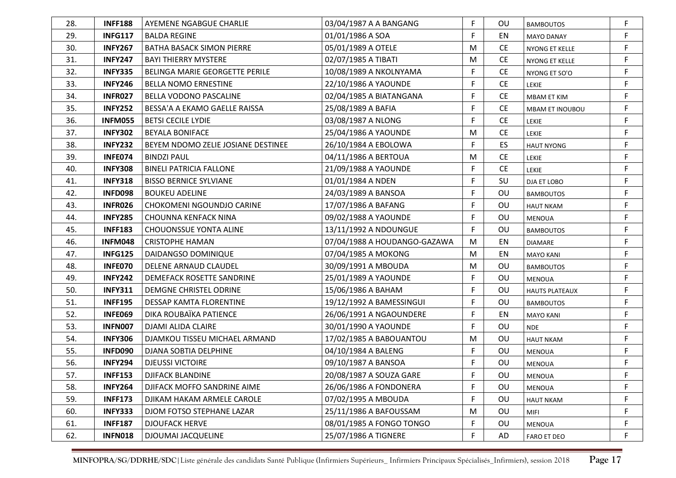| 28. | <b>INFF188</b> | AYEMENE NGABGUE CHARLIE            | 03/04/1987 A A BANGANG       | F           | OU        | <b>BAMBOUTOS</b>       | F           |
|-----|----------------|------------------------------------|------------------------------|-------------|-----------|------------------------|-------------|
| 29. | <b>INFG117</b> | <b>BALDA REGINE</b>                | 01/01/1986 A SOA             | F           | EN        | <b>MAYO DANAY</b>      | F           |
| 30. | <b>INFY267</b> | <b>BATHA BASACK SIMON PIERRE</b>   | 05/01/1989 A OTELE           | M           | <b>CE</b> | <b>NYONG ET KELLE</b>  | F           |
| 31. | <b>INFY247</b> | <b>BAYI THIERRY MYSTERE</b>        | 02/07/1985 A TIBATI          | M           | <b>CE</b> | NYONG ET KELLE         | F           |
| 32. | <b>INFY335</b> | BELINGA MARIE GEORGETTE PERILE     | 10/08/1989 A NKOLNYAMA       | F           | <b>CE</b> | NYONG ET SO'O          | F           |
| 33. | <b>INFY246</b> | <b>BELLA NOMO ERNESTINE</b>        | 22/10/1986 A YAOUNDE         | F           | <b>CE</b> | LEKIE                  | F           |
| 34. | <b>INFR027</b> | BELLA VODONO PASCALINE             | 02/04/1985 A BIATANGANA      | F           | <b>CE</b> | <b>MBAM ET KIM</b>     | F           |
| 35. | <b>INFY252</b> | BESSA'A A EKAMO GAELLE RAISSA      | 25/08/1989 A BAFIA           | F           | <b>CE</b> | <b>MBAM ET INOUBOU</b> | F           |
| 36. | <b>INFM055</b> | <b>BETSI CECILE LYDIE</b>          | 03/08/1987 A NLONG           | F           | <b>CE</b> | LEKIE                  | F           |
| 37. | <b>INFY302</b> | <b>BEYALA BONIFACE</b>             | 25/04/1986 A YAOUNDE         | M           | <b>CE</b> | LEKIE                  | F           |
| 38. | <b>INFY232</b> | BEYEM NDOMO ZELIE JOSIANE DESTINEE | 26/10/1984 A EBOLOWA         | F           | ES        | <b>HAUT NYONG</b>      | F           |
| 39. | INFE074        | <b>BINDZI PAUL</b>                 | 04/11/1986 A BERTOUA         | M           | <b>CE</b> | <b>LEKIE</b>           | F           |
| 40. | <b>INFY308</b> | <b>BINELI PATRICIA FALLONE</b>     | 21/09/1988 A YAOUNDE         | F           | <b>CE</b> | <b>LEKIE</b>           | F           |
| 41. | <b>INFY318</b> | <b>BISSO BERNICE SYLVIANE</b>      | 01/01/1984 A NDEN            | F           | SU        | DJA ET LOBO            | F           |
| 42. | <b>INFD098</b> | <b>BOUKEU ADELINE</b>              | 24/03/1989 A BANSOA          | F           | OU        | <b>BAMBOUTOS</b>       | F           |
| 43. | <b>INFR026</b> | CHOKOMENI NGOUNDJO CARINE          | 17/07/1986 A BAFANG          | F           | OU        | <b>HAUT NKAM</b>       | F           |
| 44. | <b>INFY285</b> | <b>CHOUNNA KENFACK NINA</b>        | 09/02/1988 A YAOUNDE         | F           | OU        | <b>MENOUA</b>          | F           |
| 45. | <b>INFF183</b> | <b>CHOUONSSUE YONTA ALINE</b>      | 13/11/1992 A NDOUNGUE        | F           | OU        | <b>BAMBOUTOS</b>       | F           |
| 46. | <b>INFM048</b> | <b>CRISTOPHE HAMAN</b>             | 07/04/1988 A HOUDANGO-GAZAWA | M           | EN        | <b>DIAMARE</b>         | F           |
| 47. | <b>INFG125</b> | DAIDANGSO DOMINIQUE                | 07/04/1985 A MOKONG          | M           | EN        | <b>MAYO KANI</b>       | F           |
| 48. | INFE070        | DELENE ARNAUD CLAUDEL              | 30/09/1991 A MBOUDA          | M           | OU        | <b>BAMBOUTOS</b>       | F           |
| 49. | <b>INFY242</b> | DEMEFACK ROSETTE SANDRINE          | 25/01/1989 A YAOUNDE         | F           | OU        | <b>MENOUA</b>          | F           |
| 50. | <b>INFY311</b> | DEMGNE CHRISTEL ODRINE             | 15/06/1986 A BAHAM           | F           | OU        | <b>HAUTS PLATEAUX</b>  | F           |
| 51. | <b>INFF195</b> | DESSAP KAMTA FLORENTINE            | 19/12/1992 A BAMESSINGUI     | F           | OU        | <b>BAMBOUTOS</b>       | F           |
| 52. | <b>INFE069</b> | DIKA ROUBAÏKA PATIENCE             | 26/06/1991 A NGAOUNDERE      | F           | EN        | <b>MAYO KANI</b>       | F           |
| 53. | <b>INFN007</b> | <b>DJAMI ALIDA CLAIRE</b>          | 30/01/1990 A YAOUNDE         | F           | OU        | <b>NDE</b>             | F           |
| 54. | <b>INFY306</b> | DJAMKOU TISSEU MICHAEL ARMAND      | 17/02/1985 A BABOUANTOU      | M           | OU        | <b>HAUT NKAM</b>       | F           |
| 55. | <b>INFD090</b> | DJANA SOBTIA DELPHINE              | 04/10/1984 A BALENG          | F           | OU        | <b>MENOUA</b>          | $\mathsf F$ |
| 56. | <b>INFY294</b> | <b>DJEUSSI VICTOIRE</b>            | 09/10/1987 A BANSOA          | F           | OU        | <b>MENOUA</b>          | F           |
| 57. | <b>INFF153</b> | <b>DJIFACK BLANDINE</b>            | 20/08/1987 A SOUZA GARE      | E           | OU        | <b>MENOUA</b>          | F           |
| 58. | <b>INFY264</b> | DJIFACK MOFFO SANDRINE AIME        | 26/06/1986 A FONDONERA       | $\mathsf F$ | OU        | MENOUA                 | F           |
| 59. | <b>INFF173</b> | DJIKAM HAKAM ARMELE CAROLE         | 07/02/1995 A MBOUDA          | F           | OU        | <b>HAUT NKAM</b>       | F           |
| 60. | <b>INFY333</b> | DJOM FOTSO STEPHANE LAZAR          | 25/11/1986 A BAFOUSSAM       | M           | OU        | <b>MIFI</b>            | F           |
| 61. | <b>INFF187</b> | <b>DJOUFACK HERVE</b>              | 08/01/1985 A FONGO TONGO     | F           | OU        | MENOUA                 | $\mathsf F$ |
| 62. | <b>INFN018</b> | <b>DJOUMAI JACQUELINE</b>          | 25/07/1986 A TIGNERE         | F           | AD        | <b>FARO ET DEO</b>     | F           |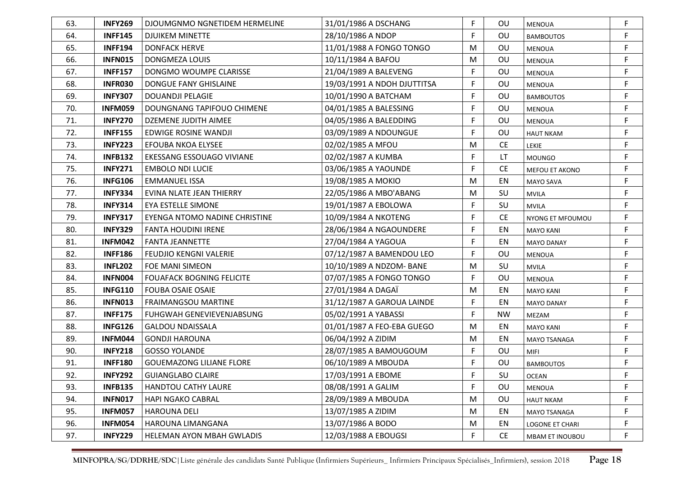| 63. | <b>INFY269</b> | DJOUMGNMO NGNETIDEM HERMELINE    | 31/01/1986 A DSCHANG        | F  | OU        | MENOUA              | F  |
|-----|----------------|----------------------------------|-----------------------------|----|-----------|---------------------|----|
| 64. | <b>INFF145</b> | <b>DJUIKEM MINETTE</b>           | 28/10/1986 A NDOP           | F. | OU        | <b>BAMBOUTOS</b>    | F  |
| 65. | <b>INFF194</b> | <b>DONFACK HERVE</b>             | 11/01/1988 A FONGO TONGO    | M  | OU        | <b>MENOUA</b>       | F  |
| 66. | <b>INFN015</b> | <b>DONGMEZA LOUIS</b>            | 10/11/1984 A BAFOU          | M  | OU        | <b>MENOUA</b>       | F  |
| 67. | <b>INFF157</b> | DONGMO WOUMPE CLARISSE           | 21/04/1989 A BALEVENG       | F  | OU        | MENOUA              | F  |
| 68. | <b>INFR030</b> | <b>DONGUE FANY GHISLAINE</b>     | 19/03/1991 A NDOH DJUTTITSA | F  | OU        | <b>MENOUA</b>       | F  |
| 69. | <b>INFY307</b> | <b>DOUANDJI PELAGIE</b>          | 10/01/1990 A BATCHAM        | F  | OU        | <b>BAMBOUTOS</b>    | F  |
| 70. | <b>INFM059</b> | DOUNGNANG TAPIFOUO CHIMENE       | 04/01/1985 A BALESSING      | F  | OU        | <b>MENOUA</b>       | F  |
| 71. | <b>INFY270</b> | <b>DZEMENE JUDITH AIMEE</b>      | 04/05/1986 A BALEDDING      | F  | OU        | <b>MENOUA</b>       | F  |
| 72. | <b>INFF155</b> | EDWIGE ROSINE WANDJI             | 03/09/1989 A NDOUNGUE       | F  | OU        | <b>HAUT NKAM</b>    | F  |
| 73. | <b>INFY223</b> | EFOUBA NKOA ELYSEE               | 02/02/1985 A MFOU           | M  | <b>CE</b> | LEKIE               | F  |
| 74. | <b>INFB132</b> | EKESSANG ESSOUAGO VIVIANE        | 02/02/1987 A KUMBA          | F  | LT.       | <b>MOUNGO</b>       | F  |
| 75. | <b>INFY271</b> | <b>EMBOLO NDI LUCIE</b>          | 03/06/1985 A YAOUNDE        | F  | <b>CE</b> | MEFOU ET AKONO      | F  |
| 76. | <b>INFG106</b> | <b>EMMANUEL ISSA</b>             | 19/08/1985 A MOKIO          | M  | EN        | <b>MAYO SAVA</b>    | F  |
| 77. | <b>INFY334</b> | EVINA NLATE JEAN THIERRY         | 22/05/1986 A MBO'ABANG      | M  | SU        | <b>MVILA</b>        | F  |
| 78. | <b>INFY314</b> | EYA ESTELLE SIMONE               | 19/01/1987 A EBOLOWA        | F  | SU        | <b>MVILA</b>        | F  |
| 79. | <b>INFY317</b> | EYENGA NTOMO NADINE CHRISTINE    | 10/09/1984 A NKOTENG        | F  | <b>CE</b> | NYONG ET MFOUMOU    | F. |
| 80. | <b>INFY329</b> | <b>FANTA HOUDINI IRENE</b>       | 28/06/1984 A NGAOUNDERE     | F  | EN        | <b>MAYO KANI</b>    | F  |
| 81. | <b>INFM042</b> | <b>FANTA JEANNETTE</b>           | 27/04/1984 A YAGOUA         | F  | EN        | <b>MAYO DANAY</b>   | F  |
| 82. | <b>INFF186</b> | <b>FEUDJIO KENGNI VALERIE</b>    | 07/12/1987 A BAMENDOU LEO   | F  | OU        | <b>MENOUA</b>       | F  |
| 83. | <b>INFL202</b> | FOE MANI SIMEON                  | 10/10/1989 A NDZOM- BANE    | M  | SU        | <b>MVILA</b>        | F  |
| 84. | INFN004        | <b>FOUAFACK BOGNING FELICITE</b> | 07/07/1985 A FONGO TONGO    | F. | OU        | <b>MENOUA</b>       | F  |
| 85. | <b>INFG110</b> | <b>FOUBA OSAIE OSAIE</b>         | 27/01/1984 A DAGAÏ          | M  | EN        | <b>MAYO KANI</b>    | F  |
| 86. | <b>INFN013</b> | <b>FRAIMANGSOU MARTINE</b>       | 31/12/1987 A GAROUA LAINDE  | F. | EN        | <b>MAYO DANAY</b>   | F  |
| 87. | <b>INFF175</b> | FUHGWAH GENEVIEVENJABSUNG        | 05/02/1991 A YABASSI        | F. | <b>NW</b> | MEZAM               | F  |
| 88. | <b>INFG126</b> | <b>GALDOU NDAISSALA</b>          | 01/01/1987 A FEO-EBA GUEGO  | M  | EN        | <b>MAYO KANI</b>    | F  |
| 89. | <b>INFM044</b> | <b>GONDJI HAROUNA</b>            | 06/04/1992 A ZIDIM          | M  | EN        | <b>MAYO TSANAGA</b> | F  |
| 90. | <b>INFY218</b> | <b>GOSSO YOLANDE</b>             | 28/07/1985 A BAMOUGOUM      | F. | OU        | MIFI                | F  |
| 91. | <b>INFF180</b> | <b>GOUEMAZONG LILIANE FLORE</b>  | 06/10/1989 A MBOUDA         | F. | OU        | <b>BAMBOUTOS</b>    | F  |
| 92. | <b>INFY292</b> | <b>GUIANGLABO CLAIRE</b>         | 17/03/1991 A EBOME          | F  | SU        | <b>OCEAN</b>        |    |
| 93. | <b>INFB135</b> | HANDTOU CATHY LAURE              | 08/08/1991 A GALIM          | F  | OU        | <b>MENOUA</b>       | F  |
| 94. | <b>INFN017</b> | <b>HAPI NGAKO CABRAL</b>         | 28/09/1989 A MBOUDA         | M  | OU        | <b>HAUT NKAM</b>    | F  |
| 95. | <b>INFM057</b> | <b>HAROUNA DELI</b>              | 13/07/1985 A ZIDIM          | M  | EN        | <b>MAYO TSANAGA</b> | F  |
| 96. | <b>INFM054</b> | HAROUNA LIMANGANA                | 13/07/1986 A BODO           | M  | EN        | LOGONE ET CHARI     | F  |
| 97. | <b>INFY229</b> | HELEMAN AYON MBAH GWLADIS        | 12/03/1988 A EBOUGSI        | F  | <b>CE</b> | MBAM ET INOUBOU     | F  |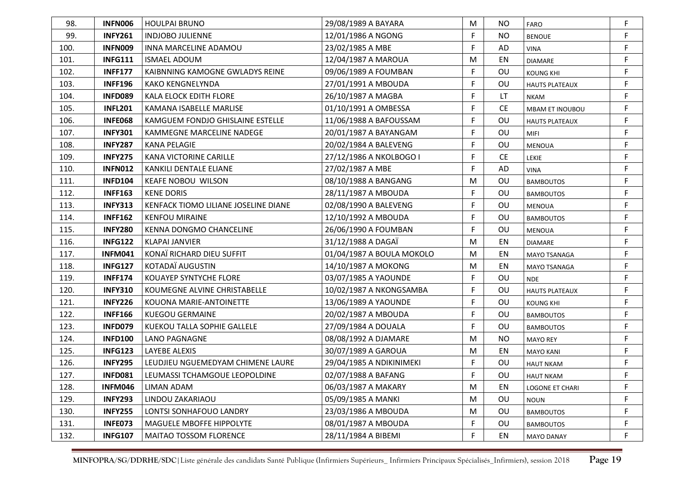| 98.  | INFN006        | <b>HOULPAI BRUNO</b>                 | 29/08/1989 A BAYARA       | M  | NO.       | <b>FARO</b>           | F  |
|------|----------------|--------------------------------------|---------------------------|----|-----------|-----------------------|----|
| 99.  | <b>INFY261</b> | <b>INDJOBO JULIENNE</b>              | 12/01/1986 A NGONG        | F  | <b>NO</b> | <b>BENOUE</b>         | F  |
| 100. | <b>INFN009</b> | INNA MARCELINE ADAMOU                | 23/02/1985 A MBE          | F  | AD        | <b>VINA</b>           | F  |
| 101. | <b>INFG111</b> | <b>ISMAEL ADOUM</b>                  | 12/04/1987 A MAROUA       | м  | EN        | <b>DIAMARE</b>        | F  |
| 102. | <b>INFF177</b> | KAIBNNING KAMOGNE GWLADYS REINE      | 09/06/1989 A FOUMBAN      | F  | OU        | <b>KOUNG KHI</b>      | F  |
| 103. | <b>INFF196</b> | <b>KAKO KENGNELYNDA</b>              | 27/01/1991 A MBOUDA       | F  | OU        | <b>HAUTS PLATEAUX</b> | F  |
| 104. | <b>INFD089</b> | <b>KALA ELOCK EDITH FLORE</b>        | 26/10/1987 A MAGBA        | F  | LT        | NKAM                  | F  |
| 105. | <b>INFL201</b> | KAMANA ISABELLE MARLISE              | 01/10/1991 A OMBESSA      | F  | <b>CE</b> | MBAM ET INOUBOU       | F  |
| 106. | <b>INFE068</b> | KAMGUEM FONDJO GHISLAINE ESTELLE     | 11/06/1988 A BAFOUSSAM    | F  | OU        | <b>HAUTS PLATEAUX</b> | F  |
| 107. | <b>INFY301</b> | KAMMEGNE MARCELINE NADEGE            | 20/01/1987 A BAYANGAM     | F  | OU        | MIFI                  | F  |
| 108. | <b>INFY287</b> | <b>KANA PELAGIE</b>                  | 20/02/1984 A BALEVENG     | F  | OU        | <b>MENOUA</b>         | F  |
| 109. | <b>INFY275</b> | <b>KANA VICTORINE CARILLE</b>        | 27/12/1986 A NKOLBOGO I   | F  | <b>CE</b> | LEKIE                 | F  |
| 110. | <b>INFN012</b> | KANKILI DENTALE ELIANE               | 27/02/1987 A MBE          | F  | AD        | <b>VINA</b>           | F. |
| 111. | <b>INFD104</b> | <b>KEAFE NOBOU WILSON</b>            | 08/10/1988 A BANGANG      | M  | OU        | <b>BAMBOUTOS</b>      | F  |
| 112. | <b>INFF163</b> | <b>KENE DORIS</b>                    | 28/11/1987 A MBOUDA       | F  | OU        | <b>BAMBOUTOS</b>      | F  |
| 113. | <b>INFY313</b> | KENFACK TIOMO LILIANE JOSELINE DIANE | 02/08/1990 A BALEVENG     | F  | OU        | <b>MENOUA</b>         | F  |
| 114. | <b>INFF162</b> | <b>KENFOU MIRAINE</b>                | 12/10/1992 A MBOUDA       | F  | OU        | <b>BAMBOUTOS</b>      | F  |
| 115. | <b>INFY280</b> | KENNA DONGMO CHANCELINE              | 26/06/1990 A FOUMBAN      | F  | OU        | <b>MENOUA</b>         | F  |
| 116. | <b>INFG122</b> | <b>KLAPAI JANVIER</b>                | 31/12/1988 A DAGAÏ        | M  | EN        | <b>DIAMARE</b>        | F  |
| 117. | <b>INFM041</b> | KONAÏ RICHARD DIEU SUFFIT            | 01/04/1987 A BOULA MOKOLO | M  | EN        | <b>MAYO TSANAGA</b>   | F  |
| 118. | <b>INFG127</b> | KOTADAÏ AUGUSTIN                     | 14/10/1987 A MOKONG       | M  | EN        | <b>MAYO TSANAGA</b>   | F  |
| 119. | <b>INFF174</b> | KOUAYEP SYNTYCHE FLORE               | 03/07/1985 A YAOUNDE      | F. | OU        | <b>NDE</b>            | F  |
| 120. | <b>INFY310</b> | KOUMEGNE ALVINE CHRISTABELLE         | 10/02/1987 A NKONGSAMBA   | F  | OU        | <b>HAUTS PLATEAUX</b> | F  |
| 121. | <b>INFY226</b> | KOUONA MARIE-ANTOINETTE              | 13/06/1989 A YAOUNDE      | F  | OU        | <b>KOUNG KHI</b>      | F  |
| 122. | <b>INFF166</b> | <b>KUEGOU GERMAINE</b>               | 20/02/1987 A MBOUDA       | F. | OU        | <b>BAMBOUTOS</b>      | F  |
| 123. | <b>INFD079</b> | KUEKOU TALLA SOPHIE GALLELE          | 27/09/1984 A DOUALA       | F  | OU        | <b>BAMBOUTOS</b>      | F  |
| 124. | <b>INFD100</b> | LANO PAGNAGNE                        | 08/08/1992 A DJAMARE      | M  | <b>NO</b> | <b>MAYO REY</b>       | F  |
| 125. | <b>INFG123</b> | LAYEBE ALEXIS                        | 30/07/1989 A GAROUA       | M  | EN        | <b>MAYO KANI</b>      | F  |
| 126. | <b>INFY295</b> | LEUDJIEU NGUEMEDYAM CHIMENE LAURE    | 29/04/1985 A NDIKINIMEKI  | F  | OU        | <b>HAUT NKAM</b>      | F  |
| 127. | <b>INFD081</b> | LEUMASSI TCHAMGOUE LEOPOLDINE        | 02/07/1988 A BAFANG       | F  | OU        | <b>HAUT NKAM</b>      |    |
| 128. | <b>INFM046</b> | LIMAN ADAM                           | 06/03/1987 A MAKARY       | M  | EN        | LOGONE ET CHARI       | F  |
| 129. | <b>INFY293</b> | LINDOU ZAKARIAOU                     | 05/09/1985 A MANKI        | M  | OU        | <b>NOUN</b>           | F  |
| 130. | <b>INFY255</b> | LONTSI SONHAFOUO LANDRY              | 23/03/1986 A MBOUDA       | M  | OU        | <b>BAMBOUTOS</b>      | F  |
| 131. | INFE073        | MAGUELE MBOFFE HIPPOLYTE             | 08/01/1987 A MBOUDA       | F  | OU        | <b>BAMBOUTOS</b>      | F  |
| 132. | <b>INFG107</b> | MAITAO TOSSOM FLORENCE               | 28/11/1984 A BIBEMI       | F  | EN        | <b>MAYO DANAY</b>     | F  |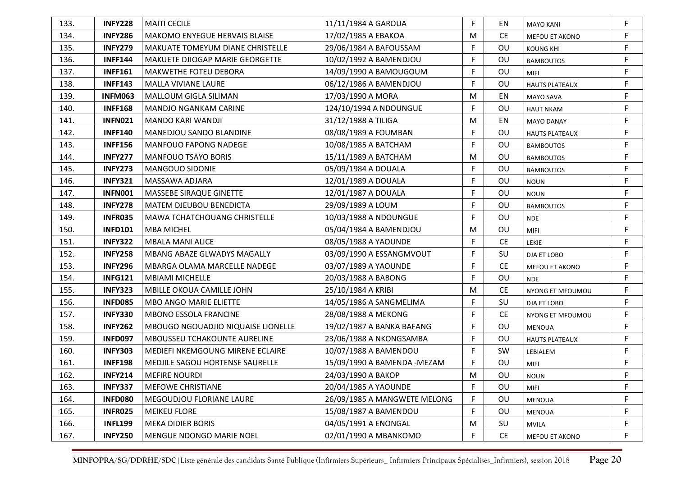| 133. | <b>INFY228</b> | <b>MAITI CECILE</b>                | 11/11/1984 A GAROUA          | F | EN        | <b>MAYO KANI</b>      | F |
|------|----------------|------------------------------------|------------------------------|---|-----------|-----------------------|---|
| 134. | <b>INFY286</b> | MAKOMO ENYEGUE HERVAIS BLAISE      | 17/02/1985 A EBAKOA          | M | <b>CE</b> | MEFOU ET AKONO        | F |
| 135. | <b>INFY279</b> | MAKUATE TOMEYUM DIANE CHRISTELLE   | 29/06/1984 A BAFOUSSAM       | F | OU        | <b>KOUNG KHI</b>      | F |
| 136. | <b>INFF144</b> | MAKUETE DJIOGAP MARIE GEORGETTE    | 10/02/1992 A BAMENDJOU       | F | OU        | <b>BAMBOUTOS</b>      | F |
| 137. | <b>INFF161</b> | <b>MAKWETHE FOTEU DEBORA</b>       | 14/09/1990 A BAMOUGOUM       | F | OU        | <b>MIFI</b>           | F |
| 138. | <b>INFF143</b> | <b>MALLA VIVIANE LAURE</b>         | 06/12/1986 A BAMENDJOU       | F | OU        | <b>HAUTS PLATEAUX</b> | F |
| 139. | <b>INFM063</b> | MALLOUM GIGLA SILIMAN              | 17/03/1990 A MORA            | M | EN        | <b>MAYO SAVA</b>      | F |
| 140. | <b>INFF168</b> | <b>MANDJO NGANKAM CARINE</b>       | 124/10/1994 A NDOUNGUE       | F | OU        | <b>HAUT NKAM</b>      | F |
| 141. | <b>INFN021</b> | MANDO KARI WANDJI                  | 31/12/1988 A TILIGA          | M | EN        | <b>MAYO DANAY</b>     | F |
| 142. | <b>INFF140</b> | <b>MANEDJOU SANDO BLANDINE</b>     | 08/08/1989 A FOUMBAN         | F | OU        | <b>HAUTS PLATEAUX</b> | F |
| 143. | <b>INFF156</b> | <b>MANFOUO FAPONG NADEGE</b>       | 10/08/1985 A BATCHAM         | F | <b>OU</b> | <b>BAMBOUTOS</b>      | F |
| 144. | <b>INFY277</b> | <b>MANFOUO TSAYO BORIS</b>         | 15/11/1989 A BATCHAM         | M | OU        | <b>BAMBOUTOS</b>      | F |
| 145. | <b>INFY273</b> | <b>MANGOUO SIDONIE</b>             | 05/09/1984 A DOUALA          | F | <b>OU</b> | <b>BAMBOUTOS</b>      | F |
| 146. | <b>INFY321</b> | MASSAWA ADJARA                     | 12/01/1989 A DOUALA          | F | OU        | <b>NOUN</b>           | F |
| 147. | <b>INFN001</b> | MASSEBE SIRAQUE GINETTE            | 12/01/1987 A DOUALA          | F | OU        | <b>NOUN</b>           | F |
| 148. | <b>INFY278</b> | <b>MATEM DJEUBOU BENEDICTA</b>     | 29/09/1989 A LOUM            | F | OU        | <b>BAMBOUTOS</b>      | F |
| 149. | <b>INFR035</b> | MAWA TCHATCHOUANG CHRISTELLE       | 10/03/1988 A NDOUNGUE        | F | OU        | <b>NDE</b>            | F |
| 150. | <b>INFD101</b> | <b>MBA MICHEL</b>                  | 05/04/1984 A BAMENDJOU       | M | OU        | <b>MIFI</b>           | F |
| 151. | <b>INFY322</b> | <b>MBALA MANI ALICE</b>            | 08/05/1988 A YAOUNDE         | F | <b>CE</b> | <b>LEKIE</b>          | F |
| 152. | <b>INFY258</b> | MBANG ABAZE GLWADYS MAGALLY        | 03/09/1990 A ESSANGMVOUT     | F | SU        | DJA ET LOBO           | F |
| 153. | <b>INFY296</b> | MBARGA OLAMA MARCELLE NADEGE       | 03/07/1989 A YAOUNDE         | F | <b>CE</b> | MEFOU ET AKONO        | F |
| 154. | <b>INFG121</b> | <b>MBIAMI MICHELLE</b>             | 20/03/1988 A BABONG          | F | OU        | <b>NDE</b>            | F |
| 155. | <b>INFY323</b> | MBILLE OKOUA CAMILLE JOHN          | 25/10/1984 A KRIBI           | M | <b>CE</b> | NYONG ET MFOUMOU      | F |
| 156. | <b>INFD085</b> | <b>MBO ANGO MARIE ELIETTE</b>      | 14/05/1986 A SANGMELIMA      | F | SU        | DJA ET LOBO           | F |
| 157. | <b>INFY330</b> | <b>MBONO ESSOLA FRANCINE</b>       | 28/08/1988 A MEKONG          | F | <b>CE</b> | NYONG ET MFOUMOU      | F |
| 158. | <b>INFY262</b> | MBOUGO NGOUADJIO NIQUAISE LIONELLE | 19/02/1987 A BANKA BAFANG    | F | OU        | <b>MENOUA</b>         | F |
| 159. | <b>INFD097</b> | MBOUSSEU TCHAKOUNTE AURELINE       | 23/06/1988 A NKONGSAMBA      | F | OU        | <b>HAUTS PLATEAUX</b> | F |
| 160. | <b>INFY303</b> | MEDIEFI NKEMGOUNG MIRENE ECLAIRE   | 10/07/1988 A BAMENDOU        | F | SW        | LEBIALEM              | F |
| 161. | <b>INFF198</b> | MEDJILE SAGOU HORTENSE SAURELLE    | 15/09/1990 A BAMENDA - MEZAM | F | OU        | MIFI                  | F |
| 162. | <b>INFY214</b> | <b>MEFIRE NOURDI</b>               | 24/03/1990 A BAKOP           | M | OU        | <b>NOUN</b>           | F |
| 163. | <b>INFY337</b> | MEFOWE CHRISTIANE                  | 20/04/1985 A YAOUNDE         | F | OU        | MIFI                  | F |
| 164. | <b>INFD080</b> | MEGOUDJOU FLORIANE LAURE           | 26/09/1985 A MANGWETE MELONG | F | OU        | MENOUA                | F |
| 165. | <b>INFR025</b> | <b>MEIKEU FLORE</b>                | 15/08/1987 A BAMENDOU        | F | OU        | MENOUA                | F |
| 166. | <b>INFL199</b> | <b>MEKA DIDIER BORIS</b>           | 04/05/1991 A ENONGAL         | M | SU        | <b>MVILA</b>          | F |
| 167. | <b>INFY250</b> | MENGUE NDONGO MARIE NOEL           | 02/01/1990 A MBANKOMO        | F | <b>CE</b> | MEFOU ET AKONO        | F |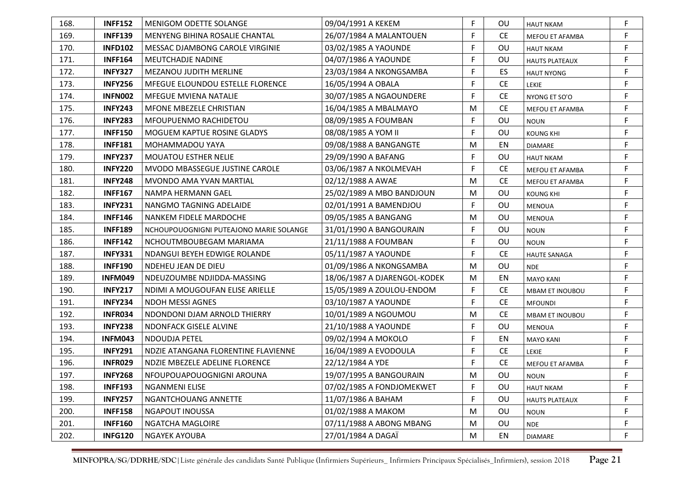| 168. | <b>INFF152</b> | <b>MENIGOM ODETTE SOLANGE</b>           | 09/04/1991 A KEKEM           | F | OU        | <b>HAUT NKAM</b>       | F |
|------|----------------|-----------------------------------------|------------------------------|---|-----------|------------------------|---|
| 169. | <b>INFF139</b> | MENYENG BIHINA ROSALIE CHANTAL          | 26/07/1984 A MALANTOUEN      | F | <b>CE</b> | MEFOU ET AFAMBA        | F |
| 170. | <b>INFD102</b> | MESSAC DJAMBONG CAROLE VIRGINIE         | 03/02/1985 A YAOUNDE         | F | OU        | <b>HAUT NKAM</b>       | F |
| 171. | <b>INFF164</b> | <b>MEUTCHADJE NADINE</b>                | 04/07/1986 A YAOUNDE         | F | OU        | <b>HAUTS PLATEAUX</b>  | F |
| 172. | <b>INFY327</b> | <b>MEZANOU JUDITH MERLINE</b>           | 23/03/1984 A NKONGSAMBA      | F | ES        | <b>HAUT NYONG</b>      | F |
| 173. | <b>INFY256</b> | MFEGUE ELOUNDOU ESTELLE FLORENCE        | 16/05/1994 A OBALA           | F | <b>CE</b> | LEKIE                  | F |
| 174. | <b>INFN002</b> | <b>MFEGUE MVIENA NATALIE</b>            | 30/07/1985 A NGAOUNDERE      | F | <b>CE</b> | NYONG ET SO'O          | F |
| 175. | <b>INFY243</b> | MFONE MBEZELE CHRISTIAN                 | 16/04/1985 A MBALMAYO        | M | <b>CE</b> | MEFOU ET AFAMBA        | F |
| 176. | <b>INFY283</b> | MFOUPUENMO RACHIDETOU                   | 08/09/1985 A FOUMBAN         | F | OU        | <b>NOUN</b>            | F |
| 177. | <b>INFF150</b> | MOGUEM KAPTUE ROSINE GLADYS             | 08/08/1985 A YOM II          | F | OU        | <b>KOUNG KHI</b>       | F |
| 178. | <b>INFF181</b> | MOHAMMADOU YAYA                         | 09/08/1988 A BANGANGTE       | M | EN        | <b>DIAMARE</b>         | F |
| 179. | <b>INFY237</b> | <b>MOUATOU ESTHER NELIE</b>             | 29/09/1990 A BAFANG          | F | OU        | <b>HAUT NKAM</b>       | F |
| 180. | <b>INFY220</b> | MVODO MBASSEGUE JUSTINE CAROLE          | 03/06/1987 A NKOLMEVAH       | F | <b>CE</b> | MEFOU ET AFAMBA        | F |
| 181. | <b>INFY248</b> | MVONDO AMA YVAN MARTIAL                 | 02/12/1988 A AWAE            | M | <b>CE</b> | MEFOU ET AFAMBA        | F |
| 182. | <b>INFF167</b> | NAMPA HERMANN GAEL                      | 25/02/1989 A MBO BANDJOUN    | M | OU        | <b>KOUNG KHI</b>       | F |
| 183. | <b>INFY231</b> | NANGMO TAGNING ADELAIDE                 | 02/01/1991 A BAMENDJOU       | F | OU        | <b>MENOUA</b>          | F |
| 184. | <b>INFF146</b> | NANKEM FIDELE MARDOCHE                  | 09/05/1985 A BANGANG         | M | <b>OU</b> | <b>MENOUA</b>          | F |
| 185. | <b>INFF189</b> | NCHOUPOUOGNIGNI PUTEAJONO MARIE SOLANGE | 31/01/1990 A BANGOURAIN      | F | OU        | <b>NOUN</b>            | F |
| 186. | <b>INFF142</b> | NCHOUTMBOUBEGAM MARIAMA                 | 21/11/1988 A FOUMBAN         | F | OU        | <b>NOUN</b>            | F |
| 187. | <b>INFY331</b> | NDANGUI BEYEH EDWIGE ROLANDE            | 05/11/1987 A YAOUNDE         | F | <b>CE</b> | <b>HAUTE SANAGA</b>    | F |
| 188. | <b>INFF190</b> | NDEHEU JEAN DE DIEU                     | 01/09/1986 A NKONGSAMBA      | M | OU        | <b>NDE</b>             | F |
| 189. | INFM049        | NDEUZOUMBE NDJIDDA-MASSING              | 18/06/1987 A DJARENGOL-KODEK | M | EN        | <b>MAYO KANI</b>       | F |
| 190. | <b>INFY217</b> | NDIMI A MOUGOUFAN ELISE ARIELLE         | 15/05/1989 A ZOULOU-ENDOM    | F | <b>CE</b> | <b>MBAM ET INOUBOU</b> | F |
| 191. | <b>INFY234</b> | <b>NDOH MESSI AGNES</b>                 | 03/10/1987 A YAOUNDE         | F | <b>CE</b> | <b>MFOUNDI</b>         | F |
| 192. | <b>INFR034</b> | NDONDONI DJAM ARNOLD THIERRY            | 10/01/1989 A NGOUMOU         | M | <b>CE</b> | <b>MBAM ET INOUBOU</b> | F |
| 193. | <b>INFY238</b> | NDONFACK GISELE ALVINE                  | 21/10/1988 A YAOUNDE         | F | OU        | <b>MENOUA</b>          | F |
| 194. | <b>INFM043</b> | NDOUDJA PETEL                           | 09/02/1994 A MOKOLO          | F | EN        | <b>MAYO KANI</b>       | F |
| 195. | <b>INFY291</b> | NDZIE ATANGANA FLORENTINE FLAVIENNE     | 16/04/1989 A EVODOULA        | F | <b>CE</b> | LEKIE                  | F |
| 196. | <b>INFR029</b> | NDZIE MBEZELE ADELINE FLORENCE          | 22/12/1984 A YDE             | F | <b>CE</b> | MEFOU ET AFAMBA        | F |
| 197. | <b>INFY268</b> | NFOUPOUAPOUOGNIGNI AROUNA               | 19/07/1995 A BANGOURAIN      | м | OU        | <b>NOUN</b>            |   |
| 198. | <b>INFF193</b> | <b>NGANMENI ELISE</b>                   | 07/02/1985 A FONDJOMEKWET    | F | OU        | <b>HAUT NKAM</b>       | F |
| 199. | <b>INFY257</b> | NGANTCHOUANG ANNETTE                    | 11/07/1986 A BAHAM           | F | OU        | <b>HAUTS PLATEAUX</b>  | F |
| 200. | <b>INFF158</b> | NGAPOUT INOUSSA                         | 01/02/1988 A MAKOM           | M | OU        | <b>NOUN</b>            | F |
| 201. | <b>INFF160</b> | NGATCHA MAGLOIRE                        | 07/11/1988 A ABONG MBANG     | M | OU        | <b>NDE</b>             | F |
| 202. | <b>INFG120</b> | <b>NGAYEK AYOUBA</b>                    | 27/01/1984 A DAGAÏ           | M | EN        | <b>DIAMARE</b>         | F |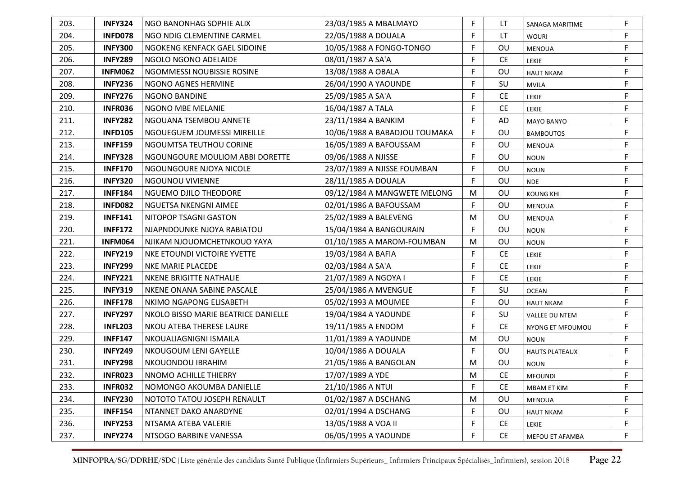| 203. | <b>INFY324</b> | NGO BANONHAG SOPHIE ALIX            | 23/03/1985 A MBALMAYO         | F | LT        | SANAGA MARITIME       | F           |
|------|----------------|-------------------------------------|-------------------------------|---|-----------|-----------------------|-------------|
| 204. | <b>INFD078</b> | NGO NDIG CLEMENTINE CARMEL          | 22/05/1988 A DOUALA           | F | LT.       | <b>WOURI</b>          | F           |
| 205. | <b>INFY300</b> | NGOKENG KENFACK GAEL SIDOINE        | 10/05/1988 A FONGO-TONGO      | F | OU        | <b>MENOUA</b>         | F           |
| 206. | <b>INFY289</b> | NGOLO NGONO ADELAIDE                | 08/01/1987 A SA'A             | F | <b>CE</b> | <b>LEKIE</b>          | $\mathsf F$ |
| 207. | <b>INFM062</b> | NGOMMESSI NOUBISSIE ROSINE          | 13/08/1988 A OBALA            | F | OU        | <b>HAUT NKAM</b>      | $\mathsf F$ |
| 208. | <b>INFY236</b> | NGONO AGNES HERMINE                 | 26/04/1990 A YAOUNDE          | F | SU        | <b>MVILA</b>          | F           |
| 209. | <b>INFY276</b> | <b>NGONO BANDINE</b>                | 25/09/1985 A SA'A             | F | <b>CE</b> | LEKIE                 | F           |
| 210. | <b>INFR036</b> | NGONO MBE MELANIE                   | 16/04/1987 A TALA             | F | <b>CE</b> | <b>LEKIE</b>          | F           |
| 211. | <b>INFY282</b> | NGOUANA TSEMBOU ANNETE              | 23/11/1984 A BANKIM           | F | AD        | <b>MAYO BANYO</b>     | F           |
| 212. | <b>INFD105</b> | NGOUEGUEM JOUMESSI MIREILLE         | 10/06/1988 A BABADJOU TOUMAKA | F | OU        | <b>BAMBOUTOS</b>      | F           |
| 213. | <b>INFF159</b> | NGOUMTSA TEUTHOU CORINE             | 16/05/1989 A BAFOUSSAM        | F | <b>OU</b> | <b>MENOUA</b>         | F           |
| 214. | <b>INFY328</b> | NGOUNGOURE MOULIOM ABBI DORETTE     | 09/06/1988 A NJISSE           | F | OU        | <b>NOUN</b>           | F           |
| 215. | <b>INFF170</b> | NGOUNGOURE NJOYA NICOLE             | 23/07/1989 A NJISSE FOUMBAN   | F | OU        | <b>NOUN</b>           | $\mathsf F$ |
| 216. | <b>INFY320</b> | NGOUNOU VIVIENNE                    | 28/11/1985 A DOUALA           | F | OU        | <b>NDE</b>            | F           |
| 217. | <b>INFF184</b> | NGUEMO DJILO THEODORE               | 09/12/1984 A MANGWETE MELONG  | M | OU        | <b>KOUNG KHI</b>      | F           |
| 218. | <b>INFD082</b> | NGUETSA NKENGNI AIMEE               | 02/01/1986 A BAFOUSSAM        | F | OU        | <b>MENOUA</b>         | F           |
| 219. | <b>INFF141</b> | NITOPOP TSAGNI GASTON               | 25/02/1989 A BALEVENG         | M | OU        | MENOUA                | F           |
| 220. | <b>INFF172</b> | NJAPNDOUNKE NJOYA RABIATOU          | 15/04/1984 A BANGOURAIN       | F | OU        | <b>NOUN</b>           | F           |
| 221. | <b>INFM064</b> | NJIKAM NJOUOMCHETNKOUO YAYA         | 01/10/1985 A MAROM-FOUMBAN    | M | OU        | <b>NOUN</b>           | F           |
| 222. | <b>INFY219</b> | NKE ETOUNDI VICTOIRE YVETTE         | 19/03/1984 A BAFIA            | F | <b>CE</b> | <b>LEKIE</b>          | F           |
| 223. | <b>INFY299</b> | <b>NKE MARIE PLACEDE</b>            | 02/03/1984 A SA'A             | F | <b>CE</b> | <b>LEKIE</b>          | F           |
| 224. | <b>INFY221</b> | <b>NKENE BRIGITTE NATHALIE</b>      | 21/07/1989 A NGOYA I          | F | <b>CE</b> | LEKIE                 | F           |
| 225. | <b>INFY319</b> | NKENE ONANA SABINE PASCALE          | 25/04/1986 A MVENGUE          | F | SU        | <b>OCEAN</b>          | F           |
| 226. | <b>INFF178</b> | NKIMO NGAPONG ELISABETH             | 05/02/1993 A MOUMEE           | F | OU        | <b>HAUT NKAM</b>      | F           |
| 227. | <b>INFY297</b> | NKOLO BISSO MARIE BEATRICE DANIELLE | 19/04/1984 A YAOUNDE          | F | SU        | VALLEE DU NTEM        | F           |
| 228. | <b>INFL203</b> | NKOU ATEBA THERESE LAURE            | 19/11/1985 A ENDOM            | F | <b>CE</b> | NYONG ET MFOUMOU      | F           |
| 229. | <b>INFF147</b> | NKOUALIAGNIGNI ISMAILA              | 11/01/1989 A YAOUNDE          | M | OU        | <b>NOUN</b>           | F           |
| 230. | <b>INFY249</b> | NKOUGOUM LENI GAYELLE               | 10/04/1986 A DOUALA           | F | OU        | <b>HAUTS PLATEAUX</b> | F           |
| 231. | <b>INFY298</b> | NKOUONDOU IBRAHIM                   | 21/05/1986 A BANGOLAN         | M | OU        | <b>NOUN</b>           | F           |
| 232. | <b>INFR023</b> | NNOMO ACHILLE THIERRY               | 17/07/1989 A YDE              | M | <b>CE</b> | <b>MFOUNDI</b>        | F           |
| 233. | <b>INFR032</b> | NOMONGO AKOUMBA DANIELLE            | 21/10/1986 A NTUI             | F | <b>CE</b> | MBAM ET KIM           | F           |
| 234. | <b>INFY230</b> | NOTOTO TATOU JOSEPH RENAULT         | 01/02/1987 A DSCHANG          | M | OU        | MENOUA                | F           |
| 235. | <b>INFF154</b> | NTANNET DAKO ANARDYNE               | 02/01/1994 A DSCHANG          | F | OU        | <b>HAUT NKAM</b>      | F.          |
| 236. | <b>INFY253</b> | NTSAMA ATEBA VALERIE                | 13/05/1988 A VOA II           | F | <b>CE</b> | LEKIE                 | F           |
| 237. | <b>INFY274</b> | NTSOGO BARBINE VANESSA              | 06/05/1995 A YAOUNDE          | F | <b>CE</b> | MEFOU ET AFAMBA       | F           |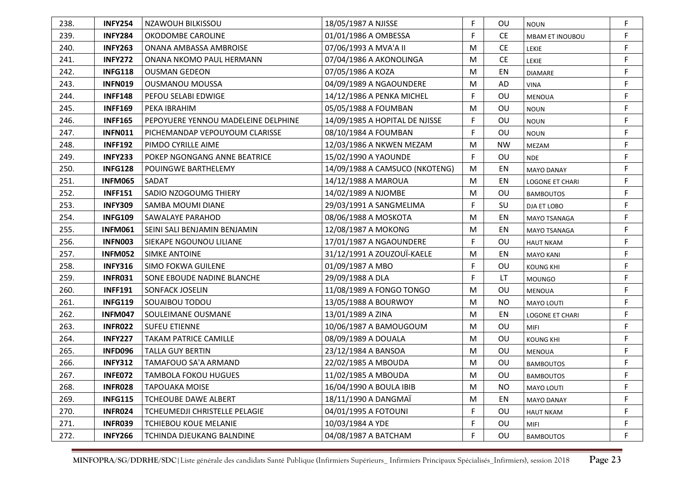| F<br><b>CE</b><br>239.<br><b>INFY284</b><br>01/01/1986 A OMBESSA<br>F<br>OKODOMBE CAROLINE<br><b>MBAM ET INOUBOU</b><br>F<br>240.<br><b>INFY263</b><br>ONANA AMBASSA AMBROISE<br>07/06/1993 A MVA'A II<br>M<br><b>CE</b><br>LEKIE<br><b>INFY272</b><br><b>CE</b><br>F<br>241.<br>ONANA NKOMO PAUL HERMANN<br>07/04/1986 A AKONOLINGA<br>M<br><b>LEKIE</b><br>F<br><b>INFG118</b><br>07/05/1986 A KOZA<br>M<br>EN<br>242.<br><b>OUSMAN GEDEON</b><br><b>DIAMARE</b><br>F<br>04/09/1989 A NGAOUNDERE<br>243.<br><b>INFN019</b><br><b>OUSMANOU MOUSSA</b><br>M<br>AD<br><b>VINA</b><br>F<br>14/12/1986 A PENKA MICHEL<br>F<br><b>INFF148</b><br>PEFOU SELABI EDWIGE<br>OU<br>244.<br><b>MENOUA</b><br>F<br>OU<br>245.<br><b>INFF169</b><br>PEKA IBRAHIM<br>05/05/1988 A FOUMBAN<br>м<br><b>NOUN</b><br>F<br>F<br>OU<br>246.<br><b>INFF165</b><br>PEPOYUERE YENNOU MADELEINE DELPHINE<br>14/09/1985 A HOPITAL DE NJISSE<br><b>NOUN</b><br>F<br>OU<br>F<br>247.<br><b>INFN011</b><br>PICHEMANDAP VEPOUYOUM CLARISSE<br>08/10/1984 A FOUMBAN<br><b>NOUN</b><br>F<br><b>INFF192</b><br>12/03/1986 A NKWEN MEZAM<br><b>NW</b><br>248.<br>PIMDO CYRILLE AIME<br>M<br>MEZAM<br>F<br>F<br>OU<br>249.<br><b>INFY233</b><br>POKEP NGONGANG ANNE BEATRICE<br>15/02/1990 A YAOUNDE<br><b>NDE</b><br>F<br>250.<br><b>INFG128</b><br>14/09/1988 A CAMSUCO (NKOTENG)<br>POUINGWE BARTHELEMY<br>M<br>EN<br><b>MAYO DANAY</b><br>F<br>251.<br><b>INFM065</b><br>M<br>EN<br>SADAT<br>14/12/1988 A MAROUA<br><b>LOGONE ET CHARI</b><br>F<br>252.<br><b>INFF151</b><br>SADIO NZOGOUMG THIERY<br>14/02/1989 A NJOMBE<br>OU<br>M<br><b>BAMBOUTOS</b><br>F<br>253.<br><b>INFY309</b><br>SU<br>F<br>SAMBA MOUMI DIANE<br>29/03/1991 A SANGMELIMA<br>DJA ET LOBO<br>254.<br><b>INFG109</b><br>F<br>SAWALAYE PARAHOD<br>08/06/1988 A MOSKOTA<br>M<br>EN<br>MAYO TSANAGA<br>F<br>255.<br><b>INFM061</b><br>12/08/1987 A MOKONG<br>EN<br>SEINI SALI BENJAMIN BENJAMIN<br>M<br>MAYO TSANAGA<br>F<br>256.<br><b>INFN003</b><br>17/01/1987 A NGAOUNDERE<br>OU<br>F<br>SIEKAPE NGOUNOU LILIANE<br><b>HAUT NKAM</b><br>31/12/1991 A ZOUZOUÏ-KAELE<br>F<br>257.<br><b>INFM052</b><br>M<br>EN<br><b>SIMKE ANTOINE</b><br><b>MAYO KANI</b><br>F<br>F<br>258.<br><b>INFY316</b><br><b>SIMO FOKWA GUILENE</b><br>OU<br>01/09/1987 A MBO<br><b>KOUNG KHI</b><br>F<br>F<br>259.<br>29/09/1988 A DLA<br>LT<br><b>INFR031</b><br>SONE EBOUDE NADINE BLANCHE<br><b>MOUNGO</b><br>11/08/1989 A FONGO TONGO<br>F<br>260.<br><b>INFF191</b><br><b>SONFACK JOSELIN</b><br>OU<br>M<br><b>MENOUA</b><br>F<br>261.<br><b>INFG119</b><br>13/05/1988 A BOURWOY<br>M<br><b>NO</b><br>SOUAIBOU TODOU<br>MAYO LOUTI<br>F<br>262.<br><b>INFM047</b><br>SOULEIMANE OUSMANE<br>13/01/1989 A ZINA<br>EN<br>M<br><b>LOGONE ET CHARI</b><br>F<br>OU<br>263.<br><b>INFR022</b><br>10/06/1987 A BAMOUGOUM<br>M<br><b>SUFEU ETIENNE</b><br><b>MIFI</b><br>F<br>264.<br><b>INFY227</b><br><b>TAKAM PATRICE CAMILLE</b><br>08/09/1989 A DOUALA<br>OU<br>M<br><b>KOUNG KHI</b><br>F<br>265.<br><b>INFD096</b><br><b>TALLA GUY BERTIN</b><br>23/12/1984 A BANSOA<br>M<br>OU<br><b>MENOUA</b><br>F<br>OU<br>266.<br><b>INFY312</b><br>TAMAFOUO SA'A ARMAND<br>22/02/1985 A MBOUDA<br>M<br><b>BAMBOUTOS</b><br>F<br>267.<br>INFE072<br>11/02/1985 A MBOUDA<br>M<br>OU<br><b>TAMBOLA FOKOU HUGUES</b><br><b>BAMBOUTOS</b><br>F<br>268.<br><b>INFR028</b><br><b>TAPOUAKA MOISE</b><br>16/04/1990 A BOULA IBIB<br>M<br><b>NO</b><br>MAYO LOUTI<br>F<br>269.<br><b>INFG115</b><br><b>TCHEOUBE DAWE ALBERT</b><br>18/11/1990 A DANGMAÏ<br>EN<br>M<br><b>MAYO DANAY</b><br>F<br>F<br>270.<br><b>INFR024</b><br>TCHEUMEDJI CHRISTELLE PELAGIE<br>04/01/1995 A FOTOUNI<br>OU<br><b>HAUT NKAM</b><br>F<br>F<br><b>INFR039</b><br><b>TCHIEBOU KOUE MELANIE</b><br>10/03/1984 A YDE<br>271.<br>OU<br>MIFI<br><b>INFY266</b><br>04/08/1987 A BATCHAM<br>F<br>272.<br>TCHINDA DJEUKANG BALNDINE<br>OU<br>F<br><b>BAMBOUTOS</b> | 238. | <b>INFY254</b> | <b>NZAWOUH BILKISSOU</b> | 18/05/1987 A NJISSE | F | OU | <b>NOUN</b> | F |
|------------------------------------------------------------------------------------------------------------------------------------------------------------------------------------------------------------------------------------------------------------------------------------------------------------------------------------------------------------------------------------------------------------------------------------------------------------------------------------------------------------------------------------------------------------------------------------------------------------------------------------------------------------------------------------------------------------------------------------------------------------------------------------------------------------------------------------------------------------------------------------------------------------------------------------------------------------------------------------------------------------------------------------------------------------------------------------------------------------------------------------------------------------------------------------------------------------------------------------------------------------------------------------------------------------------------------------------------------------------------------------------------------------------------------------------------------------------------------------------------------------------------------------------------------------------------------------------------------------------------------------------------------------------------------------------------------------------------------------------------------------------------------------------------------------------------------------------------------------------------------------------------------------------------------------------------------------------------------------------------------------------------------------------------------------------------------------------------------------------------------------------------------------------------------------------------------------------------------------------------------------------------------------------------------------------------------------------------------------------------------------------------------------------------------------------------------------------------------------------------------------------------------------------------------------------------------------------------------------------------------------------------------------------------------------------------------------------------------------------------------------------------------------------------------------------------------------------------------------------------------------------------------------------------------------------------------------------------------------------------------------------------------------------------------------------------------------------------------------------------------------------------------------------------------------------------------------------------------------------------------------------------------------------------------------------------------------------------------------------------------------------------------------------------------------------------------------------------------------------------------------------------------------------------------------------------------------------------------------------------------------------------------------------------------------------------------------------------------------------------------------------------------------------------------------------------------------------------------------------------------------------------------------------------------------------|------|----------------|--------------------------|---------------------|---|----|-------------|---|
|                                                                                                                                                                                                                                                                                                                                                                                                                                                                                                                                                                                                                                                                                                                                                                                                                                                                                                                                                                                                                                                                                                                                                                                                                                                                                                                                                                                                                                                                                                                                                                                                                                                                                                                                                                                                                                                                                                                                                                                                                                                                                                                                                                                                                                                                                                                                                                                                                                                                                                                                                                                                                                                                                                                                                                                                                                                                                                                                                                                                                                                                                                                                                                                                                                                                                                                                                                                                                                                                                                                                                                                                                                                                                                                                                                                                                                                                                                                                          |      |                |                          |                     |   |    |             |   |
|                                                                                                                                                                                                                                                                                                                                                                                                                                                                                                                                                                                                                                                                                                                                                                                                                                                                                                                                                                                                                                                                                                                                                                                                                                                                                                                                                                                                                                                                                                                                                                                                                                                                                                                                                                                                                                                                                                                                                                                                                                                                                                                                                                                                                                                                                                                                                                                                                                                                                                                                                                                                                                                                                                                                                                                                                                                                                                                                                                                                                                                                                                                                                                                                                                                                                                                                                                                                                                                                                                                                                                                                                                                                                                                                                                                                                                                                                                                                          |      |                |                          |                     |   |    |             |   |
|                                                                                                                                                                                                                                                                                                                                                                                                                                                                                                                                                                                                                                                                                                                                                                                                                                                                                                                                                                                                                                                                                                                                                                                                                                                                                                                                                                                                                                                                                                                                                                                                                                                                                                                                                                                                                                                                                                                                                                                                                                                                                                                                                                                                                                                                                                                                                                                                                                                                                                                                                                                                                                                                                                                                                                                                                                                                                                                                                                                                                                                                                                                                                                                                                                                                                                                                                                                                                                                                                                                                                                                                                                                                                                                                                                                                                                                                                                                                          |      |                |                          |                     |   |    |             |   |
|                                                                                                                                                                                                                                                                                                                                                                                                                                                                                                                                                                                                                                                                                                                                                                                                                                                                                                                                                                                                                                                                                                                                                                                                                                                                                                                                                                                                                                                                                                                                                                                                                                                                                                                                                                                                                                                                                                                                                                                                                                                                                                                                                                                                                                                                                                                                                                                                                                                                                                                                                                                                                                                                                                                                                                                                                                                                                                                                                                                                                                                                                                                                                                                                                                                                                                                                                                                                                                                                                                                                                                                                                                                                                                                                                                                                                                                                                                                                          |      |                |                          |                     |   |    |             |   |
|                                                                                                                                                                                                                                                                                                                                                                                                                                                                                                                                                                                                                                                                                                                                                                                                                                                                                                                                                                                                                                                                                                                                                                                                                                                                                                                                                                                                                                                                                                                                                                                                                                                                                                                                                                                                                                                                                                                                                                                                                                                                                                                                                                                                                                                                                                                                                                                                                                                                                                                                                                                                                                                                                                                                                                                                                                                                                                                                                                                                                                                                                                                                                                                                                                                                                                                                                                                                                                                                                                                                                                                                                                                                                                                                                                                                                                                                                                                                          |      |                |                          |                     |   |    |             |   |
|                                                                                                                                                                                                                                                                                                                                                                                                                                                                                                                                                                                                                                                                                                                                                                                                                                                                                                                                                                                                                                                                                                                                                                                                                                                                                                                                                                                                                                                                                                                                                                                                                                                                                                                                                                                                                                                                                                                                                                                                                                                                                                                                                                                                                                                                                                                                                                                                                                                                                                                                                                                                                                                                                                                                                                                                                                                                                                                                                                                                                                                                                                                                                                                                                                                                                                                                                                                                                                                                                                                                                                                                                                                                                                                                                                                                                                                                                                                                          |      |                |                          |                     |   |    |             |   |
|                                                                                                                                                                                                                                                                                                                                                                                                                                                                                                                                                                                                                                                                                                                                                                                                                                                                                                                                                                                                                                                                                                                                                                                                                                                                                                                                                                                                                                                                                                                                                                                                                                                                                                                                                                                                                                                                                                                                                                                                                                                                                                                                                                                                                                                                                                                                                                                                                                                                                                                                                                                                                                                                                                                                                                                                                                                                                                                                                                                                                                                                                                                                                                                                                                                                                                                                                                                                                                                                                                                                                                                                                                                                                                                                                                                                                                                                                                                                          |      |                |                          |                     |   |    |             |   |
|                                                                                                                                                                                                                                                                                                                                                                                                                                                                                                                                                                                                                                                                                                                                                                                                                                                                                                                                                                                                                                                                                                                                                                                                                                                                                                                                                                                                                                                                                                                                                                                                                                                                                                                                                                                                                                                                                                                                                                                                                                                                                                                                                                                                                                                                                                                                                                                                                                                                                                                                                                                                                                                                                                                                                                                                                                                                                                                                                                                                                                                                                                                                                                                                                                                                                                                                                                                                                                                                                                                                                                                                                                                                                                                                                                                                                                                                                                                                          |      |                |                          |                     |   |    |             |   |
|                                                                                                                                                                                                                                                                                                                                                                                                                                                                                                                                                                                                                                                                                                                                                                                                                                                                                                                                                                                                                                                                                                                                                                                                                                                                                                                                                                                                                                                                                                                                                                                                                                                                                                                                                                                                                                                                                                                                                                                                                                                                                                                                                                                                                                                                                                                                                                                                                                                                                                                                                                                                                                                                                                                                                                                                                                                                                                                                                                                                                                                                                                                                                                                                                                                                                                                                                                                                                                                                                                                                                                                                                                                                                                                                                                                                                                                                                                                                          |      |                |                          |                     |   |    |             |   |
|                                                                                                                                                                                                                                                                                                                                                                                                                                                                                                                                                                                                                                                                                                                                                                                                                                                                                                                                                                                                                                                                                                                                                                                                                                                                                                                                                                                                                                                                                                                                                                                                                                                                                                                                                                                                                                                                                                                                                                                                                                                                                                                                                                                                                                                                                                                                                                                                                                                                                                                                                                                                                                                                                                                                                                                                                                                                                                                                                                                                                                                                                                                                                                                                                                                                                                                                                                                                                                                                                                                                                                                                                                                                                                                                                                                                                                                                                                                                          |      |                |                          |                     |   |    |             |   |
|                                                                                                                                                                                                                                                                                                                                                                                                                                                                                                                                                                                                                                                                                                                                                                                                                                                                                                                                                                                                                                                                                                                                                                                                                                                                                                                                                                                                                                                                                                                                                                                                                                                                                                                                                                                                                                                                                                                                                                                                                                                                                                                                                                                                                                                                                                                                                                                                                                                                                                                                                                                                                                                                                                                                                                                                                                                                                                                                                                                                                                                                                                                                                                                                                                                                                                                                                                                                                                                                                                                                                                                                                                                                                                                                                                                                                                                                                                                                          |      |                |                          |                     |   |    |             |   |
|                                                                                                                                                                                                                                                                                                                                                                                                                                                                                                                                                                                                                                                                                                                                                                                                                                                                                                                                                                                                                                                                                                                                                                                                                                                                                                                                                                                                                                                                                                                                                                                                                                                                                                                                                                                                                                                                                                                                                                                                                                                                                                                                                                                                                                                                                                                                                                                                                                                                                                                                                                                                                                                                                                                                                                                                                                                                                                                                                                                                                                                                                                                                                                                                                                                                                                                                                                                                                                                                                                                                                                                                                                                                                                                                                                                                                                                                                                                                          |      |                |                          |                     |   |    |             |   |
|                                                                                                                                                                                                                                                                                                                                                                                                                                                                                                                                                                                                                                                                                                                                                                                                                                                                                                                                                                                                                                                                                                                                                                                                                                                                                                                                                                                                                                                                                                                                                                                                                                                                                                                                                                                                                                                                                                                                                                                                                                                                                                                                                                                                                                                                                                                                                                                                                                                                                                                                                                                                                                                                                                                                                                                                                                                                                                                                                                                                                                                                                                                                                                                                                                                                                                                                                                                                                                                                                                                                                                                                                                                                                                                                                                                                                                                                                                                                          |      |                |                          |                     |   |    |             |   |
|                                                                                                                                                                                                                                                                                                                                                                                                                                                                                                                                                                                                                                                                                                                                                                                                                                                                                                                                                                                                                                                                                                                                                                                                                                                                                                                                                                                                                                                                                                                                                                                                                                                                                                                                                                                                                                                                                                                                                                                                                                                                                                                                                                                                                                                                                                                                                                                                                                                                                                                                                                                                                                                                                                                                                                                                                                                                                                                                                                                                                                                                                                                                                                                                                                                                                                                                                                                                                                                                                                                                                                                                                                                                                                                                                                                                                                                                                                                                          |      |                |                          |                     |   |    |             |   |
|                                                                                                                                                                                                                                                                                                                                                                                                                                                                                                                                                                                                                                                                                                                                                                                                                                                                                                                                                                                                                                                                                                                                                                                                                                                                                                                                                                                                                                                                                                                                                                                                                                                                                                                                                                                                                                                                                                                                                                                                                                                                                                                                                                                                                                                                                                                                                                                                                                                                                                                                                                                                                                                                                                                                                                                                                                                                                                                                                                                                                                                                                                                                                                                                                                                                                                                                                                                                                                                                                                                                                                                                                                                                                                                                                                                                                                                                                                                                          |      |                |                          |                     |   |    |             |   |
|                                                                                                                                                                                                                                                                                                                                                                                                                                                                                                                                                                                                                                                                                                                                                                                                                                                                                                                                                                                                                                                                                                                                                                                                                                                                                                                                                                                                                                                                                                                                                                                                                                                                                                                                                                                                                                                                                                                                                                                                                                                                                                                                                                                                                                                                                                                                                                                                                                                                                                                                                                                                                                                                                                                                                                                                                                                                                                                                                                                                                                                                                                                                                                                                                                                                                                                                                                                                                                                                                                                                                                                                                                                                                                                                                                                                                                                                                                                                          |      |                |                          |                     |   |    |             |   |
|                                                                                                                                                                                                                                                                                                                                                                                                                                                                                                                                                                                                                                                                                                                                                                                                                                                                                                                                                                                                                                                                                                                                                                                                                                                                                                                                                                                                                                                                                                                                                                                                                                                                                                                                                                                                                                                                                                                                                                                                                                                                                                                                                                                                                                                                                                                                                                                                                                                                                                                                                                                                                                                                                                                                                                                                                                                                                                                                                                                                                                                                                                                                                                                                                                                                                                                                                                                                                                                                                                                                                                                                                                                                                                                                                                                                                                                                                                                                          |      |                |                          |                     |   |    |             |   |
|                                                                                                                                                                                                                                                                                                                                                                                                                                                                                                                                                                                                                                                                                                                                                                                                                                                                                                                                                                                                                                                                                                                                                                                                                                                                                                                                                                                                                                                                                                                                                                                                                                                                                                                                                                                                                                                                                                                                                                                                                                                                                                                                                                                                                                                                                                                                                                                                                                                                                                                                                                                                                                                                                                                                                                                                                                                                                                                                                                                                                                                                                                                                                                                                                                                                                                                                                                                                                                                                                                                                                                                                                                                                                                                                                                                                                                                                                                                                          |      |                |                          |                     |   |    |             |   |
|                                                                                                                                                                                                                                                                                                                                                                                                                                                                                                                                                                                                                                                                                                                                                                                                                                                                                                                                                                                                                                                                                                                                                                                                                                                                                                                                                                                                                                                                                                                                                                                                                                                                                                                                                                                                                                                                                                                                                                                                                                                                                                                                                                                                                                                                                                                                                                                                                                                                                                                                                                                                                                                                                                                                                                                                                                                                                                                                                                                                                                                                                                                                                                                                                                                                                                                                                                                                                                                                                                                                                                                                                                                                                                                                                                                                                                                                                                                                          |      |                |                          |                     |   |    |             |   |
|                                                                                                                                                                                                                                                                                                                                                                                                                                                                                                                                                                                                                                                                                                                                                                                                                                                                                                                                                                                                                                                                                                                                                                                                                                                                                                                                                                                                                                                                                                                                                                                                                                                                                                                                                                                                                                                                                                                                                                                                                                                                                                                                                                                                                                                                                                                                                                                                                                                                                                                                                                                                                                                                                                                                                                                                                                                                                                                                                                                                                                                                                                                                                                                                                                                                                                                                                                                                                                                                                                                                                                                                                                                                                                                                                                                                                                                                                                                                          |      |                |                          |                     |   |    |             |   |
|                                                                                                                                                                                                                                                                                                                                                                                                                                                                                                                                                                                                                                                                                                                                                                                                                                                                                                                                                                                                                                                                                                                                                                                                                                                                                                                                                                                                                                                                                                                                                                                                                                                                                                                                                                                                                                                                                                                                                                                                                                                                                                                                                                                                                                                                                                                                                                                                                                                                                                                                                                                                                                                                                                                                                                                                                                                                                                                                                                                                                                                                                                                                                                                                                                                                                                                                                                                                                                                                                                                                                                                                                                                                                                                                                                                                                                                                                                                                          |      |                |                          |                     |   |    |             |   |
|                                                                                                                                                                                                                                                                                                                                                                                                                                                                                                                                                                                                                                                                                                                                                                                                                                                                                                                                                                                                                                                                                                                                                                                                                                                                                                                                                                                                                                                                                                                                                                                                                                                                                                                                                                                                                                                                                                                                                                                                                                                                                                                                                                                                                                                                                                                                                                                                                                                                                                                                                                                                                                                                                                                                                                                                                                                                                                                                                                                                                                                                                                                                                                                                                                                                                                                                                                                                                                                                                                                                                                                                                                                                                                                                                                                                                                                                                                                                          |      |                |                          |                     |   |    |             |   |
|                                                                                                                                                                                                                                                                                                                                                                                                                                                                                                                                                                                                                                                                                                                                                                                                                                                                                                                                                                                                                                                                                                                                                                                                                                                                                                                                                                                                                                                                                                                                                                                                                                                                                                                                                                                                                                                                                                                                                                                                                                                                                                                                                                                                                                                                                                                                                                                                                                                                                                                                                                                                                                                                                                                                                                                                                                                                                                                                                                                                                                                                                                                                                                                                                                                                                                                                                                                                                                                                                                                                                                                                                                                                                                                                                                                                                                                                                                                                          |      |                |                          |                     |   |    |             |   |
|                                                                                                                                                                                                                                                                                                                                                                                                                                                                                                                                                                                                                                                                                                                                                                                                                                                                                                                                                                                                                                                                                                                                                                                                                                                                                                                                                                                                                                                                                                                                                                                                                                                                                                                                                                                                                                                                                                                                                                                                                                                                                                                                                                                                                                                                                                                                                                                                                                                                                                                                                                                                                                                                                                                                                                                                                                                                                                                                                                                                                                                                                                                                                                                                                                                                                                                                                                                                                                                                                                                                                                                                                                                                                                                                                                                                                                                                                                                                          |      |                |                          |                     |   |    |             |   |
|                                                                                                                                                                                                                                                                                                                                                                                                                                                                                                                                                                                                                                                                                                                                                                                                                                                                                                                                                                                                                                                                                                                                                                                                                                                                                                                                                                                                                                                                                                                                                                                                                                                                                                                                                                                                                                                                                                                                                                                                                                                                                                                                                                                                                                                                                                                                                                                                                                                                                                                                                                                                                                                                                                                                                                                                                                                                                                                                                                                                                                                                                                                                                                                                                                                                                                                                                                                                                                                                                                                                                                                                                                                                                                                                                                                                                                                                                                                                          |      |                |                          |                     |   |    |             |   |
|                                                                                                                                                                                                                                                                                                                                                                                                                                                                                                                                                                                                                                                                                                                                                                                                                                                                                                                                                                                                                                                                                                                                                                                                                                                                                                                                                                                                                                                                                                                                                                                                                                                                                                                                                                                                                                                                                                                                                                                                                                                                                                                                                                                                                                                                                                                                                                                                                                                                                                                                                                                                                                                                                                                                                                                                                                                                                                                                                                                                                                                                                                                                                                                                                                                                                                                                                                                                                                                                                                                                                                                                                                                                                                                                                                                                                                                                                                                                          |      |                |                          |                     |   |    |             |   |
|                                                                                                                                                                                                                                                                                                                                                                                                                                                                                                                                                                                                                                                                                                                                                                                                                                                                                                                                                                                                                                                                                                                                                                                                                                                                                                                                                                                                                                                                                                                                                                                                                                                                                                                                                                                                                                                                                                                                                                                                                                                                                                                                                                                                                                                                                                                                                                                                                                                                                                                                                                                                                                                                                                                                                                                                                                                                                                                                                                                                                                                                                                                                                                                                                                                                                                                                                                                                                                                                                                                                                                                                                                                                                                                                                                                                                                                                                                                                          |      |                |                          |                     |   |    |             |   |
|                                                                                                                                                                                                                                                                                                                                                                                                                                                                                                                                                                                                                                                                                                                                                                                                                                                                                                                                                                                                                                                                                                                                                                                                                                                                                                                                                                                                                                                                                                                                                                                                                                                                                                                                                                                                                                                                                                                                                                                                                                                                                                                                                                                                                                                                                                                                                                                                                                                                                                                                                                                                                                                                                                                                                                                                                                                                                                                                                                                                                                                                                                                                                                                                                                                                                                                                                                                                                                                                                                                                                                                                                                                                                                                                                                                                                                                                                                                                          |      |                |                          |                     |   |    |             |   |
|                                                                                                                                                                                                                                                                                                                                                                                                                                                                                                                                                                                                                                                                                                                                                                                                                                                                                                                                                                                                                                                                                                                                                                                                                                                                                                                                                                                                                                                                                                                                                                                                                                                                                                                                                                                                                                                                                                                                                                                                                                                                                                                                                                                                                                                                                                                                                                                                                                                                                                                                                                                                                                                                                                                                                                                                                                                                                                                                                                                                                                                                                                                                                                                                                                                                                                                                                                                                                                                                                                                                                                                                                                                                                                                                                                                                                                                                                                                                          |      |                |                          |                     |   |    |             |   |
|                                                                                                                                                                                                                                                                                                                                                                                                                                                                                                                                                                                                                                                                                                                                                                                                                                                                                                                                                                                                                                                                                                                                                                                                                                                                                                                                                                                                                                                                                                                                                                                                                                                                                                                                                                                                                                                                                                                                                                                                                                                                                                                                                                                                                                                                                                                                                                                                                                                                                                                                                                                                                                                                                                                                                                                                                                                                                                                                                                                                                                                                                                                                                                                                                                                                                                                                                                                                                                                                                                                                                                                                                                                                                                                                                                                                                                                                                                                                          |      |                |                          |                     |   |    |             |   |
|                                                                                                                                                                                                                                                                                                                                                                                                                                                                                                                                                                                                                                                                                                                                                                                                                                                                                                                                                                                                                                                                                                                                                                                                                                                                                                                                                                                                                                                                                                                                                                                                                                                                                                                                                                                                                                                                                                                                                                                                                                                                                                                                                                                                                                                                                                                                                                                                                                                                                                                                                                                                                                                                                                                                                                                                                                                                                                                                                                                                                                                                                                                                                                                                                                                                                                                                                                                                                                                                                                                                                                                                                                                                                                                                                                                                                                                                                                                                          |      |                |                          |                     |   |    |             |   |
|                                                                                                                                                                                                                                                                                                                                                                                                                                                                                                                                                                                                                                                                                                                                                                                                                                                                                                                                                                                                                                                                                                                                                                                                                                                                                                                                                                                                                                                                                                                                                                                                                                                                                                                                                                                                                                                                                                                                                                                                                                                                                                                                                                                                                                                                                                                                                                                                                                                                                                                                                                                                                                                                                                                                                                                                                                                                                                                                                                                                                                                                                                                                                                                                                                                                                                                                                                                                                                                                                                                                                                                                                                                                                                                                                                                                                                                                                                                                          |      |                |                          |                     |   |    |             |   |
|                                                                                                                                                                                                                                                                                                                                                                                                                                                                                                                                                                                                                                                                                                                                                                                                                                                                                                                                                                                                                                                                                                                                                                                                                                                                                                                                                                                                                                                                                                                                                                                                                                                                                                                                                                                                                                                                                                                                                                                                                                                                                                                                                                                                                                                                                                                                                                                                                                                                                                                                                                                                                                                                                                                                                                                                                                                                                                                                                                                                                                                                                                                                                                                                                                                                                                                                                                                                                                                                                                                                                                                                                                                                                                                                                                                                                                                                                                                                          |      |                |                          |                     |   |    |             |   |
|                                                                                                                                                                                                                                                                                                                                                                                                                                                                                                                                                                                                                                                                                                                                                                                                                                                                                                                                                                                                                                                                                                                                                                                                                                                                                                                                                                                                                                                                                                                                                                                                                                                                                                                                                                                                                                                                                                                                                                                                                                                                                                                                                                                                                                                                                                                                                                                                                                                                                                                                                                                                                                                                                                                                                                                                                                                                                                                                                                                                                                                                                                                                                                                                                                                                                                                                                                                                                                                                                                                                                                                                                                                                                                                                                                                                                                                                                                                                          |      |                |                          |                     |   |    |             |   |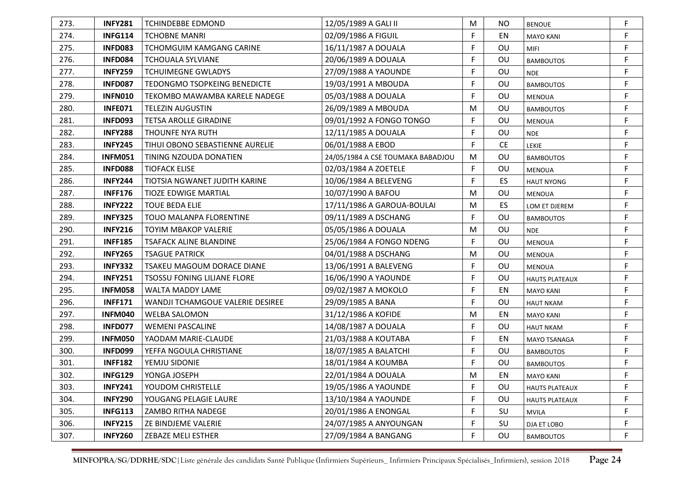| 273. | <b>INFY281</b> | <b>TCHINDEBBE EDMOND</b>            | 12/05/1989 A GALI II              | M | NO.       | <b>BENOUE</b>         | F  |
|------|----------------|-------------------------------------|-----------------------------------|---|-----------|-----------------------|----|
| 274. | <b>INFG114</b> | <b>TCHOBNE MANRI</b>                | 02/09/1986 A FIGUIL               | F | EN        | <b>MAYO KANI</b>      | F  |
| 275. | <b>INFD083</b> | <b>TCHOMGUIM KAMGANG CARINE</b>     | 16/11/1987 A DOUALA               | F | OU        | MIFI                  | F  |
| 276. | <b>INFD084</b> | <b>TCHOUALA SYLVIANE</b>            | 20/06/1989 A DOUALA               | F | OU        | <b>BAMBOUTOS</b>      | F  |
| 277. | <b>INFY259</b> | <b>TCHUIMEGNE GWLADYS</b>           | 27/09/1988 A YAOUNDE              | F | OU        | <b>NDE</b>            | F  |
| 278. | <b>INFD087</b> | <b>TEDONGMO TSOPKEING BENEDICTE</b> | 19/03/1991 A MBOUDA               | F | OU        | <b>BAMBOUTOS</b>      | F  |
| 279. | <b>INFN010</b> | TEKOMBO MAWAMBA KARELE NADEGE       | 05/03/1988 A DOUALA               | F | <b>OU</b> | <b>MENOUA</b>         | F  |
| 280. | <b>INFE071</b> | <b>TELEZIN AUGUSTIN</b>             | 26/09/1989 A MBOUDA               | м | OU        | <b>BAMBOUTOS</b>      | F  |
| 281. | INFD093        | <b>TETSA AROLLE GIRADINE</b>        | 09/01/1992 A FONGO TONGO          | F | OU        | <b>MENOUA</b>         | F  |
| 282. | <b>INFY288</b> | <b>THOUNFE NYA RUTH</b>             | 12/11/1985 A DOUALA               | F | OU        | <b>NDE</b>            | F  |
| 283. | <b>INFY245</b> | TIHUI OBONO SEBASTIENNE AURELIE     | 06/01/1988 A EBOD                 | F | <b>CE</b> | LEKIE                 | F  |
| 284. | <b>INFM051</b> | TINING NZOUDA DONATIEN              | 24/05/1984 A CSE TOUMAKA BABADJOU | M | OU        | <b>BAMBOUTOS</b>      | F  |
| 285. | INFD088        | <b>TIOFACK ELISE</b>                | 02/03/1984 A ZOETELE              | F | OU        | <b>MENOUA</b>         | F. |
| 286. | <b>INFY244</b> | TIOTSIA NGWANET JUDITH KARINE       | 10/06/1984 A BELEVENG             | F | ES.       | <b>HAUT NYONG</b>     | F  |
| 287. | <b>INFF176</b> | <b>TIOZE EDWIGE MARTIAL</b>         | 10/07/1990 A BAFOU                | M | OU        | <b>MENOUA</b>         | F  |
| 288. | <b>INFY222</b> | <b>TOUE BEDA ELIE</b>               | 17/11/1986 A GAROUA-BOULAI        | M | ES.       | LOM ET DJEREM         | F  |
| 289. | <b>INFY325</b> | TOUO MALANPA FLORENTINE             | 09/11/1989 A DSCHANG              | F | OU        | <b>BAMBOUTOS</b>      | F  |
| 290. | <b>INFY216</b> | <b>TOYIM MBAKOP VALERIE</b>         | 05/05/1986 A DOUALA               | M | OU        | <b>NDE</b>            | F  |
| 291. | <b>INFF185</b> | <b>TSAFACK ALINE BLANDINE</b>       | 25/06/1984 A FONGO NDENG          | F | OU        | <b>MENOUA</b>         | F  |
| 292. | <b>INFY265</b> | <b>TSAGUE PATRICK</b>               | 04/01/1988 A DSCHANG              | M | OU        | <b>MENOUA</b>         | F  |
| 293. | <b>INFY332</b> | TSAKEU MAGOUM DORACE DIANE          | 13/06/1991 A BALEVENG             | F | OU        | <b>MENOUA</b>         | F  |
| 294. | <b>INFY251</b> | <b>TSOSSU FONING LILIANE FLORE</b>  | 16/06/1990 A YAOUNDE              | F | OU        | <b>HAUTS PLATEAUX</b> | F  |
| 295. | <b>INFM058</b> | WALTA MADDY LAME                    | 09/02/1987 A MOKOLO               | F | EN        | <b>MAYO KANI</b>      | F  |
| 296. | <b>INFF171</b> | WANDJI TCHAMGOUE VALERIE DESIREE    | 29/09/1985 A BANA                 | F | OU        | <b>HAUT NKAM</b>      | F  |
| 297. | <b>INFM040</b> | <b>WELBA SALOMON</b>                | 31/12/1986 A KOFIDE               | M | EN        | <b>MAYO KANI</b>      | F  |
| 298. | <b>INFD077</b> | <b>WEMENI PASCALINE</b>             | 14/08/1987 A DOUALA               | F | OU        | <b>HAUT NKAM</b>      | F  |
| 299. | <b>INFM050</b> | YAODAM MARIE-CLAUDE                 | 21/03/1988 A KOUTABA              | F | EN        | <b>MAYO TSANAGA</b>   | F  |
| 300. | <b>INFD099</b> | YEFFA NGOULA CHRISTIANE             | 18/07/1985 A BALATCHI             | F | OU        | <b>BAMBOUTOS</b>      | F  |
| 301. | <b>INFF182</b> | YEMJU SIDONIE                       | 18/01/1984 A KOUMBA               | F | OU        | <b>BAMBOUTOS</b>      | F  |
| 302. | <b>INFG129</b> | YONGA JOSEPH                        | 22/01/1984 A DOUALA               | м | EN        | <b>MAYO KANI</b>      |    |
| 303. | <b>INFY241</b> | YOUDOM CHRISTELLE                   | 19/05/1986 A YAOUNDE              | F | OU        | <b>HAUTS PLATEAUX</b> | F  |
| 304. | <b>INFY290</b> | YOUGANG PELAGIE LAURE               | 13/10/1984 A YAOUNDE              | F | OU        | <b>HAUTS PLATEAUX</b> | F  |
| 305. | <b>INFG113</b> | ZAMBO RITHA NADEGE                  | 20/01/1986 A ENONGAL              | F | SU        | <b>MVILA</b>          | F  |
| 306. | <b>INFY215</b> | ZE BINDJEME VALERIE                 | 24/07/1985 A ANYOUNGAN            | F | <b>SU</b> | DJA ET LOBO           | F  |
| 307. | <b>INFY260</b> | ZEBAZE MELI ESTHER                  | 27/09/1984 A BANGANG              | F | OU        | <b>BAMBOUTOS</b>      | F  |